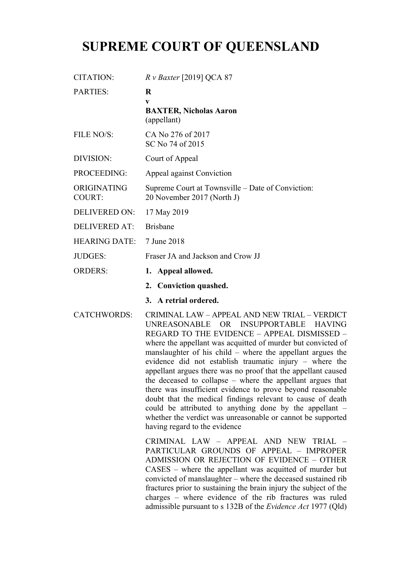# **SUPREME COURT OF QUEENSLAND**

| <b>CITATION:</b>             | $R v$ Baxter [2019] QCA 87                                                      |
|------------------------------|---------------------------------------------------------------------------------|
| <b>PARTIES:</b>              | R<br>$\mathbf{V}$<br><b>BAXTER, Nicholas Aaron</b><br>(appellant)               |
| FILE NO/S:                   | CA No 276 of 2017<br>SC No 74 of 2015                                           |
| DIVISION:                    | Court of Appeal                                                                 |
| PROCEEDING:                  | Appeal against Conviction                                                       |
| ORIGINATING<br><b>COURT:</b> | Supreme Court at Townsville – Date of Conviction:<br>20 November 2017 (North J) |
| <b>DELIVERED ON:</b>         | 17 May 2019                                                                     |
| <b>DELIVERED AT:</b>         | <b>Brisbane</b>                                                                 |
| <b>HEARING DATE:</b>         | 7 June 2018                                                                     |
| <b>JUDGES:</b>               | Fraser JA and Jackson and Crow JJ                                               |
| <b>ORDERS:</b>               | 1. Appeal allowed.                                                              |
|                              | 2. Conviction quashed.                                                          |

**3. A retrial ordered.**

CATCHWORDS: CRIMINAL LAW – APPEAL AND NEW TRIAL – VERDICT UNREASONABLE OR INSUPPORTABLE HAVING REGARD TO THE EVIDENCE – APPEAL DISMISSED – where the appellant was acquitted of murder but convicted of manslaughter of his child – where the appellant argues the evidence did not establish traumatic injury – where the appellant argues there was no proof that the appellant caused the deceased to collapse – where the appellant argues that there was insufficient evidence to prove beyond reasonable doubt that the medical findings relevant to cause of death could be attributed to anything done by the appellant – whether the verdict was unreasonable or cannot be supported having regard to the evidence

> CRIMINAL LAW – APPEAL AND NEW TRIAL – PARTICULAR GROUNDS OF APPEAL – IMPROPER ADMISSION OR REJECTION OF EVIDENCE – OTHER CASES – where the appellant was acquitted of murder but convicted of manslaughter – where the deceased sustained rib fractures prior to sustaining the brain injury the subject of the charges – where evidence of the rib fractures was ruled admissible pursuant to s 132B of the *Evidence Act* 1977 (Qld)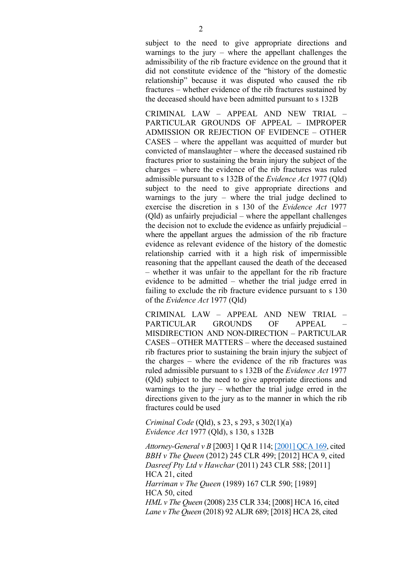subject to the need to give appropriate directions and warnings to the jury – where the appellant challenges the admissibility of the rib fracture evidence on the ground that it did not constitute evidence of the "history of the domestic relationship" because it was disputed who caused the rib fractures – whether evidence of the rib fractures sustained by the deceased should have been admitted pursuant to s 132B

CRIMINAL LAW – APPEAL AND NEW TRIAL – PARTICULAR GROUNDS OF APPEAL – IMPROPER ADMISSION OR REJECTION OF EVIDENCE – OTHER CASES – where the appellant was acquitted of murder but convicted of manslaughter – where the deceased sustained rib fractures prior to sustaining the brain injury the subject of the charges – where the evidence of the rib fractures was ruled admissible pursuant to s 132B of the *Evidence Act* 1977 (Qld) subject to the need to give appropriate directions and warnings to the jury – where the trial judge declined to exercise the discretion in s 130 of the *Evidence Act* 1977 (Qld) as unfairly prejudicial – where the appellant challenges the decision not to exclude the evidence as unfairly prejudicial – where the appellant argues the admission of the rib fracture evidence as relevant evidence of the history of the domestic relationship carried with it a high risk of impermissible reasoning that the appellant caused the death of the deceased – whether it was unfair to the appellant for the rib fracture evidence to be admitted – whether the trial judge erred in failing to exclude the rib fracture evidence pursuant to s 130 of the *Evidence Act* 1977 (Qld)

CRIMINAL LAW – APPEAL AND NEW TRIAL – PARTICULAR GROUNDS OF APPEAL MISDIRECTION AND NON-DIRECTION – PARTICULAR CASES – OTHER MATTERS – where the deceased sustained rib fractures prior to sustaining the brain injury the subject of the charges – where the evidence of the rib fractures was ruled admissible pursuant to s 132B of the *Evidence Act* 1977 (Qld) subject to the need to give appropriate directions and warnings to the jury – whether the trial judge erred in the directions given to the jury as to the manner in which the rib fractures could be used

*Criminal Code* (Qld), s 23, s 293, s 302(1)(a) *Evidence Act* 1977 (Qld), s 130, s 132B

*Attorney-General v B* [2003] 1 Qd R 114; [2001] QCA 169, cited *BBH v The Queen* (2012) 245 CLR 499; [2012] HCA 9, cited *Dasreef Pty Ltd v Hawchar* (2011) 243 CLR 588; [2011] HCA 21, cited *Harriman v The Queen* (1989) 167 CLR 590; [1989] HCA 50, cited *HML v The Queen* (2008) 235 CLR 334; [2008] HCA 16, cited *Lane v The Queen* (2018) 92 ALJR 689; [2018] HCA 28, cited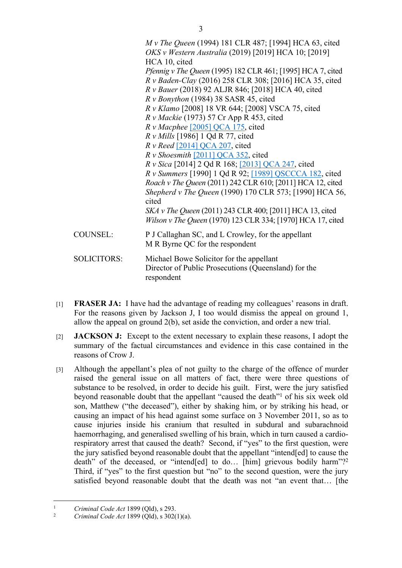*M v The Queen* (1994) 181 CLR 487; [1994] HCA 63, cited *OKS v Western Australia* (2019) [2019] HCA 10; [2019] HCA 10, cited *Pfennig v The Queen* (1995) 182 CLR 461; [1995] HCA 7, cited *R v Baden-Clay* (2016) 258 CLR 308; [2016] HCA 35, cited *R v Bauer* (2018) 92 ALJR 846; [2018] HCA 40, cited *R v Bonython* (1984) 38 SASR 45, cited *R v Klamo* [2008] 18 VR 644; [2008] VSCA 75, cited *R v Mackie* (1973) 57 Cr App R 453, cited *R v Macphee* [2005] QCA 175, cited *R v Mills* [1986] 1 Qd R 77, cited *R v Reed* [2014] QCA 207, cited *R v Shoesmith* [2011] QCA 352, cited *R v Sica* [2014] 2 Qd R 168; [2013] QCA 247, cited *R v Summers* [1990] 1 Qd R 92; [1989] QSCCCA 182, cited *Roach v The Queen* (2011) 242 CLR 610; [2011] HCA 12, cited *Shepherd v The Queen* (1990) 170 CLR 573; [1990] HCA 56, cited *SKA v The Queen* (2011) 243 CLR 400; [2011] HCA 13, cited *Wilson v The Queen* (1970) 123 CLR 334; [1970] HCA 17, cited COUNSEL: P J Callaghan SC, and L Crowley, for the appellant M R Byrne QC for the respondent SOLICITORS: Michael Bowe Solicitor for the appellant Director of Public Prosecutions (Queensland) for the respondent

- [1] **FRASER JA:** I have had the advantage of reading my colleagues' reasons in draft. For the reasons given by Jackson J, I too would dismiss the appeal on ground 1, allow the appeal on ground 2(b), set aside the conviction, and order a new trial.
- [2] **JACKSON J:** Except to the extent necessary to explain these reasons, I adopt the summary of the factual circumstances and evidence in this case contained in the reasons of Crow J.
- [3] Although the appellant's plea of not guilty to the charge of the offence of murder raised the general issue on all matters of fact, there were three questions of substance to be resolved, in order to decide his guilt. First, were the jury satisfied beyond reasonable doubt that the appellant "caused the death"<sup>1</sup> of his six week old son, Matthew ("the deceased"), either by shaking him, or by striking his head, or causing an impact of his head against some surface on 3 November 2011, so as to cause injuries inside his cranium that resulted in subdural and subarachnoid haemorrhaging, and generalised swelling of his brain, which in turn caused a cardiorespiratory arrest that caused the death? Second, if "yes" to the first question, were the jury satisfied beyond reasonable doubt that the appellant "intend[ed] to cause the death" of the deceased, or "intend[ed] to do... [him] grievous bodily harm"?<sup>2</sup> Third, if "yes" to the first question but "no" to the second question, were the jury satisfied beyond reasonable doubt that the death was not "an event that… [the

<sup>1</sup> *Criminal Code Act* 1899 (Qld), s 293.

<sup>2</sup> *Criminal Code Act* 1899 (Qld), s 302(1)(a).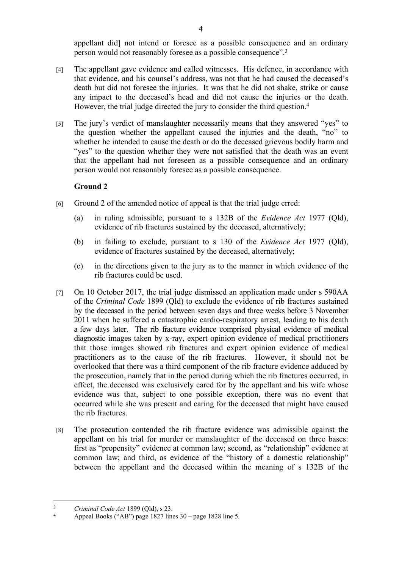appellant did] not intend or foresee as a possible consequence and an ordinary person would not reasonably foresee as a possible consequence".<sup>3</sup>

- [4] The appellant gave evidence and called witnesses. His defence, in accordance with that evidence, and his counsel's address, was not that he had caused the deceased's death but did not foresee the injuries. It was that he did not shake, strike or cause any impact to the deceased's head and did not cause the injuries or the death. However, the trial judge directed the jury to consider the third question.<sup>4</sup>
- [5] The jury's verdict of manslaughter necessarily means that they answered "yes" to the question whether the appellant caused the injuries and the death, "no" to whether he intended to cause the death or do the deceased grievous bodily harm and "yes" to the question whether they were not satisfied that the death was an event that the appellant had not foreseen as a possible consequence and an ordinary person would not reasonably foresee as a possible consequence.

# **Ground 2**

- [6] Ground 2 of the amended notice of appeal is that the trial judge erred:
	- (a) in ruling admissible, pursuant to s 132B of the *Evidence Act* 1977 (Qld), evidence of rib fractures sustained by the deceased, alternatively;
	- (b) in failing to exclude, pursuant to s 130 of the *Evidence Act* 1977 (Qld), evidence of fractures sustained by the deceased, alternatively;
	- (c) in the directions given to the jury as to the manner in which evidence of the rib fractures could be used.
- [7] On 10 October 2017, the trial judge dismissed an application made under s 590AA of the *Criminal Code* 1899 (Qld) to exclude the evidence of rib fractures sustained by the deceased in the period between seven days and three weeks before 3 November 2011 when he suffered a catastrophic cardio-respiratory arrest, leading to his death a few days later. The rib fracture evidence comprised physical evidence of medical diagnostic images taken by x-ray, expert opinion evidence of medical practitioners that those images showed rib fractures and expert opinion evidence of medical practitioners as to the cause of the rib fractures. However, it should not be overlooked that there was a third component of the rib fracture evidence adduced by the prosecution, namely that in the period during which the rib fractures occurred, in effect, the deceased was exclusively cared for by the appellant and his wife whose evidence was that, subject to one possible exception, there was no event that occurred while she was present and caring for the deceased that might have caused the rib fractures.
- [8] The prosecution contended the rib fracture evidence was admissible against the appellant on his trial for murder or manslaughter of the deceased on three bases: first as "propensity" evidence at common law; second, as "relationship" evidence at common law; and third, as evidence of the "history of a domestic relationship" between the appellant and the deceased within the meaning of s 132B of the

<sup>3</sup> *Criminal Code Act* 1899 (Qld), s 23.

<sup>4</sup> Appeal Books ("AB") page 1827 lines 30 – page 1828 line 5.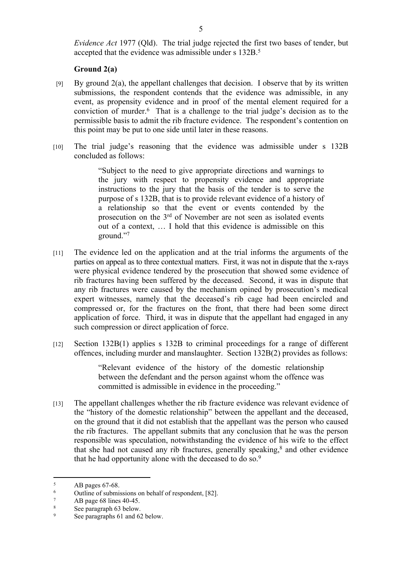*Evidence Act* 1977 (Qld). The trial judge rejected the first two bases of tender, but accepted that the evidence was admissible under s 132B.<sup>5</sup>

# **Ground 2(a)**

- [9] By ground 2(a), the appellant challenges that decision. I observe that by its written submissions, the respondent contends that the evidence was admissible, in any event, as propensity evidence and in proof of the mental element required for a conviction of murder.<sup>6</sup> That is a challenge to the trial judge's decision as to the permissible basis to admit the rib fracture evidence. The respondent's contention on this point may be put to one side until later in these reasons.
- [10] The trial judge's reasoning that the evidence was admissible under s 132B concluded as follows:

"Subject to the need to give appropriate directions and warnings to the jury with respect to propensity evidence and appropriate instructions to the jury that the basis of the tender is to serve the purpose of s 132B, that is to provide relevant evidence of a history of a relationship so that the event or events contended by the prosecution on the 3rd of November are not seen as isolated events out of a context, … I hold that this evidence is admissible on this ground."<sup>7</sup>

- [11] The evidence led on the application and at the trial informs the arguments of the parties on appeal as to three contextual matters. First, it was not in dispute that the x-rays were physical evidence tendered by the prosecution that showed some evidence of rib fractures having been suffered by the deceased. Second, it was in dispute that any rib fractures were caused by the mechanism opined by prosecution's medical expert witnesses, namely that the deceased's rib cage had been encircled and compressed or, for the fractures on the front, that there had been some direct application of force. Third, it was in dispute that the appellant had engaged in any such compression or direct application of force.
- [12] Section 132B(1) applies s 132B to criminal proceedings for a range of different offences, including murder and manslaughter. Section 132B(2) provides as follows:

"Relevant evidence of the history of the domestic relationship between the defendant and the person against whom the offence was committed is admissible in evidence in the proceeding."

[13] The appellant challenges whether the rib fracture evidence was relevant evidence of the "history of the domestic relationship" between the appellant and the deceased, on the ground that it did not establish that the appellant was the person who caused the rib fractures. The appellant submits that any conclusion that he was the person responsible was speculation, notwithstanding the evidence of his wife to the effect that she had not caused any rib fractures, generally speaking,<sup>8</sup> and other evidence that he had opportunity alone with the deceased to do so.<sup>9</sup>

<sup>5</sup> AB pages 67-68.

<sup>6</sup> Outline of submissions on behalf of respondent, [82].

<sup>7</sup> AB page 68 lines 40-45.

<sup>8</sup> See paragraph 63 below.

<sup>9</sup> See paragraphs 61 and 62 below.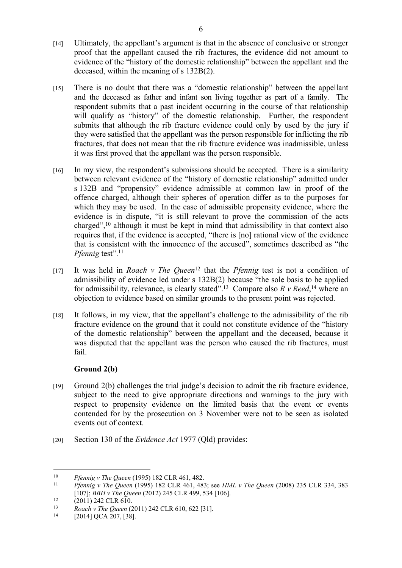- [14] Ultimately, the appellant's argument is that in the absence of conclusive or stronger proof that the appellant caused the rib fractures, the evidence did not amount to evidence of the "history of the domestic relationship" between the appellant and the deceased, within the meaning of s 132B(2).
- [15] There is no doubt that there was a "domestic relationship" between the appellant and the deceased as father and infant son living together as part of a family. The respondent submits that a past incident occurring in the course of that relationship will qualify as "history" of the domestic relationship. Further, the respondent submits that although the rib fracture evidence could only by used by the jury if they were satisfied that the appellant was the person responsible for inflicting the rib fractures, that does not mean that the rib fracture evidence was inadmissible, unless it was first proved that the appellant was the person responsible.
- [16] In my view, the respondent's submissions should be accepted. There is a similarity between relevant evidence of the "history of domestic relationship" admitted under s 132B and "propensity" evidence admissible at common law in proof of the offence charged, although their spheres of operation differ as to the purposes for which they may be used. In the case of admissible propensity evidence, where the evidence is in dispute, "it is still relevant to prove the commission of the acts charged",<sup>10</sup> although it must be kept in mind that admissibility in that context also requires that, if the evidence is accepted, "there is [no] rational view of the evidence that is consistent with the innocence of the accused", sometimes described as "the *Pfennig test*".<sup>11</sup>
- [17] It was held in *Roach v The Queen*<sup>12</sup> that the *Pfennig* test is not a condition of admissibility of evidence led under s 132B(2) because "the sole basis to be applied for admissibility, relevance, is clearly stated".<sup>13</sup> Compare also  $R v$  Reed, <sup>14</sup> where an objection to evidence based on similar grounds to the present point was rejected.
- [18] It follows, in my view, that the appellant's challenge to the admissibility of the rib fracture evidence on the ground that it could not constitute evidence of the "history of the domestic relationship" between the appellant and the deceased, because it was disputed that the appellant was the person who caused the rib fractures, must fail.

# **Ground 2(b)**

- [19] Ground 2(b) challenges the trial judge's decision to admit the rib fracture evidence, subject to the need to give appropriate directions and warnings to the jury with respect to propensity evidence on the limited basis that the event or events contended for by the prosecution on 3 November were not to be seen as isolated events out of context.
- [20] Section 130 of the *Evidence Act* 1977 (Qld) provides:

<sup>10</sup> *Pfennig v The Queen* (1995) 182 CLR 461, 482.

<sup>11</sup> *Pfennig v The Queen* (1995) 182 CLR 461, 483; see *HML v The Queen* (2008) 235 CLR 334, 383 [107]; *BBH v The Queen* (2012) 245 CLR 499, 534 [106].

<sup>&</sup>lt;sup>12</sup> (2011) 242 CLR 610.

<sup>13</sup> *Roach v The Queen* (2011) 242 CLR 610, 622 [31].

<sup>[2014]</sup> QCA 207, [38].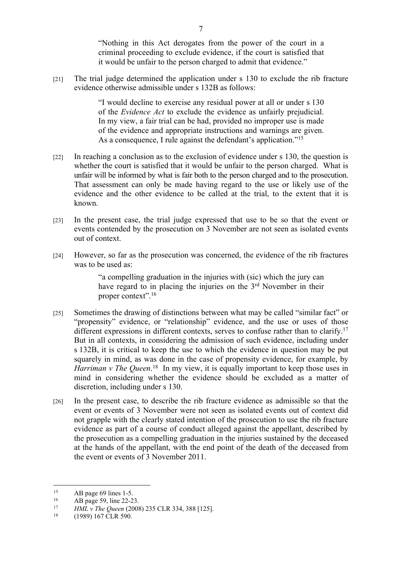"Nothing in this Act derogates from the power of the court in a criminal proceeding to exclude evidence, if the court is satisfied that it would be unfair to the person charged to admit that evidence."

[21] The trial judge determined the application under s 130 to exclude the rib fracture evidence otherwise admissible under s 132B as follows:

> "I would decline to exercise any residual power at all or under s 130 of the *Evidence Act* to exclude the evidence as unfairly prejudicial. In my view, a fair trial can be had, provided no improper use is made of the evidence and appropriate instructions and warnings are given. As a consequence, I rule against the defendant's application."<sup>15</sup>

- [22] In reaching a conclusion as to the exclusion of evidence under s 130, the question is whether the court is satisfied that it would be unfair to the person charged. What is unfair will be informed by what is fair both to the person charged and to the prosecution. That assessment can only be made having regard to the use or likely use of the evidence and the other evidence to be called at the trial, to the extent that it is known.
- [23] In the present case, the trial judge expressed that use to be so that the event or events contended by the prosecution on 3 November are not seen as isolated events out of context.
- [24] However, so far as the prosecution was concerned, the evidence of the rib fractures was to be used as:

"a compelling graduation in the injuries with (sic) which the jury can have regard to in placing the injuries on the 3<sup>rd</sup> November in their proper context".<sup>16</sup>

- [25] Sometimes the drawing of distinctions between what may be called "similar fact" or "propensity" evidence, or "relationship" evidence, and the use or uses of those different expressions in different contexts, serves to confuse rather than to clarify.<sup>17</sup> But in all contexts, in considering the admission of such evidence, including under s 132B, it is critical to keep the use to which the evidence in question may be put squarely in mind, as was done in the case of propensity evidence, for example, by *Harriman v The Queen*<sup>18</sup> In my view, it is equally important to keep those uses in mind in considering whether the evidence should be excluded as a matter of discretion, including under s 130.
- [26] In the present case, to describe the rib fracture evidence as admissible so that the event or events of 3 November were not seen as isolated events out of context did not grapple with the clearly stated intention of the prosecution to use the rib fracture evidence as part of a course of conduct alleged against the appellant, described by the prosecution as a compelling graduation in the injuries sustained by the deceased at the hands of the appellant, with the end point of the death of the deceased from the event or events of 3 November 2011.

<sup>&</sup>lt;sup>15</sup> AB page 69 lines 1-5.<br> $^{16}$  AB page 59 line 22-2

<sup>&</sup>lt;sup>16</sup> AB page 59, line 22-23.<br><sup>17</sup> HML v The Queen (2009)

<sup>17</sup> *HML v The Queen* (2008) 235 CLR 334, 388 [125].

<sup>(1989) 167</sup> CLR 590.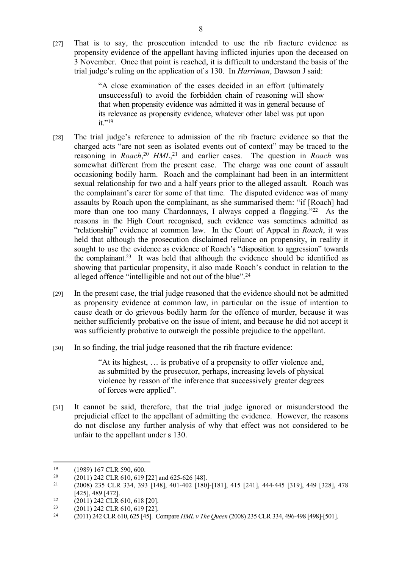[27] That is to say, the prosecution intended to use the rib fracture evidence as propensity evidence of the appellant having inflicted injuries upon the deceased on 3 November. Once that point is reached, it is difficult to understand the basis of the trial judge's ruling on the application of s 130. In *Harriman*, Dawson J said:

> "A close examination of the cases decided in an effort (ultimately unsuccessful) to avoid the forbidden chain of reasoning will show that when propensity evidence was admitted it was in general because of its relevance as propensity evidence, whatever other label was put upon  $it$ ."19

- [28] The trial judge's reference to admission of the rib fracture evidence so that the charged acts "are not seen as isolated events out of context" may be traced to the reasoning in *Roach*, <sup>20</sup> *HML*, <sup>21</sup> and earlier cases. The question in *Roach* was somewhat different from the present case. The charge was one count of assault occasioning bodily harm. Roach and the complainant had been in an intermittent sexual relationship for two and a half years prior to the alleged assault. Roach was the complainant's carer for some of that time. The disputed evidence was of many assaults by Roach upon the complainant, as she summarised them: "if [Roach] had more than one too many Chardonnays. I always copped a flogging."<sup>22</sup> As the reasons in the High Court recognised, such evidence was sometimes admitted as "relationship" evidence at common law. In the Court of Appeal in *Roach*, it was held that although the prosecution disclaimed reliance on propensity, in reality it sought to use the evidence as evidence of Roach's "disposition to aggression" towards the complainant.<sup>23</sup> It was held that although the evidence should be identified as showing that particular propensity, it also made Roach's conduct in relation to the alleged offence "intelligible and not out of the blue".<sup>24</sup>
- [29] In the present case, the trial judge reasoned that the evidence should not be admitted as propensity evidence at common law, in particular on the issue of intention to cause death or do grievous bodily harm for the offence of murder, because it was neither sufficiently probative on the issue of intent, and because he did not accept it was sufficiently probative to outweigh the possible prejudice to the appellant.
- [30] In so finding, the trial judge reasoned that the rib fracture evidence:

"At its highest, … is probative of a propensity to offer violence and, as submitted by the prosecutor, perhaps, increasing levels of physical violence by reason of the inference that successively greater degrees of forces were applied".

[31] It cannot be said, therefore, that the trial judge ignored or misunderstood the prejudicial effect to the appellant of admitting the evidence. However, the reasons do not disclose any further analysis of why that effect was not considered to be unfair to the appellant under s 130.

<sup>&</sup>lt;sup>19</sup> (1989) 167 CLR 590, 600.<br>
<sup>20</sup> (2011) 242 CLR 610, 619

<sup>&</sup>lt;sup>20</sup> (2011) 242 CLR 610, 619 [22] and 625-626 [48].<br><sup>21</sup> (2008) 235 CLB 334, 393 [148] 401-402 [180]

<sup>21</sup> (2008) 235 CLR 334, 393 [148], 401-402 [180]-[181], 415 [241], 444-445 [319], 449 [328], 478 [425], 489 [472].

<sup>&</sup>lt;sup>22</sup> (2011) 242 CLR 610, 618 [20].

<sup>23</sup> (2011) 242 CLR 610, 619 [22].

<sup>24</sup> (2011) 242 CLR 610, 625 [45]. Compare *HML v The Queen* (2008) 235 CLR 334, 496-498 [498]-[501].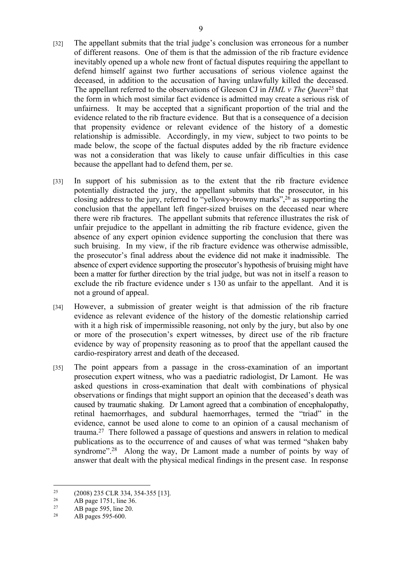- [32] The appellant submits that the trial judge's conclusion was erroneous for a number of different reasons. One of them is that the admission of the rib fracture evidence inevitably opened up a whole new front of factual disputes requiring the appellant to defend himself against two further accusations of serious violence against the deceased, in addition to the accusation of having unlawfully killed the deceased. The appellant referred to the observations of Gleeson CJ in *HML v The Queen*<sup>25</sup> that the form in which most similar fact evidence is admitted may create a serious risk of unfairness. It may be accepted that a significant proportion of the trial and the evidence related to the rib fracture evidence. But that is a consequence of a decision that propensity evidence or relevant evidence of the history of a domestic relationship is admissible. Accordingly, in my view, subject to two points to be made below, the scope of the factual disputes added by the rib fracture evidence was not a consideration that was likely to cause unfair difficulties in this case because the appellant had to defend them, per se.
- [33] In support of his submission as to the extent that the rib fracture evidence potentially distracted the jury, the appellant submits that the prosecutor, in his closing address to the jury, referred to "yellowy-browny marks",<sup>26</sup> as supporting the conclusion that the appellant left finger-sized bruises on the deceased near where there were rib fractures. The appellant submits that reference illustrates the risk of unfair prejudice to the appellant in admitting the rib fracture evidence, given the absence of any expert opinion evidence supporting the conclusion that there was such bruising. In my view, if the rib fracture evidence was otherwise admissible, the prosecutor's final address about the evidence did not make it inadmissible. The absence of expert evidence supporting the prosecutor's hypothesis of bruising might have been a matter for further direction by the trial judge, but was not in itself a reason to exclude the rib fracture evidence under s 130 as unfair to the appellant. And it is not a ground of appeal.
- [34] However, a submission of greater weight is that admission of the rib fracture evidence as relevant evidence of the history of the domestic relationship carried with it a high risk of impermissible reasoning, not only by the jury, but also by one or more of the prosecution's expert witnesses, by direct use of the rib fracture evidence by way of propensity reasoning as to proof that the appellant caused the cardio-respiratory arrest and death of the deceased.
- [35] The point appears from a passage in the cross-examination of an important prosecution expert witness, who was a paediatric radiologist, Dr Lamont. He was asked questions in cross-examination that dealt with combinations of physical observations or findings that might support an opinion that the deceased's death was caused by traumatic shaking. Dr Lamont agreed that a combination of encephalopathy, retinal haemorrhages, and subdural haemorrhages, termed the "triad" in the evidence, cannot be used alone to come to an opinion of a causal mechanism of trauma.<sup>27</sup> There followed a passage of questions and answers in relation to medical publications as to the occurrence of and causes of what was termed "shaken baby syndrome".<sup>28</sup> Along the way, Dr Lamont made a number of points by way of answer that dealt with the physical medical findings in the present case. In response

<sup>&</sup>lt;sup>25</sup> (2008) 235 CLR 334, 354-355 [13].<br>
<sup>26</sup> AB page 1751 line 36

<sup>&</sup>lt;sup>26</sup> AB page 1751, line 36.<br><sup>27</sup> AB page 595, line 20.

<sup>&</sup>lt;sup>27</sup> AB page 595, line 20.<br><sup>28</sup> AB pages 595-600

AB pages 595-600.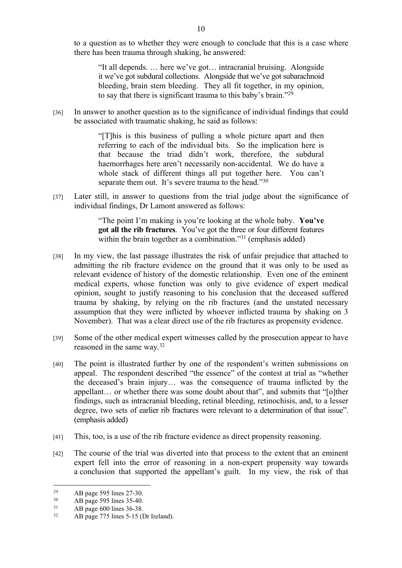to a question as to whether they were enough to conclude that this is a case where there has been trauma through shaking, he answered:

"It all depends. … here we've got… intracranial bruising. Alongside it we've got subdural collections. Alongside that we've got subarachnoid bleeding, brain stem bleeding. They all fit together, in my opinion, to say that there is significant trauma to this baby's brain."<sup>29</sup>

[36] In answer to another question as to the significance of individual findings that could be associated with traumatic shaking, he said as follows:

> "[T]his is this business of pulling a whole picture apart and then referring to each of the individual bits. So the implication here is that because the triad didn't work, therefore, the subdural haemorrhages here aren't necessarily non-accidental. We do have a whole stack of different things all put together here. You can't separate them out. It's severe trauma to the head."<sup>30</sup>

[37] Later still, in answer to questions from the trial judge about the significance of individual findings, Dr Lamont answered as follows:

> "The point I'm making is you're looking at the whole baby. **You've got all the rib fractures**. You've got the three or four different features within the brain together as a combination."<sup>31</sup> (emphasis added)

- [38] In my view, the last passage illustrates the risk of unfair prejudice that attached to admitting the rib fracture evidence on the ground that it was only to be used as relevant evidence of history of the domestic relationship. Even one of the eminent medical experts, whose function was only to give evidence of expert medical opinion, sought to justify reasoning to his conclusion that the deceased suffered trauma by shaking, by relying on the rib fractures (and the unstated necessary assumption that they were inflicted by whoever inflicted trauma by shaking on 3 November). That was a clear direct use of the rib fractures as propensity evidence.
- [39] Some of the other medical expert witnesses called by the prosecution appear to have reasoned in the same way.<sup>32</sup>
- [40] The point is illustrated further by one of the respondent's written submissions on appeal. The respondent described "the essence" of the contest at trial as "whether the deceased's brain injury… was the consequence of trauma inflicted by the appellant… or whether there was some doubt about that", and submits that "[o]ther findings, such as intracranial bleeding, retinal bleeding, retinochisis, and, to a lesser degree, two sets of earlier rib fractures were relevant to a determination of that issue". (emphasis added)
- [41] This, too, is a use of the rib fracture evidence as direct propensity reasoning.
- [42] The course of the trial was diverted into that process to the extent that an eminent expert fell into the error of reasoning in a non-expert propensity way towards a conclusion that supported the appellant's guilt. In my view, the risk of that

<sup>&</sup>lt;sup>29</sup> AB page 595 lines 27-30.<br> $\frac{30}{48}$  AB page 595 lines 35-40.

 $30$  AB page 595 lines 35-40.<br> $31$  AB page 600 lines 36-38

 $31$  AB page 600 lines 36-38.<br> $32$  AB page 775 lines 5-15 (I)

AB page 775 lines 5-15 (Dr Ireland).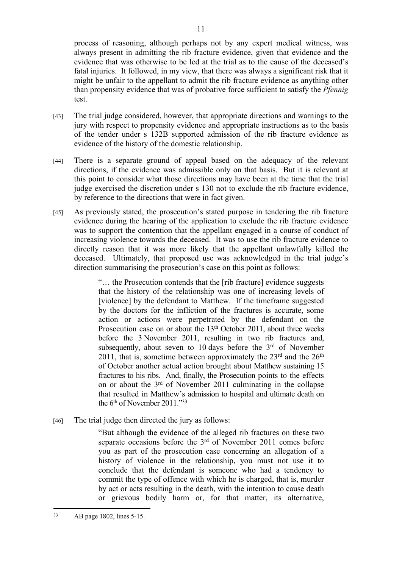process of reasoning, although perhaps not by any expert medical witness, was always present in admitting the rib fracture evidence, given that evidence and the evidence that was otherwise to be led at the trial as to the cause of the deceased's fatal injuries. It followed, in my view, that there was always a significant risk that it might be unfair to the appellant to admit the rib fracture evidence as anything other than propensity evidence that was of probative force sufficient to satisfy the *Pfennig* test.

- [43] The trial judge considered, however, that appropriate directions and warnings to the jury with respect to propensity evidence and appropriate instructions as to the basis of the tender under s 132B supported admission of the rib fracture evidence as evidence of the history of the domestic relationship.
- [44] There is a separate ground of appeal based on the adequacy of the relevant directions, if the evidence was admissible only on that basis. But it is relevant at this point to consider what those directions may have been at the time that the trial judge exercised the discretion under s 130 not to exclude the rib fracture evidence, by reference to the directions that were in fact given.
- [45] As previously stated, the prosecution's stated purpose in tendering the rib fracture evidence during the hearing of the application to exclude the rib fracture evidence was to support the contention that the appellant engaged in a course of conduct of increasing violence towards the deceased. It was to use the rib fracture evidence to directly reason that it was more likely that the appellant unlawfully killed the deceased. Ultimately, that proposed use was acknowledged in the trial judge's direction summarising the prosecution's case on this point as follows:

"… the Prosecution contends that the [rib fracture] evidence suggests that the history of the relationship was one of increasing levels of [violence] by the defendant to Matthew. If the timeframe suggested by the doctors for the infliction of the fractures is accurate, some action or actions were perpetrated by the defendant on the Prosecution case on or about the 13<sup>th</sup> October 2011, about three weeks before the 3 November 2011, resulting in two rib fractures and, subsequently, about seven to 10 days before the 3<sup>rd</sup> of November 2011, that is, sometime between approximately the  $23<sup>rd</sup>$  and the  $26<sup>th</sup>$ of October another actual action brought about Matthew sustaining 15 fractures to his ribs. And, finally, the Prosecution points to the effects on or about the 3rd of November 2011 culminating in the collapse that resulted in Matthew's admission to hospital and ultimate death on the 6<sup>th</sup> of November 2011."<sup>33</sup>

[46] The trial judge then directed the jury as follows:

"But although the evidence of the alleged rib fractures on these two separate occasions before the 3<sup>rd</sup> of November 2011 comes before you as part of the prosecution case concerning an allegation of a history of violence in the relationship, you must not use it to conclude that the defendant is someone who had a tendency to commit the type of offence with which he is charged, that is, murder by act or acts resulting in the death, with the intention to cause death or grievous bodily harm or, for that matter, its alternative,

<sup>33</sup> AB page 1802, lines 5-15.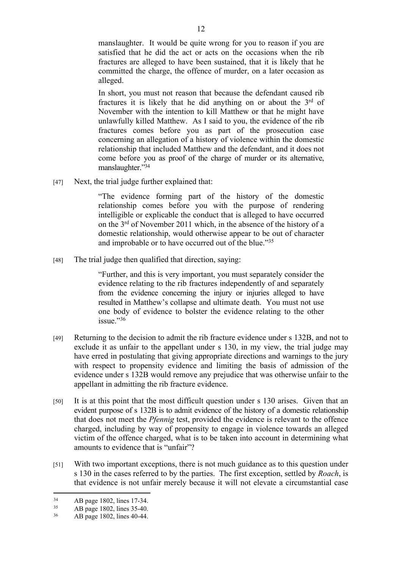manslaughter. It would be quite wrong for you to reason if you are satisfied that he did the act or acts on the occasions when the rib fractures are alleged to have been sustained, that it is likely that he committed the charge, the offence of murder, on a later occasion as alleged.

In short, you must not reason that because the defendant caused rib fractures it is likely that he did anything on or about the 3rd of November with the intention to kill Matthew or that he might have unlawfully killed Matthew. As I said to you, the evidence of the rib fractures comes before you as part of the prosecution case concerning an allegation of a history of violence within the domestic relationship that included Matthew and the defendant, and it does not come before you as proof of the charge of murder or its alternative, manslaughter."<sup>34</sup>

[47] Next, the trial judge further explained that:

"The evidence forming part of the history of the domestic relationship comes before you with the purpose of rendering intelligible or explicable the conduct that is alleged to have occurred on the 3rd of November 2011 which, in the absence of the history of a domestic relationship, would otherwise appear to be out of character and improbable or to have occurred out of the blue."<sup>35</sup>

[48] The trial judge then qualified that direction, saying:

"Further, and this is very important, you must separately consider the evidence relating to the rib fractures independently of and separately from the evidence concerning the injury or injuries alleged to have resulted in Matthew's collapse and ultimate death. You must not use one body of evidence to bolster the evidence relating to the other issue."<sup>36</sup>

- [49] Returning to the decision to admit the rib fracture evidence under s 132B, and not to exclude it as unfair to the appellant under s 130, in my view, the trial judge may have erred in postulating that giving appropriate directions and warnings to the jury with respect to propensity evidence and limiting the basis of admission of the evidence under s 132B would remove any prejudice that was otherwise unfair to the appellant in admitting the rib fracture evidence.
- [50] It is at this point that the most difficult question under s 130 arises. Given that an evident purpose of s 132B is to admit evidence of the history of a domestic relationship that does not meet the *Pfennig* test, provided the evidence is relevant to the offence charged, including by way of propensity to engage in violence towards an alleged victim of the offence charged, what is to be taken into account in determining what amounts to evidence that is "unfair"?
- [51] With two important exceptions, there is not much guidance as to this question under s 130 in the cases referred to by the parties. The first exception, settled by *Roach*, is that evidence is not unfair merely because it will not elevate a circumstantial case

<sup>&</sup>lt;sup>34</sup> AB page 1802, lines 17-34.<br><sup>35</sup> AB page 1802, lines 35, 40

<sup>35</sup> AB page 1802, lines 35-40.

<sup>36</sup> AB page 1802, lines 40-44.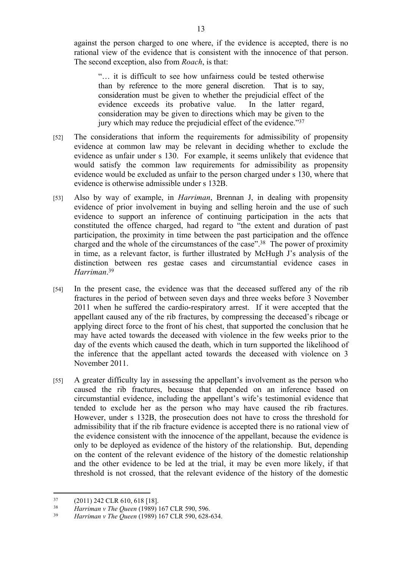against the person charged to one where, if the evidence is accepted, there is no rational view of the evidence that is consistent with the innocence of that person. The second exception, also from *Roach*, is that:

"… it is difficult to see how unfairness could be tested otherwise than by reference to the more general discretion. That is to say, consideration must be given to whether the prejudicial effect of the evidence exceeds its probative value. In the latter regard, consideration may be given to directions which may be given to the jury which may reduce the prejudicial effect of the evidence."<sup>37</sup>

- [52] The considerations that inform the requirements for admissibility of propensity evidence at common law may be relevant in deciding whether to exclude the evidence as unfair under s 130. For example, it seems unlikely that evidence that would satisfy the common law requirements for admissibility as propensity evidence would be excluded as unfair to the person charged under s 130, where that evidence is otherwise admissible under s 132B.
- [53] Also by way of example, in *Harriman*, Brennan J, in dealing with propensity evidence of prior involvement in buying and selling heroin and the use of such evidence to support an inference of continuing participation in the acts that constituted the offence charged, had regard to "the extent and duration of past participation, the proximity in time between the past participation and the offence charged and the whole of the circumstances of the case".<sup>38</sup> The power of proximity in time, as a relevant factor, is further illustrated by McHugh J's analysis of the distinction between res gestae cases and circumstantial evidence cases in *Harriman*. 39
- [54] In the present case, the evidence was that the deceased suffered any of the rib fractures in the period of between seven days and three weeks before 3 November 2011 when he suffered the cardio-respiratory arrest. If it were accepted that the appellant caused any of the rib fractures, by compressing the deceased's ribcage or applying direct force to the front of his chest, that supported the conclusion that he may have acted towards the deceased with violence in the few weeks prior to the day of the events which caused the death, which in turn supported the likelihood of the inference that the appellant acted towards the deceased with violence on 3 November 2011.
- [55] A greater difficulty lay in assessing the appellant's involvement as the person who caused the rib fractures, because that depended on an inference based on circumstantial evidence, including the appellant's wife's testimonial evidence that tended to exclude her as the person who may have caused the rib fractures. However, under s 132B, the prosecution does not have to cross the threshold for admissibility that if the rib fracture evidence is accepted there is no rational view of the evidence consistent with the innocence of the appellant, because the evidence is only to be deployed as evidence of the history of the relationship. But, depending on the content of the relevant evidence of the history of the domestic relationship and the other evidence to be led at the trial, it may be even more likely, if that threshold is not crossed, that the relevant evidence of the history of the domestic

 $^{37}$  (2011) 242 CLR 610, 618 [18].

<sup>38</sup> *Harriman v The Queen* (1989) 167 CLR 590, 596.

<sup>39</sup> *Harriman v The Queen* (1989) 167 CLR 590, 628-634.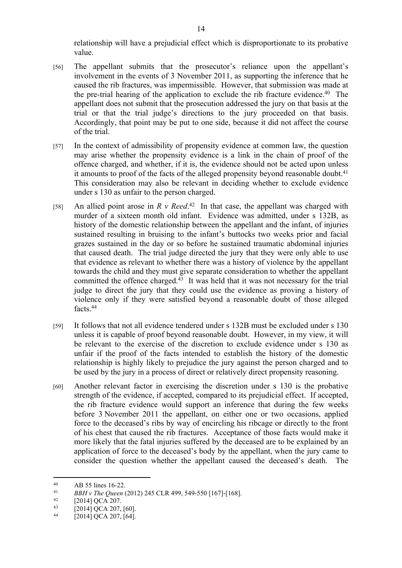relationship will have a prejudicial effect which is disproportionate to its probative value.

- [56] The appellant submits that the prosecutor's reliance upon the appellant's involvement in the events of 3 November 2011, as supporting the inference that he caused the rib fractures, was impermissible. However, that submission was made at the pre-trial hearing of the application to exclude the rib fracture evidence.<sup>40</sup> The appellant does not submit that the prosecution addressed the jury on that basis at the trial or that the trial judge's directions to the jury proceeded on that basis. Accordingly, that point may be put to one side, because it did not affect the course of the trial.
- [57] In the context of admissibility of propensity evidence at common law, the question may arise whether the propensity evidence is a link in the chain of proof of the offence charged, and whether, if it is, the evidence should not be acted upon unless it amounts to proof of the facts of the alleged propensity beyond reasonable doubt.<sup>41</sup> This consideration may also be relevant in deciding whether to exclude evidence under s 130 as unfair to the person charged.
- [58] An allied point arose in  $R \, v$  Reed.<sup>42</sup> In that case, the appellant was charged with murder of a sixteen month old infant. Evidence was admitted, under s 132B, as history of the domestic relationship between the appellant and the infant, of injuries sustained resulting in bruising to the infant's buttocks two weeks prior and facial grazes sustained in the day or so before he sustained traumatic abdominal injuries that caused death. The trial judge directed the jury that they were only able to use that evidence as relevant to whether there was a history of violence by the appellant towards the child and they must give separate consideration to whether the appellant committed the offence charged. $43$  It was held that it was not necessary for the trial judge to direct the jury that they could use the evidence as proving a history of violence only if they were satisfied beyond a reasonable doubt of those alleged facts<sup>44</sup>
- [59] It follows that not all evidence tendered under s 132B must be excluded under s 130 unless it is capable of proof beyond reasonable doubt. However, in my view, it will be relevant to the exercise of the discretion to exclude evidence under s 130 as unfair if the proof of the facts intended to establish the history of the domestic relationship is highly likely to prejudice the jury against the person charged and to be used by the jury in a process of direct or relatively direct propensity reasoning.
- [60] Another relevant factor in exercising the discretion under s 130 is the probative strength of the evidence, if accepted, compared to its prejudicial effect. If accepted, the rib fracture evidence would support an inference that during the few weeks before 3 November 2011 the appellant, on either one or two occasions, applied force to the deceased's ribs by way of encircling his ribcage or directly to the front of his chest that caused the rib fractures. Acceptance of those facts would make it more likely that the fatal injuries suffered by the deceased are to be explained by an application of force to the deceased's body by the appellant, when the jury came to consider the question whether the appellant caused the deceased's death. The

<sup>40</sup> AB 55 lines 16-22.

<sup>41</sup> *BBH v The Queen* (2012) 245 CLR 499, 549-550 [167]-[168].

 $^{42}$  [2014] QCA 207.

<sup>&</sup>lt;sup>43</sup>  $[2014]$  QCA 207, [60].<br><sup>44</sup>  $[2014]$  QCA 207 [64]

 $[2014]$  QCA 207,  $[64]$ .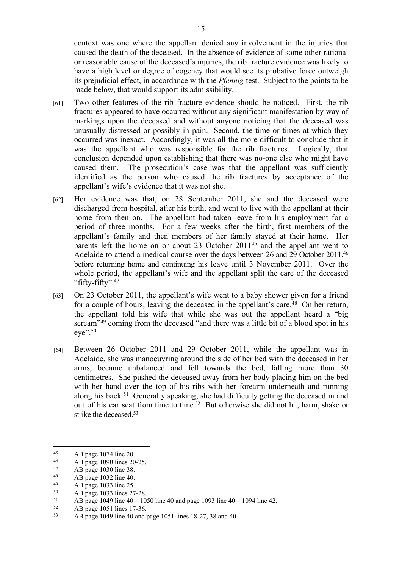context was one where the appellant denied any involvement in the injuries that caused the death of the deceased. In the absence of evidence of some other rational or reasonable cause of the deceased's injuries, the rib fracture evidence was likely to have a high level or degree of cogency that would see its probative force outweigh its prejudicial effect, in accordance with the *Pfennig* test. Subject to the points to be made below, that would support its admissibility.

- [61] Two other features of the rib fracture evidence should be noticed. First, the rib fractures appeared to have occurred without any significant manifestation by way of markings upon the deceased and without anyone noticing that the deceased was unusually distressed or possibly in pain. Second, the time or times at which they occurred was inexact. Accordingly, it was all the more difficult to conclude that it was the appellant who was responsible for the rib fractures. Logically, that conclusion depended upon establishing that there was no-one else who might have caused them. The prosecution's case was that the appellant was sufficiently identified as the person who caused the rib fractures by acceptance of the appellant's wife's evidence that it was not she.
- [62] Her evidence was that, on 28 September 2011, she and the deceased were discharged from hospital, after his birth, and went to live with the appellant at their home from then on. The appellant had taken leave from his employment for a period of three months. For a few weeks after the birth, first members of the appellant's family and then members of her family stayed at their home. Her parents left the home on or about 23 October 2011<sup>45</sup> and the appellant went to Adelaide to attend a medical course over the days between 26 and 29 October 2011,<sup>46</sup> before returning home and continuing his leave until 3 November 2011. Over the whole period, the appellant's wife and the appellant split the care of the deceased "fifty-fifty".<sup>47</sup>
- [63] On 23 October 2011, the appellant's wife went to a baby shower given for a friend for a couple of hours, leaving the deceased in the appellant's care.<sup>48</sup> On her return, the appellant told his wife that while she was out the appellant heard a "big scream<sup>"49</sup> coming from the deceased "and there was a little bit of a blood spot in his eye".<sup>50</sup>
- [64] Between 26 October 2011 and 29 October 2011, while the appellant was in Adelaide, she was manoeuvring around the side of her bed with the deceased in her arms, became unbalanced and fell towards the bed, falling more than 30 centimetres. She pushed the deceased away from her body placing him on the bed with her hand over the top of his ribs with her forearm underneath and running along his back.<sup>51</sup> Generally speaking, she had difficulty getting the deceased in and out of his car seat from time to time.<sup>52</sup> But otherwise she did not hit, harm, shake or strike the deceased.<sup>53</sup>

<sup>45</sup> AB page 1074 line 20.

<sup>46</sup> AB page 1090 lines 20-25.

<sup>47</sup> AB page 1030 line 38.<br> $\frac{48}{48}$  AB page 1032 line 40

<sup>48</sup> AB page 1032 line 40.

<sup>49</sup> AB page 1033 line 25.<br> $\Delta$ B page 1033 lines 27

 $^{50}$  AB page 1033 lines 27-28.<br> $^{51}$  AB page 1049 line 40 – 10

<sup>51</sup> AB page 1049 line  $40 - 1050$  line 40 and page 1093 line  $40 - 1094$  line 42.

 $^{52}$  AB page 1051 lines 17-36.<br> $^{53}$  AB page 1049 line 40 and 1

<sup>53</sup> AB page 1049 line 40 and page 1051 lines 18-27, 38 and 40.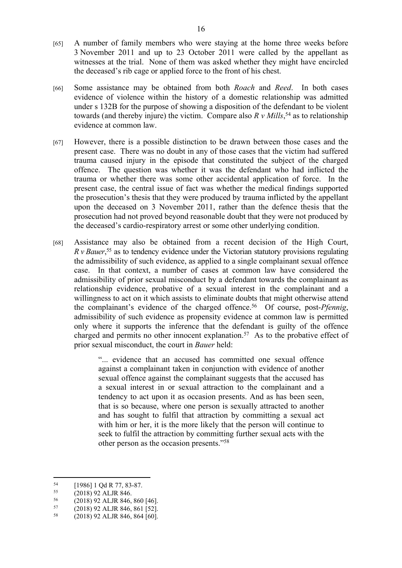- [65] A number of family members who were staying at the home three weeks before 3 November 2011 and up to 23 October 2011 were called by the appellant as witnesses at the trial. None of them was asked whether they might have encircled the deceased's rib cage or applied force to the front of his chest.
- [66] Some assistance may be obtained from both *Roach* and *Reed*. In both cases evidence of violence within the history of a domestic relationship was admitted under s 132B for the purpose of showing a disposition of the defendant to be violent towards (and thereby injure) the victim. Compare also *R v Mills*, <sup>54</sup> as to relationship evidence at common law.
- [67] However, there is a possible distinction to be drawn between those cases and the present case. There was no doubt in any of those cases that the victim had suffered trauma caused injury in the episode that constituted the subject of the charged offence. The question was whether it was the defendant who had inflicted the trauma or whether there was some other accidental application of force. In the present case, the central issue of fact was whether the medical findings supported the prosecution's thesis that they were produced by trauma inflicted by the appellant upon the deceased on 3 November 2011, rather than the defence thesis that the prosecution had not proved beyond reasonable doubt that they were not produced by the deceased's cardio-respiratory arrest or some other underlying condition.
- [68] Assistance may also be obtained from a recent decision of the High Court, *R v Bauer*<sup>55</sup> as to tendency evidence under the Victorian statutory provisions regulating the admissibility of such evidence, as applied to a single complainant sexual offence case. In that context, a number of cases at common law have considered the admissibility of prior sexual misconduct by a defendant towards the complainant as relationship evidence, probative of a sexual interest in the complainant and a willingness to act on it which assists to eliminate doubts that might otherwise attend the complainant's evidence of the charged offence.<sup>56</sup> Of course, post-*Pfennig*, admissibility of such evidence as propensity evidence at common law is permitted only where it supports the inference that the defendant is guilty of the offence charged and permits no other innocent explanation.<sup>57</sup> As to the probative effect of prior sexual misconduct, the court in *Bauer* held:

"... evidence that an accused has committed one sexual offence against a complainant taken in conjunction with evidence of another sexual offence against the complainant suggests that the accused has a sexual interest in or sexual attraction to the complainant and a tendency to act upon it as occasion presents. And as has been seen, that is so because, where one person is sexually attracted to another and has sought to fulfil that attraction by committing a sexual act with him or her, it is the more likely that the person will continue to seek to fulfil the attraction by committing further sexual acts with the other person as the occasion presents."<sup>58</sup>

- $^{56}$  (2018) 92 ALJR 846, 860 [46].<br> $^{57}$  (2018) 92 ALJB 846, 861 [52]
- $^{57}$  (2018) 92 ALJR 846, 861 [52].<br> $^{58}$  (2018) 92 ALJR 846, 864 [60]

 $\begin{array}{r} 54 \\ 55 \end{array}$  [1986] 1 Qd R 77, 83-87.

 $\frac{(2018)92 \text{ ALJ}R846.}{(2018)92 \text{ ALJ}R846.}$ 

<sup>58</sup> (2018) 92 ALJR 846, 864 [60].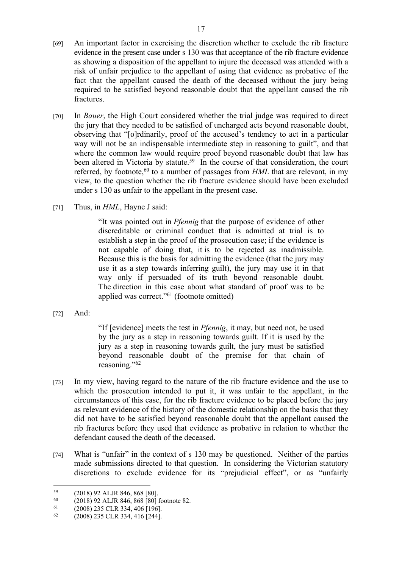- [70] In *Bauer*, the High Court considered whether the trial judge was required to direct the jury that they needed to be satisfied of uncharged acts beyond reasonable doubt, observing that "[o]rdinarily, proof of the accused's tendency to act in a particular way will not be an indispensable intermediate step in reasoning to guilt", and that where the common law would require proof beyond reasonable doubt that law has been altered in Victoria by statute.<sup>59</sup> In the course of that consideration, the court referred, by footnote,<sup>60</sup> to a number of passages from *HML* that are relevant, in my view, to the question whether the rib fracture evidence should have been excluded under s 130 as unfair to the appellant in the present case.
- [71] Thus, in *HML*, Hayne J said:

"It was pointed out in *Pfennig* that the purpose of evidence of other discreditable or criminal conduct that is admitted at trial is to establish a step in the proof of the prosecution case; if the evidence is not capable of doing that, it is to be rejected as inadmissible. Because this is the basis for admitting the evidence (that the jury may use it as a step towards inferring guilt), the jury may use it in that way only if persuaded of its truth beyond reasonable doubt. The direction in this case about what standard of proof was to be applied was correct."<sup>61</sup> (footnote omitted)

[72] And:

"If [evidence] meets the test in *Pfennig*, it may, but need not, be used by the jury as a step in reasoning towards guilt. If it is used by the jury as a step in reasoning towards guilt, the jury must be satisfied beyond reasonable doubt of the premise for that chain of reasoning."<sup>62</sup>

- [73] In my view, having regard to the nature of the rib fracture evidence and the use to which the prosecution intended to put it, it was unfair to the appellant, in the circumstances of this case, for the rib fracture evidence to be placed before the jury as relevant evidence of the history of the domestic relationship on the basis that they did not have to be satisfied beyond reasonable doubt that the appellant caused the rib fractures before they used that evidence as probative in relation to whether the defendant caused the death of the deceased.
- [74] What is "unfair" in the context of s 130 may be questioned. Neither of the parties made submissions directed to that question. In considering the Victorian statutory discretions to exclude evidence for its "prejudicial effect", or as "unfairly

 $^{59}$  (2018) 92 ALJR 846, 868 [80].

 $^{60}$  (2018) 92 ALJR 846, 868 [80] footnote 82.<br>  $^{61}$  (2008) 235 CLB 334, 406 [106]

<sup>61</sup> (2008) 235 CLR 334, 406 [196].

<sup>62</sup> (2008) 235 CLR 334, 416 [244].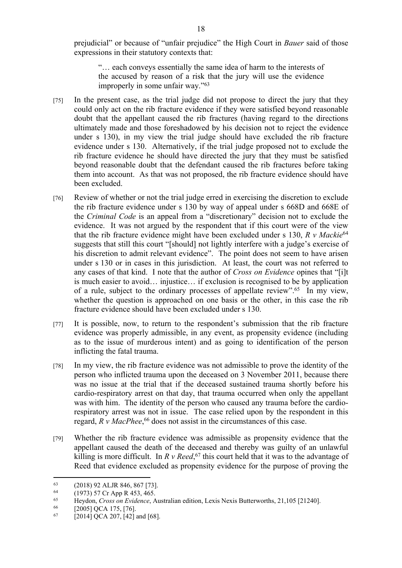prejudicial" or because of "unfair prejudice" the High Court in *Bauer* said of those expressions in their statutory contexts that:

"… each conveys essentially the same idea of harm to the interests of the accused by reason of a risk that the jury will use the evidence improperly in some unfair way."<sup>63</sup>

- [75] In the present case, as the trial judge did not propose to direct the jury that they could only act on the rib fracture evidence if they were satisfied beyond reasonable doubt that the appellant caused the rib fractures (having regard to the directions ultimately made and those foreshadowed by his decision not to reject the evidence under s 130), in my view the trial judge should have excluded the rib fracture evidence under s 130. Alternatively, if the trial judge proposed not to exclude the rib fracture evidence he should have directed the jury that they must be satisfied beyond reasonable doubt that the defendant caused the rib fractures before taking them into account. As that was not proposed, the rib fracture evidence should have been excluded.
- [76] Review of whether or not the trial judge erred in exercising the discretion to exclude the rib fracture evidence under s 130 by way of appeal under s 668D and 668E of the *Criminal Code* is an appeal from a "discretionary" decision not to exclude the evidence. It was not argued by the respondent that if this court were of the view that the rib fracture evidence might have been excluded under s 130, *R v Mackie*<sup>64</sup> suggests that still this court "[should] not lightly interfere with a judge's exercise of his discretion to admit relevant evidence". The point does not seem to have arisen under s 130 or in cases in this jurisdiction. At least, the court was not referred to any cases of that kind. I note that the author of *Cross on Evidence* opines that "[i]t is much easier to avoid… injustice… if exclusion is recognised to be by application of a rule, subject to the ordinary processes of appellate review".<sup>65</sup> In my view, whether the question is approached on one basis or the other, in this case the rib fracture evidence should have been excluded under s 130.
- [77] It is possible, now, to return to the respondent's submission that the rib fracture evidence was properly admissible, in any event, as propensity evidence (including as to the issue of murderous intent) and as going to identification of the person inflicting the fatal trauma.
- [78] In my view, the rib fracture evidence was not admissible to prove the identity of the person who inflicted trauma upon the deceased on 3 November 2011, because there was no issue at the trial that if the deceased sustained trauma shortly before his cardio-respiratory arrest on that day, that trauma occurred when only the appellant was with him. The identity of the person who caused any trauma before the cardiorespiratory arrest was not in issue. The case relied upon by the respondent in this regard, *R v MacPhee*, <sup>66</sup> does not assist in the circumstances of this case.
- [79] Whether the rib fracture evidence was admissible as propensity evidence that the appellant caused the death of the deceased and thereby was guilty of an unlawful killing is more difficult. In  $R$  v Reed,  $67$  this court held that it was to the advantage of Reed that evidence excluded as propensity evidence for the purpose of proving the

<sup>&</sup>lt;sup>63</sup> (2018) 92 ALJR 846, 867 [73].<br><sup>64</sup> (1973) 57 Cr App R 453, 465

<sup>&</sup>lt;sup>64</sup> (1973) 57 Cr App R 453, 465.

<sup>65</sup> Heydon, *Cross on Evidence*, Australian edition, Lexis Nexis Butterworths, 21,105 [21240].

<sup>[2005]</sup> QCA 175, [76].

 $^{67}$  [2014] QCA 207, [42] and [68].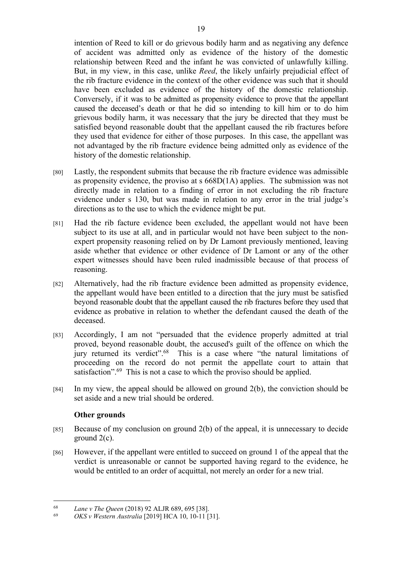intention of Reed to kill or do grievous bodily harm and as negativing any defence of accident was admitted only as evidence of the history of the domestic relationship between Reed and the infant he was convicted of unlawfully killing. But, in my view, in this case, unlike *Reed*, the likely unfairly prejudicial effect of the rib fracture evidence in the context of the other evidence was such that it should have been excluded as evidence of the history of the domestic relationship. Conversely, if it was to be admitted as propensity evidence to prove that the appellant caused the deceased's death or that he did so intending to kill him or to do him grievous bodily harm, it was necessary that the jury be directed that they must be satisfied beyond reasonable doubt that the appellant caused the rib fractures before they used that evidence for either of those purposes. In this case, the appellant was not advantaged by the rib fracture evidence being admitted only as evidence of the history of the domestic relationship.

- [80] Lastly, the respondent submits that because the rib fracture evidence was admissible as propensity evidence, the proviso at s 668D(1A) applies. The submission was not directly made in relation to a finding of error in not excluding the rib fracture evidence under s 130, but was made in relation to any error in the trial judge's directions as to the use to which the evidence might be put.
- [81] Had the rib facture evidence been excluded, the appellant would not have been subject to its use at all, and in particular would not have been subject to the nonexpert propensity reasoning relied on by Dr Lamont previously mentioned, leaving aside whether that evidence or other evidence of Dr Lamont or any of the other expert witnesses should have been ruled inadmissible because of that process of reasoning.
- [82] Alternatively, had the rib fracture evidence been admitted as propensity evidence, the appellant would have been entitled to a direction that the jury must be satisfied beyond reasonable doubt that the appellant caused the rib fractures before they used that evidence as probative in relation to whether the defendant caused the death of the deceased.
- [83] Accordingly, I am not "persuaded that the evidence properly admitted at trial proved, beyond reasonable doubt, the accused's guilt of the offence on which the jury returned its verdict".<sup>68</sup> This is a case where "the natural limitations of proceeding on the record do not permit the appellate court to attain that satisfaction".<sup>69</sup> This is not a case to which the proviso should be applied.
- [84] In my view, the appeal should be allowed on ground 2(b), the conviction should be set aside and a new trial should be ordered.

# **Other grounds**

- [85] Because of my conclusion on ground 2(b) of the appeal, it is unnecessary to decide ground 2(c).
- [86] However, if the appellant were entitled to succeed on ground 1 of the appeal that the verdict is unreasonable or cannot be supported having regard to the evidence, he would be entitled to an order of acquittal, not merely an order for a new trial.

<sup>68</sup> *Lane v The Queen* (2018) 92 ALJR 689, 695 [38].

<sup>69</sup> *OKS v Western Australia* [2019] HCA 10, 10-11 [31].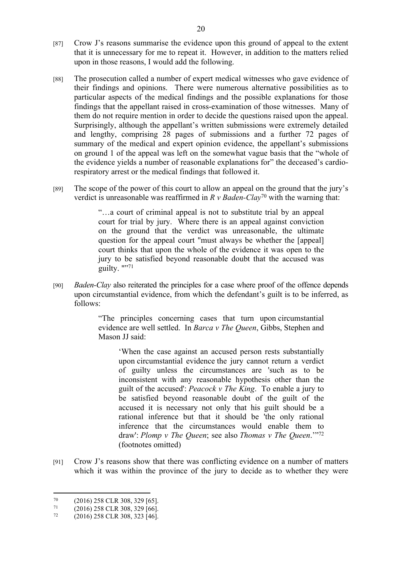- [87] Crow J's reasons summarise the evidence upon this ground of appeal to the extent that it is unnecessary for me to repeat it. However, in addition to the matters relied upon in those reasons, I would add the following.
- [88] The prosecution called a number of expert medical witnesses who gave evidence of their findings and opinions. There were numerous alternative possibilities as to particular aspects of the medical findings and the possible explanations for those findings that the appellant raised in cross-examination of those witnesses. Many of them do not require mention in order to decide the questions raised upon the appeal. Surprisingly, although the appellant's written submissions were extremely detailed and lengthy, comprising 28 pages of submissions and a further 72 pages of summary of the medical and expert opinion evidence, the appellant's submissions on ground 1 of the appeal was left on the somewhat vague basis that the "whole of the evidence yields a number of reasonable explanations for" the deceased's cardiorespiratory arrest or the medical findings that followed it.
- [89] The scope of the power of this court to allow an appeal on the ground that the jury's verdict is unreasonable was reaffirmed in *R v Baden-Clay*<sup>70</sup> with the warning that:

"…a court of criminal appeal is not to substitute trial by an appeal court for trial by jury. Where there is an appeal against conviction on the ground that the verdict was unreasonable, the ultimate question for the appeal court "must always be whether the [appeal] court thinks that upon the whole of the evidence it was open to the jury to be satisfied beyond reasonable doubt that the accused was guilty. ""<sup>71</sup>

[90] *Baden-Clay* also reiterated the principles for a case where proof of the offence depends upon circumstantial evidence, from which the defendant's guilt is to be inferred, as follows:

> "The principles concerning cases that turn upon circumstantial evidence are well settled. In *Barca v The Queen*, Gibbs, Stephen and Mason JJ said:

'When the case against an accused person rests substantially upon circumstantial evidence the jury cannot return a verdict of guilty unless the circumstances are 'such as to be inconsistent with any reasonable hypothesis other than the guilt of the accused': *Peacock v The King*. To enable a jury to be satisfied beyond reasonable doubt of the guilt of the accused it is necessary not only that his guilt should be a rational inference but that it should be 'the only rational inference that the circumstances would enable them to draw': *Plomp v The Queen*; see also *Thomas v The Queen*.'"<sup>72</sup> (footnotes omitted)

[91] Crow J's reasons show that there was conflicting evidence on a number of matters which it was within the province of the jury to decide as to whether they were

 $^{70}$  (2016) 258 CLR 308, 329 [65].<br> $^{71}$  (2016) 258 CLR 308, 329 [66]

 $^{71}$  (2016) 258 CLR 308, 329 [66].<br>  $^{72}$  (2016) 258 CLR 308, 323 [46].

<sup>72</sup> (2016) 258 CLR 308, 323 [46].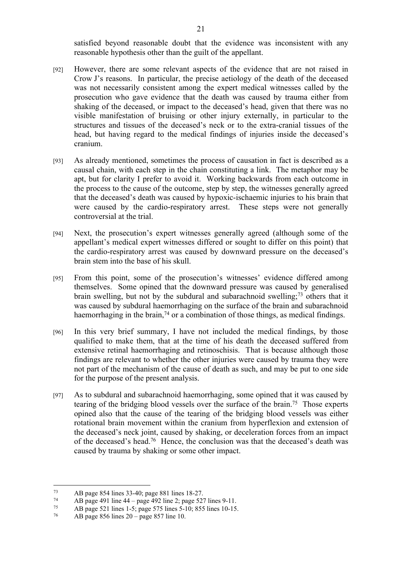satisfied beyond reasonable doubt that the evidence was inconsistent with any reasonable hypothesis other than the guilt of the appellant.

- [92] However, there are some relevant aspects of the evidence that are not raised in Crow J's reasons. In particular, the precise aetiology of the death of the deceased was not necessarily consistent among the expert medical witnesses called by the prosecution who gave evidence that the death was caused by trauma either from shaking of the deceased, or impact to the deceased's head, given that there was no visible manifestation of bruising or other injury externally, in particular to the structures and tissues of the deceased's neck or to the extra-cranial tissues of the head, but having regard to the medical findings of injuries inside the deceased's cranium.
- [93] As already mentioned, sometimes the process of causation in fact is described as a causal chain, with each step in the chain constituting a link. The metaphor may be apt, but for clarity I prefer to avoid it. Working backwards from each outcome in the process to the cause of the outcome, step by step, the witnesses generally agreed that the deceased's death was caused by hypoxic-ischaemic injuries to his brain that were caused by the cardio-respiratory arrest. These steps were not generally controversial at the trial.
- [94] Next, the prosecution's expert witnesses generally agreed (although some of the appellant's medical expert witnesses differed or sought to differ on this point) that the cardio-respiratory arrest was caused by downward pressure on the deceased's brain stem into the base of his skull.
- [95] From this point, some of the prosecution's witnesses' evidence differed among themselves. Some opined that the downward pressure was caused by generalised brain swelling, but not by the subdural and subarachnoid swelling;  $73$  others that it was caused by subdural haemorrhaging on the surface of the brain and subarachnoid haemorrhaging in the brain,  $74$  or a combination of those things, as medical findings.
- [96] In this very brief summary, I have not included the medical findings, by those qualified to make them, that at the time of his death the deceased suffered from extensive retinal haemorrhaging and retinoschisis. That is because although those findings are relevant to whether the other injuries were caused by trauma they were not part of the mechanism of the cause of death as such, and may be put to one side for the purpose of the present analysis.
- [97] As to subdural and subarachnoid haemorrhaging, some opined that it was caused by tearing of the bridging blood vessels over the surface of the brain.<sup>75</sup> Those experts opined also that the cause of the tearing of the bridging blood vessels was either rotational brain movement within the cranium from hyperflexion and extension of the deceased's neck joint, caused by shaking, or deceleration forces from an impact of the deceased's head.<sup>76</sup> Hence, the conclusion was that the deceased's death was caused by trauma by shaking or some other impact.

<sup>73</sup> AB page 854 lines 33-40; page 881 lines 18-27.<br> $74$  AB page 491 line 44 - page 492 line 2; page 52.

<sup>74</sup> AB page 491 line 44 – page 492 line 2; page 527 lines 9-11.<br> $\lambda$ B page 521 lines 1-5; page 575 lines 5-10; 855 lines 10-15

<sup>75</sup> AB page 521 lines 1-5; page 575 lines 5-10; 855 lines 10-15.

<sup>76</sup> AB page 856 lines 20 – page 857 line 10.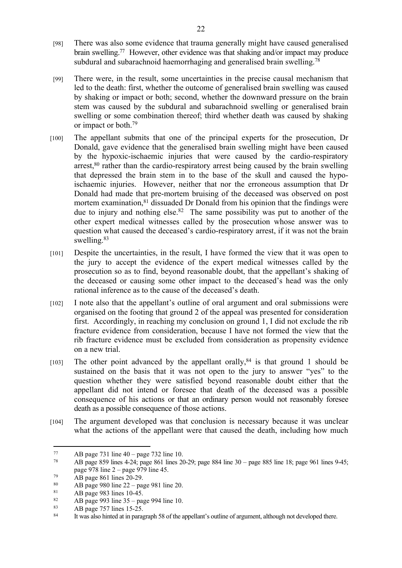- [98] There was also some evidence that trauma generally might have caused generalised brain swelling.<sup>77</sup> However, other evidence was that shaking and/or impact may produce subdural and subarachnoid haemorrhaging and generalised brain swelling.<sup>78</sup>
- [99] There were, in the result, some uncertainties in the precise causal mechanism that led to the death: first, whether the outcome of generalised brain swelling was caused by shaking or impact or both; second, whether the downward pressure on the brain stem was caused by the subdural and subarachnoid swelling or generalised brain swelling or some combination thereof; third whether death was caused by shaking or impact or both.<sup>79</sup>
- [100] The appellant submits that one of the principal experts for the prosecution, Dr Donald, gave evidence that the generalised brain swelling might have been caused by the hypoxic-ischaemic injuries that were caused by the cardio-respiratory arrest, $80$  rather than the cardio-respiratory arrest being caused by the brain swelling that depressed the brain stem in to the base of the skull and caused the hypoischaemic injuries. However, neither that nor the erroneous assumption that Dr Donald had made that pre-mortem bruising of the deceased was observed on post mortem examination,<sup>81</sup> dissuaded Dr Donald from his opinion that the findings were due to injury and nothing else.<sup>82</sup> The same possibility was put to another of the other expert medical witnesses called by the prosecution whose answer was to question what caused the deceased's cardio-respiratory arrest, if it was not the brain swelling.<sup>83</sup>
- [101] Despite the uncertainties, in the result, I have formed the view that it was open to the jury to accept the evidence of the expert medical witnesses called by the prosecution so as to find, beyond reasonable doubt, that the appellant's shaking of the deceased or causing some other impact to the deceased's head was the only rational inference as to the cause of the deceased's death.
- [102] I note also that the appellant's outline of oral argument and oral submissions were organised on the footing that ground 2 of the appeal was presented for consideration first. Accordingly, in reaching my conclusion on ground 1, I did not exclude the rib fracture evidence from consideration, because I have not formed the view that the rib fracture evidence must be excluded from consideration as propensity evidence on a new trial.
- [103] The other point advanced by the appellant orally,  $84$  is that ground 1 should be sustained on the basis that it was not open to the jury to answer "yes" to the question whether they were satisfied beyond reasonable doubt either that the appellant did not intend or foresee that death of the deceased was a possible consequence of his actions or that an ordinary person would not reasonably foresee death as a possible consequence of those actions.
- [104] The argument developed was that conclusion is necessary because it was unclear what the actions of the appellant were that caused the death, including how much

<sup>77</sup> AB page 731 line  $40 -$  page 732 line 10.<br>  $78$  AB page 859 lines 4.24; page 861 lines 20

<sup>78</sup> AB page 859 lines 4-24; page 861 lines 20-29; page 884 line 30 – page 885 line 18; page 961 lines 9-45; page 978 line 2 – page 979 line 45.

<sup>&</sup>lt;sup>79</sup> AB page 861 lines 20-29.

<sup>80</sup> AB page 980 line 22 – page 981 line 20.

 $^{81}$  AB page 983 lines 10-45.<br> $^{82}$  AB page 903 line 35 page

<sup>82</sup> AB page 993 line  $35 -$  page 994 line 10.

 $83$  AB page 757 lines 15-25.<br> $84$  It was also hinted at in parad

It was also hinted at in paragraph 58 of the appellant's outline of argument, although not developed there.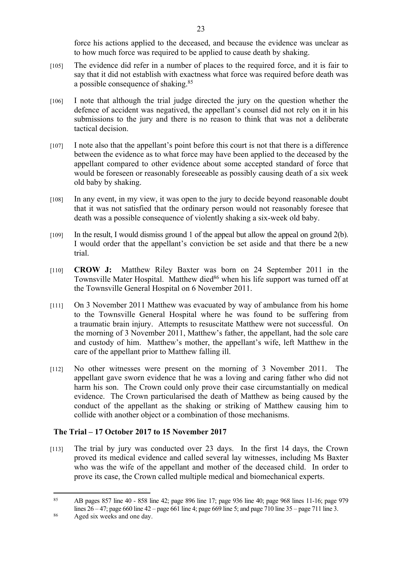force his actions applied to the deceased, and because the evidence was unclear as to how much force was required to be applied to cause death by shaking.

- [105] The evidence did refer in a number of places to the required force, and it is fair to say that it did not establish with exactness what force was required before death was a possible consequence of shaking.<sup>85</sup>
- [106] I note that although the trial judge directed the jury on the question whether the defence of accident was negatived, the appellant's counsel did not rely on it in his submissions to the jury and there is no reason to think that was not a deliberate tactical decision.
- [107] I note also that the appellant's point before this court is not that there is a difference between the evidence as to what force may have been applied to the deceased by the appellant compared to other evidence about some accepted standard of force that would be foreseen or reasonably foreseeable as possibly causing death of a six week old baby by shaking.
- [108] In any event, in my view, it was open to the jury to decide beyond reasonable doubt that it was not satisfied that the ordinary person would not reasonably foresee that death was a possible consequence of violently shaking a six-week old baby.
- [109] In the result, I would dismiss ground 1 of the appeal but allow the appeal on ground 2(b). I would order that the appellant's conviction be set aside and that there be a new trial.
- [110] **CROW J:** Matthew Riley Baxter was born on 24 September 2011 in the Townsville Mater Hospital. Matthew died<sup>86</sup> when his life support was turned off at the Townsville General Hospital on 6 November 2011.
- [111] On 3 November 2011 Matthew was evacuated by way of ambulance from his home to the Townsville General Hospital where he was found to be suffering from a traumatic brain injury. Attempts to resuscitate Matthew were not successful. On the morning of 3 November 2011, Matthew's father, the appellant, had the sole care and custody of him. Matthew's mother, the appellant's wife, left Matthew in the care of the appellant prior to Matthew falling ill.
- [112] No other witnesses were present on the morning of 3 November 2011. The appellant gave sworn evidence that he was a loving and caring father who did not harm his son. The Crown could only prove their case circumstantially on medical evidence. The Crown particularised the death of Matthew as being caused by the conduct of the appellant as the shaking or striking of Matthew causing him to collide with another object or a combination of those mechanisms.

# **The Trial – 17 October 2017 to 15 November 2017**

[113] The trial by jury was conducted over 23 days. In the first 14 days, the Crown proved its medical evidence and called several lay witnesses, including Ms Baxter who was the wife of the appellant and mother of the deceased child. In order to prove its case, the Crown called multiple medical and biomechanical experts.

<sup>85</sup> AB pages 857 line 40 - 858 line 42; page 896 line 17; page 936 line 40; page 968 lines 11-16; page 979 lines 26 – 47; page 660 line 42 – page 661 line 4; page 669 line 5; and page 710 line 35 – page 711 line 3.

<sup>86</sup> Aged six weeks and one day.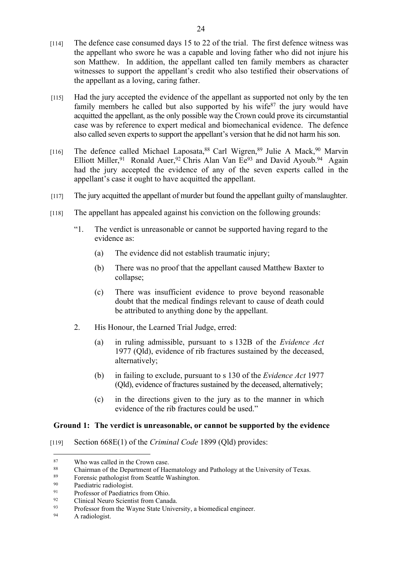- [114] The defence case consumed days 15 to 22 of the trial. The first defence witness was the appellant who swore he was a capable and loving father who did not injure his son Matthew. In addition, the appellant called ten family members as character witnesses to support the appellant's credit who also testified their observations of the appellant as a loving, caring father.
- [115] Had the jury accepted the evidence of the appellant as supported not only by the ten family members he called but also supported by his wife<sup>87</sup> the jury would have acquitted the appellant, as the only possible way the Crown could prove its circumstantial case was by reference to expert medical and biomechanical evidence. The defence also called seven experts to support the appellant's version that he did not harm his son.
- [116] The defence called Michael Laposata,<sup>88</sup> Carl Wigren,<sup>89</sup> Julie A Mack,<sup>90</sup> Marvin Elliott Miller, <sup>91</sup> Ronald Auer, <sup>92</sup> Chris Alan Van Ee<sup>93</sup> and David Ayoub. <sup>94</sup> Again had the jury accepted the evidence of any of the seven experts called in the appellant's case it ought to have acquitted the appellant.
- [117] The jury acquitted the appellant of murder but found the appellant guilty of manslaughter.
- [118] The appellant has appealed against his conviction on the following grounds:
	- "1. The verdict is unreasonable or cannot be supported having regard to the evidence as:
		- (a) The evidence did not establish traumatic injury;
		- (b) There was no proof that the appellant caused Matthew Baxter to collapse;
		- (c) There was insufficient evidence to prove beyond reasonable doubt that the medical findings relevant to cause of death could be attributed to anything done by the appellant.
	- 2. His Honour, the Learned Trial Judge, erred:
		- (a) in ruling admissible, pursuant to s 132B of the *Evidence Act* 1977 (Qld), evidence of rib fractures sustained by the deceased, alternatively;
		- (b) in failing to exclude, pursuant to s 130 of the *Evidence Act* 1977 (Qld), evidence of fractures sustained by the deceased, alternatively;
		- (c) in the directions given to the jury as to the manner in which evidence of the rib fractures could be used."

# **Ground 1: The verdict is unreasonable, or cannot be supported by the evidence**

[119] Section 668E(1) of the *Criminal Code* 1899 (Qld) provides:

 $\frac{87}{88}$  Who was called in the Crown case.

<sup>88</sup> Chairman of the Department of Haematology and Pathology at the University of Texas.<br>
Eccessic pathologist from Seattle Washington

<sup>&</sup>lt;sup>89</sup> Forensic pathologist from Seattle Washington.<br> $\frac{90}{2}$  Paediatric radiologist

<sup>&</sup>lt;sup>90</sup> Paediatric radiologist.<br><sup>91</sup> Professor of Paediatric

 $^{91}$  Professor of Paediatrics from Ohio.<br> $^{92}$  Clinical Neuro Scientist from Canad

<sup>&</sup>lt;sup>92</sup> Clinical Neuro Scientist from Canada.<br>Professor from the Wayne State Unive

 $\frac{93}{94}$  Professor from the Wayne State University, a biomedical engineer.<br>A radiologist

A radiologist.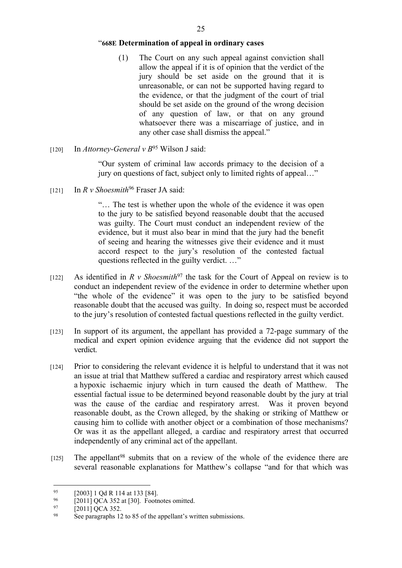# "**668E Determination of appeal in ordinary cases**

- (1) The Court on any such appeal against conviction shall allow the appeal if it is of opinion that the verdict of the jury should be set aside on the ground that it is unreasonable, or can not be supported having regard to the evidence, or that the judgment of the court of trial should be set aside on the ground of the wrong decision of any question of law, or that on any ground whatsoever there was a miscarriage of justice, and in any other case shall dismiss the appeal."
- [120] In *Attorney-General v B*<sup>95</sup> Wilson J said:

"Our system of criminal law accords primacy to the decision of a jury on questions of fact, subject only to limited rights of appeal…"

[121] In *R v Shoesmith*<sup>96</sup> Fraser JA said:

"… The test is whether upon the whole of the evidence it was open to the jury to be satisfied beyond reasonable doubt that the accused was guilty. The Court must conduct an independent review of the evidence, but it must also bear in mind that the jury had the benefit of seeing and hearing the witnesses give their evidence and it must accord respect to the jury's resolution of the contested factual questions reflected in the guilty verdict. …"

- [122] As identified in *R v Shoesmith*<sup>97</sup> the task for the Court of Appeal on review is to conduct an independent review of the evidence in order to determine whether upon "the whole of the evidence" it was open to the jury to be satisfied beyond reasonable doubt that the accused was guilty. In doing so, respect must be accorded to the jury's resolution of contested factual questions reflected in the guilty verdict.
- [123] In support of its argument, the appellant has provided a 72-page summary of the medical and expert opinion evidence arguing that the evidence did not support the verdict.
- [124] Prior to considering the relevant evidence it is helpful to understand that it was not an issue at trial that Matthew suffered a cardiac and respiratory arrest which caused a hypoxic ischaemic injury which in turn caused the death of Matthew. The essential factual issue to be determined beyond reasonable doubt by the jury at trial was the cause of the cardiac and respiratory arrest. Was it proven beyond reasonable doubt, as the Crown alleged, by the shaking or striking of Matthew or causing him to collide with another object or a combination of those mechanisms? Or was it as the appellant alleged, a cardiac and respiratory arrest that occurred independently of any criminal act of the appellant.
- $[125]$  The appellant<sup>98</sup> submits that on a review of the whole of the evidence there are several reasonable explanations for Matthew's collapse "and for that which was

<sup>&</sup>lt;sup>95</sup> [2003] 1 Qd R 114 at 133 [84].<br><sup>96</sup> [2011] QCA 352 at [30] Footr

<sup>&</sup>lt;sup>96</sup> [2011] QCA 352 at [30]. Footnotes omitted.<br><sup>97</sup> [2011] QCA 352

 $^{97}$  [2011] QCA 352.<br><sup>98</sup> See paragraphs 12

See paragraphs 12 to 85 of the appellant's written submissions.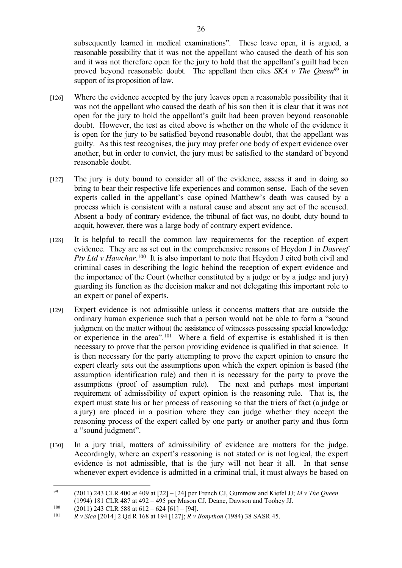subsequently learned in medical examinations". These leave open, it is argued, a reasonable possibility that it was not the appellant who caused the death of his son and it was not therefore open for the jury to hold that the appellant's guilt had been proved beyond reasonable doubt. The appellant then cites *SKA v The Queen*<sup>99</sup> in support of its proposition of law.

- [126] Where the evidence accepted by the jury leaves open a reasonable possibility that it was not the appellant who caused the death of his son then it is clear that it was not open for the jury to hold the appellant's guilt had been proven beyond reasonable doubt. However, the test as cited above is whether on the whole of the evidence it is open for the jury to be satisfied beyond reasonable doubt, that the appellant was guilty. As this test recognises, the jury may prefer one body of expert evidence over another, but in order to convict, the jury must be satisfied to the standard of beyond reasonable doubt.
- [127] The jury is duty bound to consider all of the evidence, assess it and in doing so bring to bear their respective life experiences and common sense. Each of the seven experts called in the appellant's case opined Matthew's death was caused by a process which is consistent with a natural cause and absent any act of the accused. Absent a body of contrary evidence, the tribunal of fact was, no doubt, duty bound to acquit, however, there was a large body of contrary expert evidence.
- [128] It is helpful to recall the common law requirements for the reception of expert evidence. They are as set out in the comprehensive reasons of Heydon J in *Dasreef*  Pty Ltd v Hawchar.<sup>100</sup> It is also important to note that Heydon J cited both civil and criminal cases in describing the logic behind the reception of expert evidence and the importance of the Court (whether constituted by a judge or by a judge and jury) guarding its function as the decision maker and not delegating this important role to an expert or panel of experts.
- [129] Expert evidence is not admissible unless it concerns matters that are outside the ordinary human experience such that a person would not be able to form a "sound judgment on the matter without the assistance of witnesses possessing special knowledge or experience in the area".<sup>101</sup> Where a field of expertise is established it is then necessary to prove that the person providing evidence is qualified in that science. It is then necessary for the party attempting to prove the expert opinion to ensure the expert clearly sets out the assumptions upon which the expert opinion is based (the assumption identification rule) and then it is necessary for the party to prove the assumptions (proof of assumption rule). The next and perhaps most important requirement of admissibility of expert opinion is the reasoning rule. That is, the expert must state his or her process of reasoning so that the triers of fact (a judge or a jury) are placed in a position where they can judge whether they accept the reasoning process of the expert called by one party or another party and thus form a "sound judgment".
- [130] In a jury trial, matters of admissibility of evidence are matters for the judge. Accordingly, where an expert's reasoning is not stated or is not logical, the expert evidence is not admissible, that is the jury will not hear it all. In that sense whenever expert evidence is admitted in a criminal trial, it must always be based on

<sup>99</sup> (2011) 243 CLR 400 at 409 at [22] – [24] per French CJ, Gummow and Kiefel JJ; *M v The Queen* (1994) 181 CLR 487 at 492 – 495 per Mason CJ, Deane, Dawson and Toohey JJ.

 $^{100}$  (2011) 243 CLR 588 at 612 – 624 [61] – [94].<br>  $^{101}$  R v Sica [2014] 2 Od R 168 at 194 [127]; R v I

<sup>101</sup> *R v Sica* [2014] 2 Qd R 168 at 194 [127]; *R v Bonython* (1984) 38 SASR 45.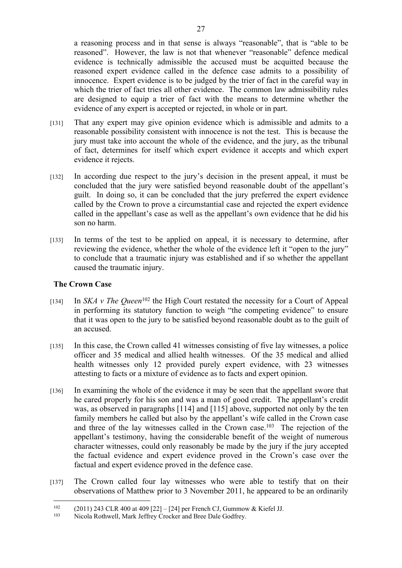a reasoning process and in that sense is always "reasonable", that is "able to be reasoned". However, the law is not that whenever "reasonable" defence medical evidence is technically admissible the accused must be acquitted because the reasoned expert evidence called in the defence case admits to a possibility of innocence. Expert evidence is to be judged by the trier of fact in the careful way in which the trier of fact tries all other evidence. The common law admissibility rules are designed to equip a trier of fact with the means to determine whether the evidence of any expert is accepted or rejected, in whole or in part.

- [131] That any expert may give opinion evidence which is admissible and admits to a reasonable possibility consistent with innocence is not the test. This is because the jury must take into account the whole of the evidence, and the jury, as the tribunal of fact, determines for itself which expert evidence it accepts and which expert evidence it rejects.
- [132] In according due respect to the jury's decision in the present appeal, it must be concluded that the jury were satisfied beyond reasonable doubt of the appellant's guilt. In doing so, it can be concluded that the jury preferred the expert evidence called by the Crown to prove a circumstantial case and rejected the expert evidence called in the appellant's case as well as the appellant's own evidence that he did his son no harm.
- [133] In terms of the test to be applied on appeal, it is necessary to determine, after reviewing the evidence, whether the whole of the evidence left it "open to the jury" to conclude that a traumatic injury was established and if so whether the appellant caused the traumatic injury.

# **The Crown Case**

- [134] In *SKA v The Queen*<sup>102</sup> the High Court restated the necessity for a Court of Appeal in performing its statutory function to weigh "the competing evidence" to ensure that it was open to the jury to be satisfied beyond reasonable doubt as to the guilt of an accused.
- [135] In this case, the Crown called 41 witnesses consisting of five lay witnesses, a police officer and 35 medical and allied health witnesses. Of the 35 medical and allied health witnesses only 12 provided purely expert evidence, with 23 witnesses attesting to facts or a mixture of evidence as to facts and expert opinion.
- [136] In examining the whole of the evidence it may be seen that the appellant swore that he cared properly for his son and was a man of good credit. The appellant's credit was, as observed in paragraphs [114] and [115] above, supported not only by the ten family members he called but also by the appellant's wife called in the Crown case and three of the lay witnesses called in the Crown case.<sup>103</sup> The rejection of the appellant's testimony, having the considerable benefit of the weight of numerous character witnesses, could only reasonably be made by the jury if the jury accepted the factual evidence and expert evidence proved in the Crown's case over the factual and expert evidence proved in the defence case.
- [137] The Crown called four lay witnesses who were able to testify that on their observations of Matthew prior to 3 November 2011, he appeared to be an ordinarily

<sup>&</sup>lt;sup>102</sup> (2011) 243 CLR 400 at 409 [22] – [24] per French CJ, Gummow & Kiefel JJ.<br><sup>103</sup> Nicola Rothwell, Mark Jeffrey Crocker and Bree Dale Godfrey.

Nicola Rothwell, Mark Jeffrey Crocker and Bree Dale Godfrey.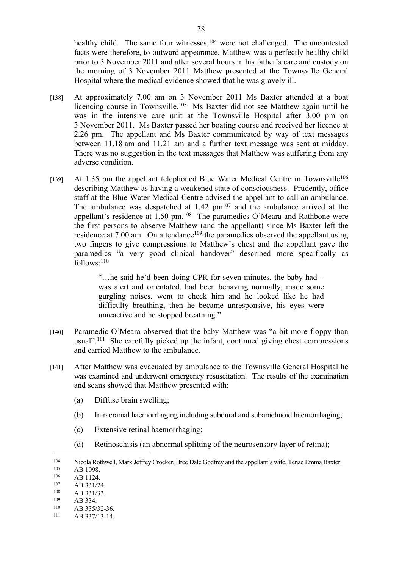healthy child. The same four witnesses,<sup>104</sup> were not challenged. The uncontested facts were therefore, to outward appearance, Matthew was a perfectly healthy child prior to 3 November 2011 and after several hours in his father's care and custody on the morning of 3 November 2011 Matthew presented at the Townsville General Hospital where the medical evidence showed that he was gravely ill.

- [138] At approximately 7.00 am on 3 November 2011 Ms Baxter attended at a boat licencing course in Townsville.<sup>105</sup> Ms Baxter did not see Matthew again until he was in the intensive care unit at the Townsville Hospital after 3.00 pm on 3 November 2011. Ms Baxter passed her boating course and received her licence at 2.26 pm. The appellant and Ms Baxter communicated by way of text messages between 11.18 am and 11.21 am and a further text message was sent at midday. There was no suggestion in the text messages that Matthew was suffering from any adverse condition.
- [139] At 1.35 pm the appellant telephoned Blue Water Medical Centre in Townsville<sup>106</sup> describing Matthew as having a weakened state of consciousness. Prudently, office staff at the Blue Water Medical Centre advised the appellant to call an ambulance. The ambulance was despatched at  $1.42 \text{ pm}^{107}$  and the ambulance arrived at the appellant's residence at 1.50 pm.<sup>108</sup> The paramedics O'Meara and Rathbone were the first persons to observe Matthew (and the appellant) since Ms Baxter left the residence at 7.00 am. On attendance<sup>109</sup> the paramedics observed the appellant using two fingers to give compressions to Matthew's chest and the appellant gave the paramedics "a very good clinical handover" described more specifically as follows:<sup>110</sup>

"…he said he'd been doing CPR for seven minutes, the baby had – was alert and orientated, had been behaving normally, made some gurgling noises, went to check him and he looked like he had difficulty breathing, then he became unresponsive, his eyes were unreactive and he stopped breathing."

- [140] Paramedic O'Meara observed that the baby Matthew was "a bit more floppy than usual".<sup>111</sup> She carefully picked up the infant, continued giving chest compressions and carried Matthew to the ambulance.
- [141] After Matthew was evacuated by ambulance to the Townsville General Hospital he was examined and underwent emergency resuscitation. The results of the examination and scans showed that Matthew presented with:
	- (a) Diffuse brain swelling;
	- (b) Intracranial haemorrhaging including subdural and subarachnoid haemorrhaging;
	- (c) Extensive retinal haemorrhaging;
	- (d) Retinoschisis (an abnormal splitting of the neurosensory layer of retina);

 $106$  AB 1124.

 $109$  AB 334.

<sup>104</sup> Nicola Rothwell, Mark Jeffrey Crocker, Bree Dale Godfrey and the appellant's wife, Tenae Emma Baxter.  $\frac{105}{106}$  AB 1098.

 $107$  AB 331/24.

 $\frac{108}{109}$  AB 331/33.

 $110$  AB 335/32-36.

AB 337/13-14.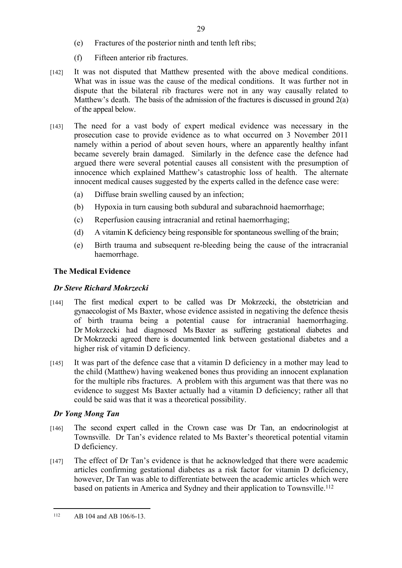- (e) Fractures of the posterior ninth and tenth left ribs;
- (f) Fifteen anterior rib fractures.
- [142] It was not disputed that Matthew presented with the above medical conditions. What was in issue was the cause of the medical conditions. It was further not in dispute that the bilateral rib fractures were not in any way causally related to Matthew's death. The basis of the admission of the fractures is discussed in ground 2(a) of the appeal below.

29

- [143] The need for a vast body of expert medical evidence was necessary in the prosecution case to provide evidence as to what occurred on 3 November 2011 namely within a period of about seven hours, where an apparently healthy infant became severely brain damaged. Similarly in the defence case the defence had argued there were several potential causes all consistent with the presumption of innocence which explained Matthew's catastrophic loss of health. The alternate innocent medical causes suggested by the experts called in the defence case were:
	- (a) Diffuse brain swelling caused by an infection;
	- (b) Hypoxia in turn causing both subdural and subarachnoid haemorrhage;
	- (c) Reperfusion causing intracranial and retinal haemorrhaging;
	- (d) A vitamin K deficiency being responsible for spontaneous swelling of the brain;
	- (e) Birth trauma and subsequent re-bleeding being the cause of the intracranial haemorrhage.

# **The Medical Evidence**

# *Dr Steve Richard Mokrzecki*

- [144] The first medical expert to be called was Dr Mokrzecki, the obstetrician and gynaecologist of Ms Baxter, whose evidence assisted in negativing the defence thesis of birth trauma being a potential cause for intracranial haemorrhaging. Dr Mokrzecki had diagnosed Ms Baxter as suffering gestational diabetes and Dr Mokrzecki agreed there is documented link between gestational diabetes and a higher risk of vitamin D deficiency.
- [145] It was part of the defence case that a vitamin D deficiency in a mother may lead to the child (Matthew) having weakened bones thus providing an innocent explanation for the multiple ribs fractures. A problem with this argument was that there was no evidence to suggest Ms Baxter actually had a vitamin D deficiency; rather all that could be said was that it was a theoretical possibility.

# *Dr Yong Mong Tan*

- [146] The second expert called in the Crown case was Dr Tan, an endocrinologist at Townsville. Dr Tan's evidence related to Ms Baxter's theoretical potential vitamin D deficiency.
- [147] The effect of Dr Tan's evidence is that he acknowledged that there were academic articles confirming gestational diabetes as a risk factor for vitamin D deficiency, however, Dr Tan was able to differentiate between the academic articles which were based on patients in America and Sydney and their application to Townsville.<sup>112</sup>

<sup>112</sup> AB 104 and AB 106/6-13.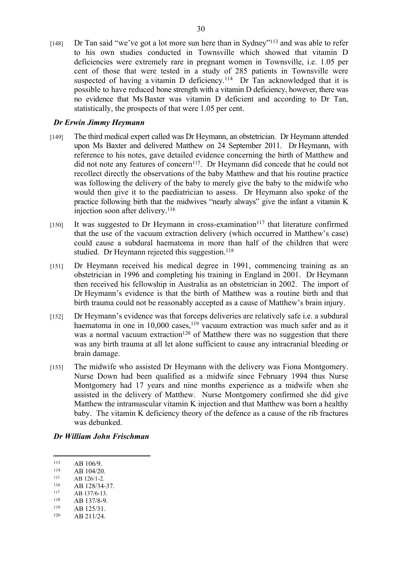[148] Dr Tan said "we've got a lot more sun here than in Sydney"<sup>113</sup> and was able to refer to his own studies conducted in Townsville which showed that vitamin D deficiencies were extremely rare in pregnant women in Townsville, i.e. 1.05 per cent of those that were tested in a study of 285 patients in Townsville were suspected of having a vitamin D deficiency.<sup>114</sup> Dr Tan acknowledged that it is possible to have reduced bone strength with a vitamin D deficiency, however, there was no evidence that Ms Baxter was vitamin D deficient and according to Dr Tan, statistically, the prospects of that were 1.05 per cent.

# *Dr Erwin Jimmy Heymann*

- [149] The third medical expert called was Dr Heymann, an obstetrician. Dr Heymann attended upon Ms Baxter and delivered Matthew on 24 September 2011. Dr Heymann, with reference to his notes, gave detailed evidence concerning the birth of Matthew and did not note any features of concern<sup>115</sup>. Dr Heymann did concede that he could not recollect directly the observations of the baby Matthew and that his routine practice was following the delivery of the baby to merely give the baby to the midwife who would then give it to the paediatrician to assess. Dr Heymann also spoke of the practice following birth that the midwives "nearly always" give the infant a vitamin K injection soon after delivery.<sup>116</sup>
- $[150]$  It was suggested to Dr Heymann in cross-examination<sup>117</sup> that literature confirmed that the use of the vacuum extraction delivery (which occurred in Matthew's case) could cause a subdural haematoma in more than half of the children that were studied. Dr Heymann rejected this suggestion.<sup>118</sup>
- [151] Dr Heymann received his medical degree in 1991, commencing training as an obstetrician in 1996 and completing his training in England in 2001. Dr Heymann then received his fellowship in Australia as an obstetrician in 2002. The import of Dr Heymann's evidence is that the birth of Matthew was a routine birth and that birth trauma could not be reasonably accepted as a cause of Matthew's brain injury.
- [152] Dr Heymann's evidence was that forceps deliveries are relatively safe i.e. a subdural haematoma in one in 10,000 cases,<sup>119</sup> vacuum extraction was much safer and as it was a normal vacuum extraction<sup>120</sup> of Matthew there was no suggestion that there was any birth trauma at all let alone sufficient to cause any intracranial bleeding or brain damage.
- [153] The midwife who assisted Dr Heymann with the delivery was Fiona Montgomery. Nurse Down had been qualified as a midwife since February 1994 thus Nurse Montgomery had 17 years and nine months experience as a midwife when she assisted in the delivery of Matthew. Nurse Montgomery confirmed she did give Matthew the intramuscular vitamin K injection and that Matthew was born a healthy baby. The vitamin K deficiency theory of the defence as a cause of the rib fractures was debunked.

#### *Dr William John Frischman*

 $\frac{114}{115}$  AB 104/20.

- $^{116}$  AB 128/34-37.
- $\frac{117}{118}$  AB 137/6-13.
- $\frac{118}{119}$  AB 137/8-9. AB 125/31.

 $113$  AB 106/9.<br>114 AB 104/20

 $\frac{115}{116}$  AB 126/1-2.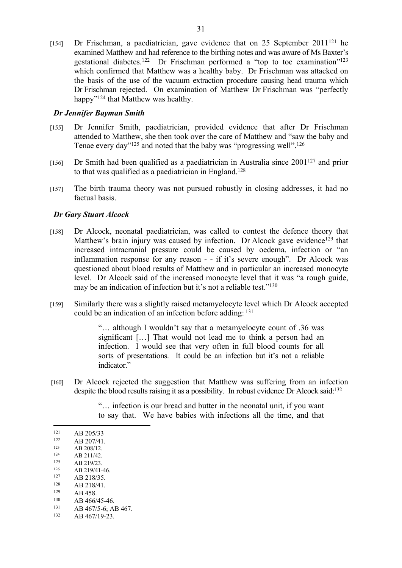[154] Dr Frischman, a paediatrician, gave evidence that on 25 September 2011<sup>121</sup> he examined Matthew and had reference to the birthing notes and was aware of Ms Baxter's gestational diabetes.<sup>122</sup> Dr Frischman performed a "top to toe examination"<sup>123</sup> which confirmed that Matthew was a healthy baby. Dr Frischman was attacked on the basis of the use of the vacuum extraction procedure causing head trauma which Dr Frischman rejected. On examination of Matthew Dr Frischman was "perfectly happy"<sup>124</sup> that Matthew was healthy.

## *Dr Jennifer Bayman Smith*

- [155] Dr Jennifer Smith, paediatrician, provided evidence that after Dr Frischman attended to Matthew, she then took over the care of Matthew and "saw the baby and Tenae every day"<sup>125</sup> and noted that the baby was "progressing well".<sup>126</sup>
- [156] Dr Smith had been qualified as a paediatrician in Australia since  $2001^{127}$  and prior to that was qualified as a paediatrician in England.<sup>128</sup>
- [157] The birth trauma theory was not pursued robustly in closing addresses, it had no factual basis.

#### *Dr Gary Stuart Alcock*

- [158] Dr Alcock, neonatal paediatrician, was called to contest the defence theory that Matthew's brain injury was caused by infection. Dr Alcock gave evidence<sup>129</sup> that increased intracranial pressure could be caused by oedema, infection or "an inflammation response for any reason - - if it's severe enough". Dr Alcock was questioned about blood results of Matthew and in particular an increased monocyte level. Dr Alcock said of the increased monocyte level that it was "a rough guide, may be an indication of infection but it's not a reliable test."<sup>130</sup>
- [159] Similarly there was a slightly raised metamyelocyte level which Dr Alcock accepted could be an indication of an infection before adding: <sup>131</sup>

"… although I wouldn't say that a metamyelocyte count of .36 was significant […] That would not lead me to think a person had an infection. I would see that very often in full blood counts for all sorts of presentations. It could be an infection but it's not a reliable indicator."

[160] Dr Alcock rejected the suggestion that Matthew was suffering from an infection despite the blood results raising it as a possibility. In robust evidence Dr Alcock said:<sup>132</sup>

> "… infection is our bread and butter in the neonatal unit, if you want to say that. We have babies with infections all the time, and that

- $\frac{126}{127}$  AB 219/41-46.  $\frac{127}{128}$  AB 218/35.
- $128$  AB 218/41.
- $129$  AB 458.<br> $130$  AB 466/
- $130$  AB 466/45-46.
- 131 AB 467/5-6; AB 467.

 $121$  AB 205/33

 $122$  AB 207/41.

 $\frac{123}{124}$  AB 208/12.

 $\frac{124}{125}$  AB 211/42.

 $\frac{125}{126}$  AB 219/23.

AB 467/19-23.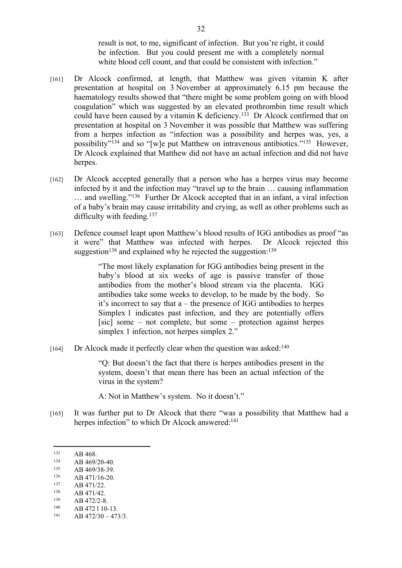result is not, to me, significant of infection. But you're right, it could be infection. But you could present me with a completely normal white blood cell count, and that could be consistent with infection."

- [161] Dr Alcock confirmed, at length, that Matthew was given vitamin K after presentation at hospital on 3 November at approximately 6.15 pm because the haematology results showed that "there might be some problem going on with blood coagulation" which was suggested by an elevated prothrombin time result which could have been caused by a vitamin K deficiency.<sup>133</sup> Dr Alcock confirmed that on presentation at hospital on 3 November it was possible that Matthew was suffering from a herpes infection as "infection was a possibility and herpes was, yes, a possibility"<sup>134</sup> and so "[w]e put Matthew on intravenous antibiotics."<sup>135</sup> However, Dr Alcock explained that Matthew did not have an actual infection and did not have herpes.
- [162] Dr Alcock accepted generally that a person who has a herpes virus may become infected by it and the infection may "travel up to the brain … causing inflammation … and swelling."<sup>136</sup> Further Dr Alcock accepted that in an infant, a viral infection of a baby's brain may cause irritability and crying, as well as other problems such as difficulty with feeding.<sup>137</sup>
- [163] Defence counsel leapt upon Matthew's blood results of IGG antibodies as proof "as it were" that Matthew was infected with herpes. Dr Alcock rejected this suggestion<sup>138</sup> and explained why he rejected the suggestion:<sup>139</sup>

"The most likely explanation for IGG antibodies being present in the baby's blood at six weeks of age is passive transfer of those antibodies from the mother's blood stream via the placenta. IGG antibodies take some weeks to develop, to be made by the body. So it's incorrect to say that a – the presence of IGG antibodies to herpes Simplex 1 indicates past infection, and they are potentially offers [sic] some – not complete, but some – protection against herpes simplex 1 infection, not herpes simplex 2."

[164] Dr Alcock made it perfectly clear when the question was asked:<sup>140</sup>

"Q: But doesn't the fact that there is herpes antibodies present in the system, doesn't that mean there has been an actual infection of the virus in the system?

A: Not in Matthew's system. No it doesn't."

[165] It was further put to Dr Alcock that there "was a possibility that Matthew had a herpes infection" to which Dr Alcock answered:<sup>141</sup>

 $133$  AB 468.

 $134$  AB 469/20-40.

 $\frac{135}{136}$  AB 469/38-39.

 $136$  AB 471/16-20.

 $137$  AB 471/22.

 $138$  AB 471/42.

 $139$  AB 472/2-8.

 $140$  AB 472 1 10-13.

AB 472/30 - 473/3.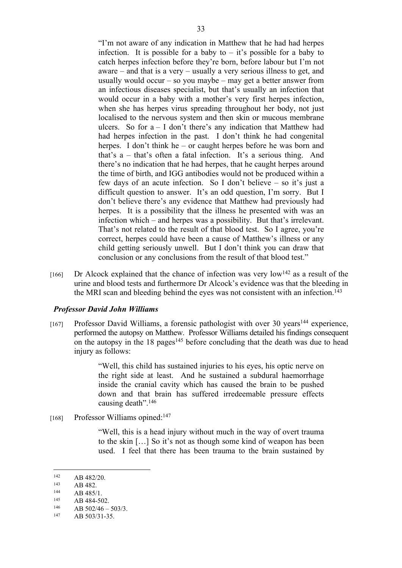"I'm not aware of any indication in Matthew that he had had herpes infection. It is possible for a baby to  $-$  it's possible for a baby to catch herpes infection before they're born, before labour but I'm not aware – and that is a very – usually a very serious illness to get, and usually would occur – so you maybe – may get a better answer from an infectious diseases specialist, but that's usually an infection that would occur in a baby with a mother's very first herpes infection, when she has herpes virus spreading throughout her body, not just localised to the nervous system and then skin or mucous membrane ulcers. So for  $a - I$  don't there's any indication that Matthew had had herpes infection in the past. I don't think he had congenital herpes. I don't think he – or caught herpes before he was born and that's a – that's often a fatal infection. It's a serious thing. And there's no indication that he had herpes, that he caught herpes around the time of birth, and IGG antibodies would not be produced within a few days of an acute infection. So I don't believe – so it's just a difficult question to answer. It's an odd question, I'm sorry. But I don't believe there's any evidence that Matthew had previously had herpes. It is a possibility that the illness he presented with was an infection which – and herpes was a possibility. But that's irrelevant. That's not related to the result of that blood test. So I agree, you're correct, herpes could have been a cause of Matthew's illness or any child getting seriously unwell. But I don't think you can draw that conclusion or any conclusions from the result of that blood test."

 $[166]$  Dr Alcock explained that the chance of infection was very low<sup>142</sup> as a result of the urine and blood tests and furthermore Dr Alcock's evidence was that the bleeding in the MRI scan and bleeding behind the eyes was not consistent with an infection.<sup>143</sup>

# *Professor David John Williams*

[167] Professor David Williams, a forensic pathologist with over 30 years<sup>144</sup> experience, performed the autopsy on Matthew. Professor Williams detailed his findings consequent on the autopsy in the 18 pages<sup>145</sup> before concluding that the death was due to head injury as follows:

> "Well, this child has sustained injuries to his eyes, his optic nerve on the right side at least. And he sustained a subdural haemorrhage inside the cranial cavity which has caused the brain to be pushed down and that brain has suffered irredeemable pressure effects causing death".<sup>146</sup>

[168] Professor Williams opined:<sup>147</sup>

"Well, this is a head injury without much in the way of overt trauma to the skin […] So it's not as though some kind of weapon has been used. I feel that there has been trauma to the brain sustained by

 $142$  AB 482/20.

 $143$  AB 482.

 $144$  AB 485/1.

<sup>&</sup>lt;sup>145</sup> AB 484-502.

<sup>146</sup> AB  $502/46 - 503/3$ .

AB 503/31-35.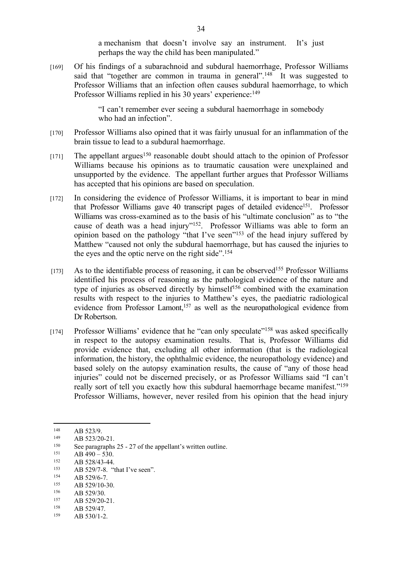a mechanism that doesn't involve say an instrument. It's just perhaps the way the child has been manipulated."

[169] Of his findings of a subarachnoid and subdural haemorrhage, Professor Williams said that "together are common in trauma in general".<sup>148</sup> It was suggested to Professor Williams that an infection often causes subdural haemorrhage, to which Professor Williams replied in his 30 years' experience:<sup>149</sup>

> "I can't remember ever seeing a subdural haemorrhage in somebody who had an infection".

- [170] Professor Williams also opined that it was fairly unusual for an inflammation of the brain tissue to lead to a subdural haemorrhage.
- $[171]$  The appellant argues<sup>150</sup> reasonable doubt should attach to the opinion of Professor Williams because his opinions as to traumatic causation were unexplained and unsupported by the evidence. The appellant further argues that Professor Williams has accepted that his opinions are based on speculation.
- [172] In considering the evidence of Professor Williams, it is important to bear in mind that Professor Williams gave 40 transcript pages of detailed evidence<sup>151</sup>. Professor Williams was cross-examined as to the basis of his "ultimate conclusion" as to "the cause of death was a head injury"<sup>152</sup>. Professor Williams was able to form an opinion based on the pathology "that I've seen"<sup>153</sup> of the head injury suffered by Matthew "caused not only the subdural haemorrhage, but has caused the injuries to the eyes and the optic nerve on the right side".<sup>154</sup>
- $[173]$  As to the identifiable process of reasoning, it can be observed<sup>155</sup> Professor Williams identified his process of reasoning as the pathological evidence of the nature and type of injuries as observed directly by himself<sup>156</sup> combined with the examination results with respect to the injuries to Matthew's eyes, the paediatric radiological evidence from Professor Lamont,<sup>157</sup> as well as the neuropathological evidence from Dr Robertson.
- [174] Professor Williams' evidence that he "can only speculate"<sup>158</sup> was asked specifically in respect to the autopsy examination results. That is, Professor Williams did provide evidence that, excluding all other information (that is the radiological information, the history, the ophthalmic evidence, the neuropathology evidence) and based solely on the autopsy examination results, the cause of "any of those head injuries" could not be discerned precisely, or as Professor Williams said "I can't really sort of tell you exactly how this subdural haemorrhage became manifest."<sup>159</sup> Professor Williams, however, never resiled from his opinion that the head injury

 $\frac{154}{155}$  AB 529/6-7.

- $\frac{157}{158}$  AB 529/20-21.
- AB 529/47.

 $148$  AB 523/9.

 $149$  AB 523/20-21.

<sup>&</sup>lt;sup>150</sup> See paragraphs 25 - 27 of the appellant's written outline.<br> $\Delta P_{A}^{151}$   $\Delta P_{A}^{100}$  530

 $151$  AB 490 – 530.<br>152 AB 538/43.44

AB 528/43-44.

<sup>&</sup>lt;sup>153</sup> AB 529/7-8. "that I've seen".<br><sup>154</sup> AB 520/6.7

 $155$  AB 529/10-30.

 $\frac{156}{157}$  AB 529/30.

<sup>159</sup> AB 530/1-2.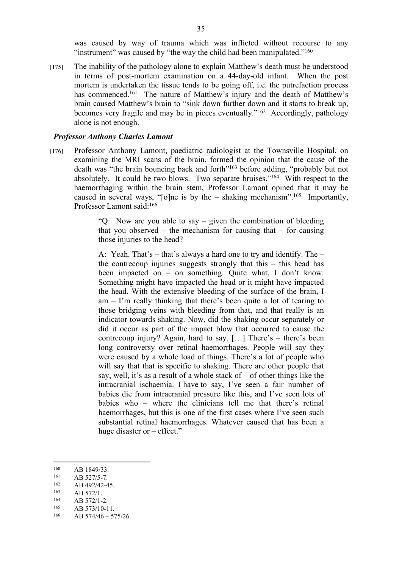was caused by way of trauma which was inflicted without recourse to any "instrument" was caused by "the way the child had been manipulated."<sup>160</sup>

[175] The inability of the pathology alone to explain Matthew's death must be understood in terms of post-mortem examination on a 44-day-old infant. When the post mortem is undertaken the tissue tends to be going off, i.e. the putrefaction process has commenced.<sup>161</sup> The nature of Matthew's injury and the death of Matthew's brain caused Matthew's brain to "sink down further down and it starts to break up, becomes very fragile and may be in pieces eventually."<sup>162</sup> Accordingly, pathology alone is not enough.

#### *Professor Anthony Charles Lamont*

[176] Professor Anthony Lamont, paediatric radiologist at the Townsville Hospital, on examining the MRI scans of the brain, formed the opinion that the cause of the death was "the brain bouncing back and forth"<sup>163</sup> before adding, "probably but not absolutely. It could be two blows. Two separate bruises."<sup>164</sup> With respect to the haemorrhaging within the brain stem, Professor Lamont opined that it may be caused in several ways, "[o]ne is by the  $-$  shaking mechanism".<sup>165</sup> Importantly, Professor Lamont said:<sup>166</sup>

> "Q: Now are you able to say – given the combination of bleeding that you observed – the mechanism for causing that – for causing those injuries to the head?

> A: Yeah. That's – that's always a hard one to try and identify. The – the contrecoup injuries suggests strongly that this – this head has been impacted on – on something. Quite what, I don't know. Something might have impacted the head or it might have impacted the head. With the extensive bleeding of the surface of the brain, I am – I'm really thinking that there's been quite a lot of tearing to those bridging veins with bleeding from that, and that really is an indicator towards shaking. Now, did the shaking occur separately or did it occur as part of the impact blow that occurred to cause the contrecoup injury? Again, hard to say. […] There's – there's been long controversy over retinal haemorrhages. People will say they were caused by a whole load of things. There's a lot of people who will say that that is specific to shaking. There are other people that say, well, it's as a result of a whole stack of  $-$  of other things like the intracranial ischaemia. I have to say, I've seen a fair number of babies die from intracranial pressure like this, and I've seen lots of babies who – where the clinicians tell me that there's retinal haemorrhages, but this is one of the first cases where I've seen such substantial retinal haemorrhages. Whatever caused that has been a huge disaster or – effect."

 $160$  AB 1849/33.

 $161$  AB 527/5-7.

 $162$  AB 492/42-45.

 $163$  AB 572/1.

 $\frac{164}{165}$  AB 572/1-2.

AB 573/10-11.

 $166$  AB  $574/46 - 575/26$ .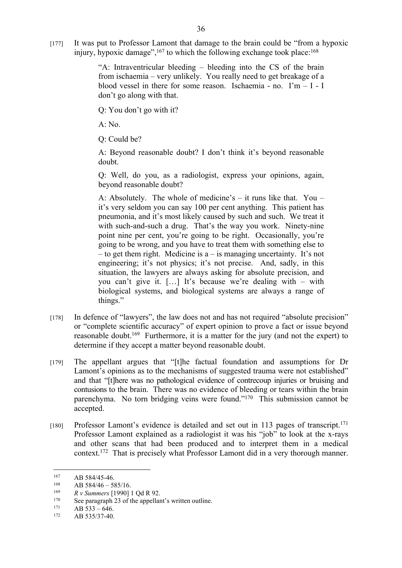[177] It was put to Professor Lamont that damage to the brain could be "from a hypoxic injury, hypoxic damage",  $167$  to which the following exchange took place:  $168$ 

> "A: Intraventricular bleeding – bleeding into the CS of the brain from ischaemia – very unlikely. You really need to get breakage of a blood vessel in there for some reason. Ischaemia - no.  $\Gamma m - I - I$ don't go along with that.

Q: You don't go with it?

 $A \cdot No$ 

Q: Could be?

A: Beyond reasonable doubt? I don't think it's beyond reasonable doubt.

Q: Well, do you, as a radiologist, express your opinions, again, beyond reasonable doubt?

A: Absolutely. The whole of medicine's – it runs like that. You – it's very seldom you can say 100 per cent anything. This patient has pneumonia, and it's most likely caused by such and such. We treat it with such-and-such a drug. That's the way you work. Ninety-nine point nine per cent, you're going to be right. Occasionally, you're going to be wrong, and you have to treat them with something else to – to get them right. Medicine is  $a - i s$  managing uncertainty. It's not engineering; it's not physics; it's not precise. And, sadly, in this situation, the lawyers are always asking for absolute precision, and you can't give it. […] It's because we're dealing with – with biological systems, and biological systems are always a range of things."

- [178] In defence of "lawyers", the law does not and has not required "absolute precision" or "complete scientific accuracy" of expert opinion to prove a fact or issue beyond reasonable doubt.<sup>169</sup> Furthermore, it is a matter for the jury (and not the expert) to determine if they accept a matter beyond reasonable doubt.
- [179] The appellant argues that "[t]he factual foundation and assumptions for Dr Lamont's opinions as to the mechanisms of suggested trauma were not established" and that "[t]here was no pathological evidence of contrecoup injuries or bruising and contusions to the brain. There was no evidence of bleeding or tears within the brain parenchyma. No torn bridging veins were found."<sup>170</sup> This submission cannot be accepted.
- [180] Professor Lamont's evidence is detailed and set out in 113 pages of transcript.<sup>171</sup> Professor Lamont explained as a radiologist it was his "job" to look at the x-rays and other scans that had been produced and to interpret them in a medical context.<sup>172</sup> That is precisely what Professor Lamont did in a very thorough manner.

 $167$  AB 584/45-46.

<sup>&</sup>lt;sup>168</sup> AB 584/46 – 585/16.

<sup>169</sup> *R v Summers* [1990] 1 Qd R 92.

<sup>&</sup>lt;sup>170</sup> See paragraph 23 of the appellant's written outline.<br><sup>171</sup>  $\Delta B$  533 646

 $171$  AB 533 – 646.

AB 535/37-40.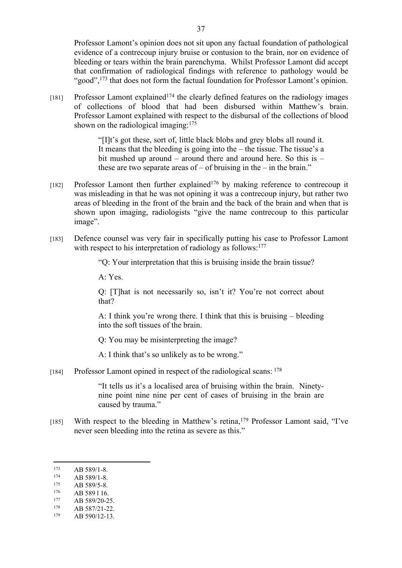Professor Lamont's opinion does not sit upon any factual foundation of pathological evidence of a contrecoup injury bruise or contusion to the brain, nor on evidence of bleeding or tears within the brain parenchyma. Whilst Professor Lamont did accept that confirmation of radiological findings with reference to pathology would be "good",<sup>173</sup> that does not form the factual foundation for Professor Lamont's opinion.

 $[181]$  Professor Lamont explained<sup> $174$ </sup> the clearly defined features on the radiology images of collections of blood that had been disbursed within Matthew's brain. Professor Lamont explained with respect to the disbursal of the collections of blood shown on the radiological imaging: $175$ 

> "[I]t's got these, sort of, little black blobs and grey blobs all round it. It means that the bleeding is going into the – the tissue. The tissue's a bit mushed up around – around there and around here. So this is – these are two separate areas of  $-$  of bruising in the  $-$  in the brain."

- [182] Professor Lamont then further explained<sup>176</sup> by making reference to contrecoup it was misleading in that he was not opining it was a contrecoup injury, but rather two areas of bleeding in the front of the brain and the back of the brain and when that is shown upon imaging, radiologists "give the name contrecoup to this particular image".
- [183] Defence counsel was very fair in specifically putting his case to Professor Lamont with respect to his interpretation of radiology as follows:<sup>177</sup>

"Q: Your interpretation that this is bruising inside the brain tissue?

A: Yes.

Q: [T]hat is not necessarily so, isn't it? You're not correct about that?

A: I think you're wrong there. I think that this is bruising – bleeding into the soft tissues of the brain.

Q: You may be misinterpreting the image?

A: I think that's so unlikely as to be wrong."

[184] Professor Lamont opined in respect of the radiological scans: <sup>178</sup>

"It tells us it's a localised area of bruising within the brain. Ninetynine point nine nine per cent of cases of bruising in the brain are caused by trauma."

[185] With respect to the bleeding in Matthew's retina,<sup>179</sup> Professor Lamont said, "I've never seen bleeding into the retina as severe as this."

 $177$  AB 589/20-25.

 $173$  AB 589/1-8.

 $174$  AB 589/1-8.

 $175$  AB 589/5-8.

 $176$  AB 589 1 16.

AB 587/21-22.

<sup>179</sup> AB 590/12-13.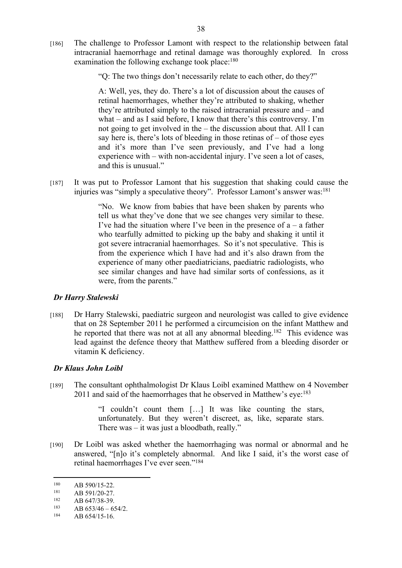[186] The challenge to Professor Lamont with respect to the relationship between fatal intracranial haemorrhage and retinal damage was thoroughly explored. In cross examination the following exchange took place:<sup>180</sup>

"Q: The two things don't necessarily relate to each other, do they?"

A: Well, yes, they do. There's a lot of discussion about the causes of retinal haemorrhages, whether they're attributed to shaking, whether they're attributed simply to the raised intracranial pressure and – and what – and as I said before, I know that there's this controversy. I'm not going to get involved in the – the discussion about that. All I can say here is, there's lots of bleeding in those retinas of – of those eyes and it's more than I've seen previously, and I've had a long experience with – with non-accidental injury. I've seen a lot of cases, and this is unusual."

[187] It was put to Professor Lamont that his suggestion that shaking could cause the injuries was "simply a speculative theory". Professor Lamont's answer was:<sup>181</sup>

> "No. We know from babies that have been shaken by parents who tell us what they've done that we see changes very similar to these. I've had the situation where I've been in the presence of  $a - a$  father who tearfully admitted to picking up the baby and shaking it until it got severe intracranial haemorrhages. So it's not speculative. This is from the experience which I have had and it's also drawn from the experience of many other paediatricians, paediatric radiologists, who see similar changes and have had similar sorts of confessions, as it were, from the parents."

#### *Dr Harry Stalewski*

[188] Dr Harry Stalewski, paediatric surgeon and neurologist was called to give evidence that on 28 September 2011 he performed a circumcision on the infant Matthew and he reported that there was not at all any abnormal bleeding.<sup>182</sup> This evidence was lead against the defence theory that Matthew suffered from a bleeding disorder or vitamin K deficiency.

# *Dr Klaus John Loibl*

[189] The consultant ophthalmologist Dr Klaus Loibl examined Matthew on 4 November 2011 and said of the haemorrhages that he observed in Matthew's eye:<sup>183</sup>

> "I couldn't count them […] It was like counting the stars, unfortunately. But they weren't discreet, as, like, separate stars. There was – it was just a bloodbath, really."

[190] Dr Loibl was asked whether the haemorrhaging was normal or abnormal and he answered, "[n]o it's completely abnormal. And like I said, it's the worst case of retinal haemorrhages I've ever seen."<sup>184</sup>

 $^{180}$  AB 590/15-22.

 $181$  AB 591/20-27.<br> $182$  AB 647/28.30

 $182$  AB 647/38-39.

 $AB 653/46 - 654/2.$ 

 $184$  AB 654/15-16.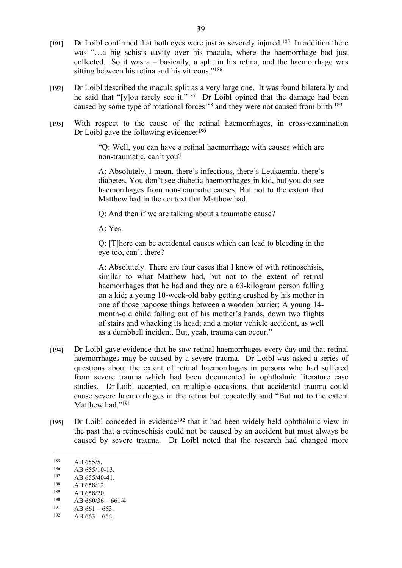- [191] Dr Loibl confirmed that both eyes were just as severely injured.<sup>185</sup> In addition there was "...a big schisis cavity over his macula, where the haemorrhage had just collected. So it was a – basically, a split in his retina, and the haemorrhage was sitting between his retina and his vitreous."<sup>186</sup>
- [192] Dr Loibl described the macula split as a very large one. It was found bilaterally and he said that "[y]ou rarely see it."<sup>187</sup> Dr Loibl opined that the damage had been caused by some type of rotational forces<sup>188</sup> and they were not caused from birth.<sup>189</sup>
- [193] With respect to the cause of the retinal haemorrhages, in cross-examination Dr Loibl gave the following evidence:<sup>190</sup>

"Q: Well, you can have a retinal haemorrhage with causes which are non-traumatic, can't you?

A: Absolutely. I mean, there's infectious, there's Leukaemia, there's diabetes. You don't see diabetic haemorrhages in kid, but you do see haemorrhages from non-traumatic causes. But not to the extent that Matthew had in the context that Matthew had.

Q: And then if we are talking about a traumatic cause?

A: Yes.

Q: [T]here can be accidental causes which can lead to bleeding in the eye too, can't there?

A: Absolutely. There are four cases that I know of with retinoschisis, similar to what Matthew had, but not to the extent of retinal haemorrhages that he had and they are a 63-kilogram person falling on a kid; a young 10-week-old baby getting crushed by his mother in one of those papoose things between a wooden barrier; A young 14 month-old child falling out of his mother's hands, down two flights of stairs and whacking its head; and a motor vehicle accident, as well as a dumbbell incident. But, yeah, trauma can occur."

- [194] Dr Loibl gave evidence that he saw retinal haemorrhages every day and that retinal haemorrhages may be caused by a severe trauma. Dr Loibl was asked a series of questions about the extent of retinal haemorrhages in persons who had suffered from severe trauma which had been documented in ophthalmic literature case studies. Dr Loibl accepted, on multiple occasions, that accidental trauma could cause severe haemorrhages in the retina but repeatedly said "But not to the extent Matthew had."<sup>191</sup>
- [195] Dr Loibl conceded in evidence<sup>192</sup> that it had been widely held ophthalmic view in the past that a retinoschisis could not be caused by an accident but must always be caused by severe trauma. Dr Loibl noted that the research had changed more

- $188$  AB 658/12.
- $\frac{189}{190}$  AB 658/20.

 $191$  AB 661 – 663.

<sup>&</sup>lt;sup>185</sup> AB 655/5.

 $186$  AB 655/10-13.<br>187 AB 655/40-41

 $187$  AB 655/40-41.<br>188 AB 658/12

<sup>&</sup>lt;sup>190</sup> AB  $660/36 - 661/4$ .

AB  $663 - 664$ .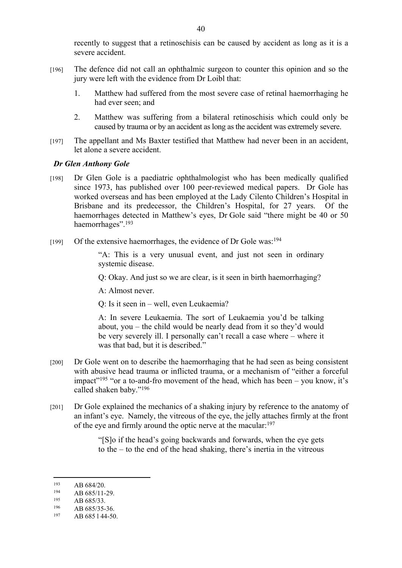recently to suggest that a retinoschisis can be caused by accident as long as it is a severe accident.

- [196] The defence did not call an ophthalmic surgeon to counter this opinion and so the jury were left with the evidence from Dr Loibl that:
	- 1. Matthew had suffered from the most severe case of retinal haemorrhaging he had ever seen; and
	- 2. Matthew was suffering from a bilateral retinoschisis which could only be caused by trauma or by an accident as long as the accident was extremely severe.
- [197] The appellant and Ms Baxter testified that Matthew had never been in an accident, let alone a severe accident.

#### *Dr Glen Anthony Gole*

- [198] Dr Glen Gole is a paediatric ophthalmologist who has been medically qualified since 1973, has published over 100 peer-reviewed medical papers. Dr Gole has worked overseas and has been employed at the Lady Cilento Children's Hospital in Brisbane and its predecessor, the Children's Hospital, for 27 years. Of the haemorrhages detected in Matthew's eyes, Dr Gole said "there might be 40 or 50 haemorrhages".<sup>193</sup>
- $[199]$  Of the extensive haemorrhages, the evidence of Dr Gole was:<sup>194</sup>

"A: This is a very unusual event, and just not seen in ordinary systemic disease.

Q: Okay. And just so we are clear, is it seen in birth haemorrhaging?

A: Almost never.

Q: Is it seen in – well, even Leukaemia?

A: In severe Leukaemia. The sort of Leukaemia you'd be talking about, you – the child would be nearly dead from it so they'd would be very severely ill. I personally can't recall a case where – where it was that bad, but it is described."

- [200] Dr Gole went on to describe the haemorrhaging that he had seen as being consistent with abusive head trauma or inflicted trauma, or a mechanism of "either a forceful impact"<sup>195</sup> "or a to-and-fro movement of the head, which has been – you know, it's called shaken baby."<sup>196</sup>
- [201] Dr Gole explained the mechanics of a shaking injury by reference to the anatomy of an infant's eye. Namely, the vitreous of the eye, the jelly attaches firmly at the front of the eye and firmly around the optic nerve at the macular:<sup>197</sup>

"[S]o if the head's going backwards and forwards, when the eye gets to the – to the end of the head shaking, there's inertia in the vitreous

 $193$  AB 684/20.

 $194$  AB 685/11-29.

 $\frac{195}{196}$  AB 685/33.

 $196$  AB 685/35-36.

AB 685 l 44-50.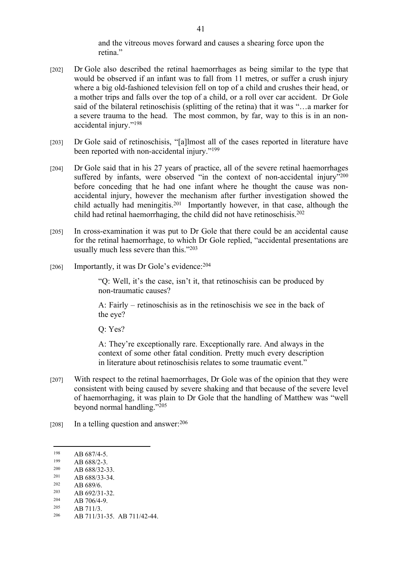and the vitreous moves forward and causes a shearing force upon the retina."

- [202] Dr Gole also described the retinal haemorrhages as being similar to the type that would be observed if an infant was to fall from 11 metres, or suffer a crush injury where a big old-fashioned television fell on top of a child and crushes their head, or a mother trips and falls over the top of a child, or a roll over car accident. Dr Gole said of the bilateral retinoschisis (splitting of the retina) that it was "…a marker for a severe trauma to the head. The most common, by far, way to this is in an nonaccidental injury."<sup>198</sup>
- [203] Dr Gole said of retinoschisis, "[a]lmost all of the cases reported in literature have been reported with non-accidental injury."<sup>199</sup>
- [204] Dr Gole said that in his 27 years of practice, all of the severe retinal haemorrhages suffered by infants, were observed "in the context of non-accidental injury"<sup>200</sup> before conceding that he had one infant where he thought the cause was nonaccidental injury, however the mechanism after further investigation showed the child actually had meningitis.<sup>201</sup> Importantly however, in that case, although the child had retinal haemorrhaging, the child did not have retinoschisis.<sup>202</sup>
- [205] In cross-examination it was put to Dr Gole that there could be an accidental cause for the retinal haemorrhage, to which Dr Gole replied, "accidental presentations are usually much less severe than this."<sup>203</sup>
- [206] Importantly, it was Dr Gole's evidence: <sup>204</sup>

"Q: Well, it's the case, isn't it, that retinoschisis can be produced by non-traumatic causes?

A: Fairly – retinoschisis as in the retinoschisis we see in the back of the eye?

Q: Yes?

A: They're exceptionally rare. Exceptionally rare. And always in the context of some other fatal condition. Pretty much every description in literature about retinoschisis relates to some traumatic event."

- [207] With respect to the retinal haemorrhages, Dr Gole was of the opinion that they were consistent with being caused by severe shaking and that because of the severe level of haemorrhaging, it was plain to Dr Gole that the handling of Matthew was "well beyond normal handling."<sup>205</sup>
- [208] In a telling question and answer: $206$

- <sup>201</sup> AB 688/33-34.
- $\frac{202}{203}$  AB 689/6.

 $\begin{array}{cc}\n 204 & \text{AB } 706/4 - 9. \\
 \text{205} & \text{AB } 711/2\n \end{array}$ 

 $\frac{198}{199}$  AB 687/4-5.

 $199$  AB 688/2-3.

 $\frac{200}{201}$  AB 688/32-33.

<sup>&</sup>lt;sup>203</sup> AB 692/31-32.<br><sup>204</sup> AB 706/4-9

 $205$  AB 711/3. AB 711/31-35. AB 711/42-44.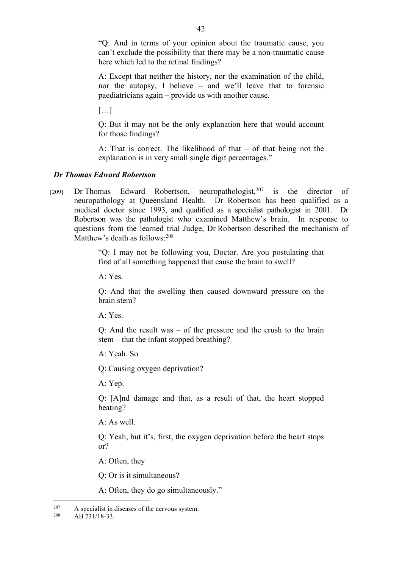"Q: And in terms of your opinion about the traumatic cause, you can't exclude the possibility that there may be a non-traumatic cause here which led to the retinal findings?

A: Except that neither the history, nor the examination of the child, nor the autopsy, I believe – and we'll leave that to forensic paediatricians again – provide us with another cause.

[…]

Q: But it may not be the only explanation here that would account for those findings?

A: That is correct. The likelihood of that – of that being not the explanation is in very small single digit percentages."

# *Dr Thomas Edward Robertson*

[209] Dr Thomas Edward Robertson, neuropathologist,  $207$  is the director of neuropathology at Queensland Health. Dr Robertson has been qualified as a medical doctor since 1993, and qualified as a specialist pathologist in 2001. Dr Robertson was the pathologist who examined Matthew's brain. In response to questions from the learned trial Judge, Dr Robertson described the mechanism of Matthew's death as follows: 208

> "Q: I may not be following you, Doctor. Are you postulating that first of all something happened that cause the brain to swell?

A: Yes.

Q: And that the swelling then caused downward pressure on the brain stem?

A: Yes.

Q: And the result was – of the pressure and the crush to the brain stem – that the infant stopped breathing?

A: Yeah. So

Q: Causing oxygen deprivation?

A: Yep.

Q: [A]nd damage and that, as a result of that, the heart stopped beating?

A: As well.

Q: Yeah, but it's, first, the oxygen deprivation before the heart stops or?

A: Often, they

Q: Or is it simultaneous?

A: Often, they do go simultaneously."

<sup>&</sup>lt;sup>207</sup> A specialist in diseases of the nervous system.

<sup>208</sup> AB 731/18-33.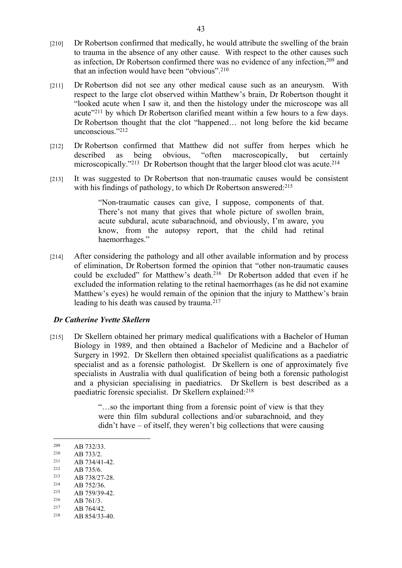- [210] Dr Robertson confirmed that medically, he would attribute the swelling of the brain to trauma in the absence of any other cause. With respect to the other causes such as infection, Dr Robertson confirmed there was no evidence of any infection,<sup>209</sup> and that an infection would have been "obvious".<sup>210</sup>
- [211] Dr Robertson did not see any other medical cause such as an aneurysm. With respect to the large clot observed within Matthew's brain, Dr Robertson thought it "looked acute when I saw it, and then the histology under the microscope was all acute"<sup>211</sup> by which Dr Robertson clarified meant within a few hours to a few days. Dr Robertson thought that the clot "happened… not long before the kid became unconscious."<sup>212</sup>
- [212] Dr Robertson confirmed that Matthew did not suffer from herpes which he described as being obvious, "often macroscopically, but certainly microscopically."<sup>213</sup> Dr Robertson thought that the larger blood clot was acute.<sup>214</sup>
- [213] It was suggested to Dr Robertson that non-traumatic causes would be consistent with his findings of pathology, to which Dr Robertson answered:<sup>215</sup>

"Non-traumatic causes can give, I suppose, components of that. There's not many that gives that whole picture of swollen brain, acute subdural, acute subarachnoid, and obviously, I'm aware, you know, from the autopsy report, that the child had retinal haemorrhages."

[214] After considering the pathology and all other available information and by process of elimination, Dr Robertson formed the opinion that "other non-traumatic causes could be excluded" for Matthew's death.<sup>216</sup> Dr Robertson added that even if he excluded the information relating to the retinal haemorrhages (as he did not examine Matthew's eyes) he would remain of the opinion that the injury to Matthew's brain leading to his death was caused by trauma.<sup>217</sup>

#### *Dr Catherine Yvette Skellern*

[215] Dr Skellern obtained her primary medical qualifications with a Bachelor of Human Biology in 1989, and then obtained a Bachelor of Medicine and a Bachelor of Surgery in 1992. Dr Skellern then obtained specialist qualifications as a paediatric specialist and as a forensic pathologist. Dr Skellern is one of approximately five specialists in Australia with dual qualification of being both a forensic pathologist and a physician specialising in paediatrics. Dr Skellern is best described as a paediatric forensic specialist. Dr Skellern explained:<sup>218</sup>

> "…so the important thing from a forensic point of view is that they were thin film subdural collections and/or subarachnoid, and they didn't have – of itself, they weren't big collections that were causing

- $\frac{212}{213}$  AB 735/6.
- <sup>213</sup> AB 738/27-28.<br><sup>214</sup> AB 752/26
- $\frac{214}{215}$  AB 752/36.
- <sup>215</sup> AB 759/39-42.
- $\frac{216}{217}$  AB 761/3.
- $^{217}$  AB 764/42.<br>  $^{218}$  AB 854/33-
- AB 854/33-40.

 $\frac{209}{210}$  AB 732/33.

 $\frac{210}{211}$  AB 733/2.

<sup>&</sup>lt;sup>211</sup> AB 734/41-42.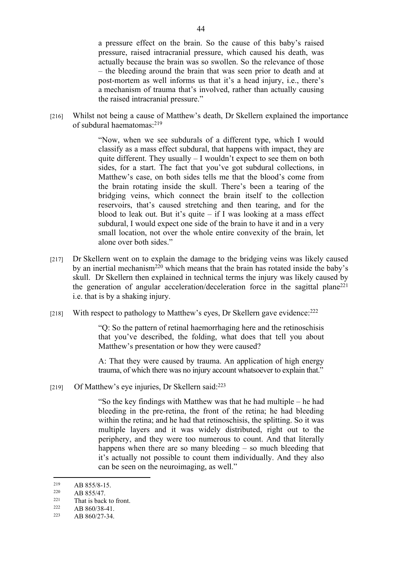a pressure effect on the brain. So the cause of this baby's raised pressure, raised intracranial pressure, which caused his death, was actually because the brain was so swollen. So the relevance of those – the bleeding around the brain that was seen prior to death and at post-mortem as well informs us that it's a head injury, i.e., there's a mechanism of trauma that's involved, rather than actually causing the raised intracranial pressure."

[216] Whilst not being a cause of Matthew's death, Dr Skellern explained the importance of subdural haematomas:<sup>219</sup>

> "Now, when we see subdurals of a different type, which I would classify as a mass effect subdural, that happens with impact, they are quite different. They usually – I wouldn't expect to see them on both sides, for a start. The fact that you've got subdural collections, in Matthew's case, on both sides tells me that the blood's come from the brain rotating inside the skull. There's been a tearing of the bridging veins, which connect the brain itself to the collection reservoirs, that's caused stretching and then tearing, and for the blood to leak out. But it's quite  $-$  if I was looking at a mass effect subdural, I would expect one side of the brain to have it and in a very small location, not over the whole entire convexity of the brain, let alone over both sides."

- [217] Dr Skellern went on to explain the damage to the bridging veins was likely caused by an inertial mechanism<sup>220</sup> which means that the brain has rotated inside the baby's skull. Dr Skellern then explained in technical terms the injury was likely caused by the generation of angular acceleration/deceleration force in the sagittal plane<sup>221</sup> i.e. that is by a shaking injury.
- [218] With respect to pathology to Matthew's eyes, Dr Skellern gave evidence: <sup>222</sup>

"Q: So the pattern of retinal haemorrhaging here and the retinoschisis that you've described, the folding, what does that tell you about Matthew's presentation or how they were caused?

A: That they were caused by trauma. An application of high energy trauma, of which there was no injury account whatsoever to explain that."

[219] Of Matthew's eye injuries, Dr Skellern said:<sup>223</sup>

"So the key findings with Matthew was that he had multiple – he had bleeding in the pre-retina, the front of the retina; he had bleeding within the retina; and he had that retinoschisis, the splitting. So it was multiple layers and it was widely distributed, right out to the periphery, and they were too numerous to count. And that literally happens when there are so many bleeding  $-$  so much bleeding that it's actually not possible to count them individually. And they also can be seen on the neuroimaging, as well."

<sup>&</sup>lt;sup>219</sup> AB 855/8-15.

 $220$  AB 855/47.

<sup>&</sup>lt;sup>221</sup> That is back to front.<br><sup>222</sup>  $AP$  860/28 41

 $\frac{222}{223}$  AB 860/38-41.

AB 860/27-34.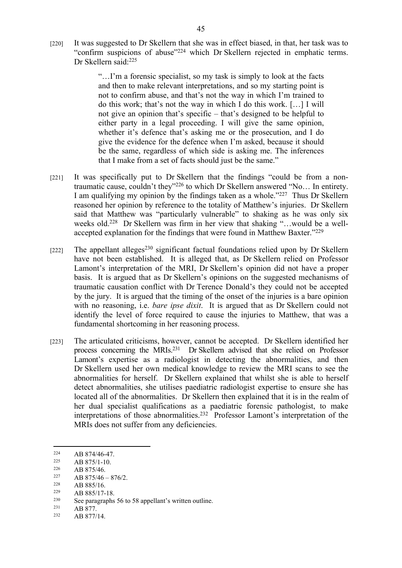[220] It was suggested to Dr Skellern that she was in effect biased, in that, her task was to "confirm suspicions of abuse"<sup>224</sup> which Dr Skellern rejected in emphatic terms. Dr Skellern said:<sup>225</sup>

> "…I'm a forensic specialist, so my task is simply to look at the facts and then to make relevant interpretations, and so my starting point is not to confirm abuse, and that's not the way in which I'm trained to do this work; that's not the way in which I do this work. […] I will not give an opinion that's specific – that's designed to be helpful to either party in a legal proceeding. I will give the same opinion, whether it's defence that's asking me or the prosecution, and I do give the evidence for the defence when I'm asked, because it should be the same, regardless of which side is asking me. The inferences that I make from a set of facts should just be the same."

- [221] It was specifically put to Dr Skellern that the findings "could be from a nontraumatic cause, couldn't they"<sup>226</sup> to which Dr Skellern answered "No… In entirety. I am qualifying my opinion by the findings taken as a whole."<sup>227</sup> Thus Dr Skellern reasoned her opinion by reference to the totality of Matthew's injuries. Dr Skellern said that Matthew was "particularly vulnerable" to shaking as he was only six weeks old.<sup>228</sup> Dr Skellern was firm in her view that shaking "...would be a wellaccepted explanation for the findings that were found in Matthew Baxter."<sup>229</sup>
- [222] The appellant alleges<sup>230</sup> significant factual foundations relied upon by Dr Skellern have not been established. It is alleged that, as Dr Skellern relied on Professor Lamont's interpretation of the MRI, Dr Skellern's opinion did not have a proper basis. It is argued that as Dr Skellern's opinions on the suggested mechanisms of traumatic causation conflict with Dr Terence Donald's they could not be accepted by the jury. It is argued that the timing of the onset of the injuries is a bare opinion with no reasoning, i.e. *bare ipse dixit*. It is argued that as Dr Skellern could not identify the level of force required to cause the injuries to Matthew, that was a fundamental shortcoming in her reasoning process.
- [223] The articulated criticisms, however, cannot be accepted. Dr Skellern identified her process concerning the MRIs.<sup>231</sup> Dr Skellern advised that she relied on Professor Lamont's expertise as a radiologist in detecting the abnormalities, and then Dr Skellern used her own medical knowledge to review the MRI scans to see the abnormalities for herself. Dr Skellern explained that whilst she is able to herself detect abnormalities, she utilises paediatric radiologist expertise to ensure she has located all of the abnormalities. Dr Skellern then explained that it is in the realm of her dual specialist qualifications as a paediatric forensic pathologist, to make interpretations of those abnormalities.<sup>232</sup> Professor Lamont's interpretation of the MRIs does not suffer from any deficiencies.

 $\begin{array}{cc}\n 228 \\
 229 \\
 \hline\n \end{array}$  AB 885/16.

 $\frac{224}{225}$  AB 874/46-47.

 $\frac{225}{226}$  AB 875/1-10.

 $\frac{226}{227}$  AB 875/46.

 $\frac{227}{228}$  AB 875/46 – 876/2.

 $\frac{229}{230}$  AB 885/17-18.

<sup>&</sup>lt;sup>230</sup> See paragraphs 56 to 58 appellant's written outline.<br><sup>231</sup> A D <sup>977</sup>

 $\frac{231}{232}$  AB 877.

AB 877/14.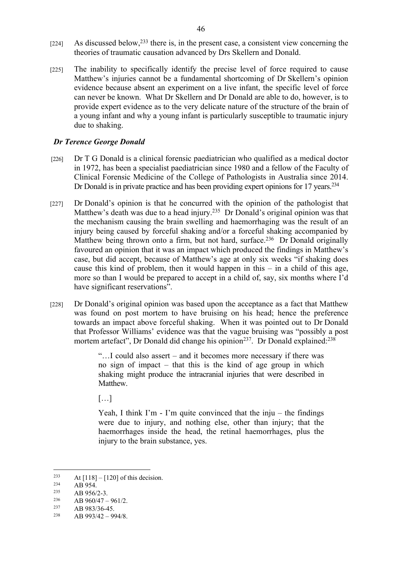- $[224]$  As discussed below,<sup>233</sup> there is, in the present case, a consistent view concerning the theories of traumatic causation advanced by Drs Skellern and Donald.
- [225] The inability to specifically identify the precise level of force required to cause Matthew's injuries cannot be a fundamental shortcoming of Dr Skellern's opinion evidence because absent an experiment on a live infant, the specific level of force can never be known. What Dr Skellern and Dr Donald are able to do, however, is to provide expert evidence as to the very delicate nature of the structure of the brain of a young infant and why a young infant is particularly susceptible to traumatic injury due to shaking.

#### *Dr Terence George Donald*

- [226] Dr T G Donald is a clinical forensic paediatrician who qualified as a medical doctor in 1972, has been a specialist paediatrician since 1980 and a fellow of the Faculty of Clinical Forensic Medicine of the College of Pathologists in Australia since 2014. Dr Donald is in private practice and has been providing expert opinions for 17 years.<sup>234</sup>
- [227] Dr Donald's opinion is that he concurred with the opinion of the pathologist that Matthew's death was due to a head injury.<sup>235</sup> Dr Donald's original opinion was that the mechanism causing the brain swelling and haemorrhaging was the result of an injury being caused by forceful shaking and/or a forceful shaking accompanied by Matthew being thrown onto a firm, but not hard, surface.<sup>236</sup> Dr Donald originally favoured an opinion that it was an impact which produced the findings in Matthew's case, but did accept, because of Matthew's age at only six weeks "if shaking does cause this kind of problem, then it would happen in this – in a child of this age, more so than I would be prepared to accept in a child of, say, six months where I'd have significant reservations".
- [228] Dr Donald's original opinion was based upon the acceptance as a fact that Matthew was found on post mortem to have bruising on his head; hence the preference towards an impact above forceful shaking. When it was pointed out to Dr Donald that Professor Williams' evidence was that the vague bruising was "possibly a post mortem artefact", Dr Donald did change his opinion<sup>237</sup>. Dr Donald explained:<sup>238</sup>

"…I could also assert – and it becomes more necessary if there was no sign of impact – that this is the kind of age group in which shaking might produce the intracranial injuries that were described in Matthew.

[…]

Yeah, I think I'm - I'm quite convinced that the inju – the findings were due to injury, and nothing else, other than injury; that the haemorrhages inside the head, the retinal haemorrhages, plus the injury to the brain substance, yes.

<sup>&</sup>lt;sup>233</sup> At [118] – [120] of this decision.

 $234$  AB 954.

<sup>&</sup>lt;sup>235</sup> AB 956/2-3.<br><sup>236</sup> AB 960/47

<sup>&</sup>lt;sup>236</sup> AB 960/47 – 961/2.

AB 983/36-45.

 $238$  AB 993/42 – 994/8.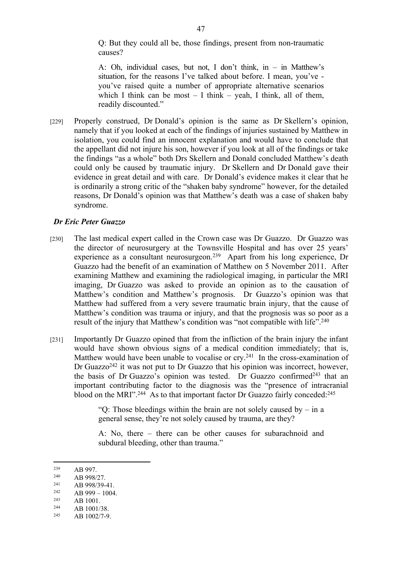Q: But they could all be, those findings, present from non-traumatic causes?

A: Oh, individual cases, but not, I don't think, in – in Matthew's situation, for the reasons I've talked about before. I mean, you've you've raised quite a number of appropriate alternative scenarios which I think can be most  $-$  I think  $-$  yeah, I think, all of them, readily discounted."

[229] Properly construed, Dr Donald's opinion is the same as Dr Skellern's opinion, namely that if you looked at each of the findings of injuries sustained by Matthew in isolation, you could find an innocent explanation and would have to conclude that the appellant did not injure his son, however if you look at all of the findings or take the findings "as a whole" both Drs Skellern and Donald concluded Matthew's death could only be caused by traumatic injury. Dr Skellern and Dr Donald gave their evidence in great detail and with care. Dr Donald's evidence makes it clear that he is ordinarily a strong critic of the "shaken baby syndrome" however, for the detailed reasons, Dr Donald's opinion was that Matthew's death was a case of shaken baby syndrome.

#### *Dr Eric Peter Guazzo*

- [230] The last medical expert called in the Crown case was Dr Guazzo. Dr Guazzo was the director of neurosurgery at the Townsville Hospital and has over 25 years' experience as a consultant neurosurgeon.<sup>239</sup> Apart from his long experience, Dr Guazzo had the benefit of an examination of Matthew on 5 November 2011. After examining Matthew and examining the radiological imaging, in particular the MRI imaging, Dr Guazzo was asked to provide an opinion as to the causation of Matthew's condition and Matthew's prognosis. Dr Guazzo's opinion was that Matthew had suffered from a very severe traumatic brain injury, that the cause of Matthew's condition was trauma or injury, and that the prognosis was so poor as a result of the injury that Matthew's condition was "not compatible with life".<sup>240</sup>
- [231] Importantly Dr Guazzo opined that from the infliction of the brain injury the infant would have shown obvious signs of a medical condition immediately; that is, Matthew would have been unable to vocalise or cry.<sup>241</sup> In the cross-examination of Dr Guazzo<sup>242</sup> it was not put to Dr Guazzo that his opinion was incorrect, however, the basis of Dr Guazzo's opinion was tested. Dr Guazzo confirmed<sup>243</sup> that an important contributing factor to the diagnosis was the "presence of intracranial blood on the MRI".<sup>244</sup> As to that important factor Dr Guazzo fairly conceded:<sup>245</sup>

" $Q$ : Those bleedings within the brain are not solely caused by – in a general sense, they're not solely caused by trauma, are they?

A: No, there – there can be other causes for subarachnoid and subdural bleeding, other than trauma."

<sup>&</sup>lt;sup>239</sup> AB 997.

<sup>&</sup>lt;sup>240</sup> AB 998/27.<br><sup>241</sup> AB 998/20

 $\frac{241}{242}$  AB 998/39-41.

<sup>&</sup>lt;sup>242</sup> AB 999 – 1004.<br><sup>243</sup> AB 1001

 $\begin{array}{cc}\n 243 \\
 \times 44 \\
 \hline\n \end{array}$  AB 1001.

 $\frac{244}{245}$  AB 1001/38.

AB 1002/7-9.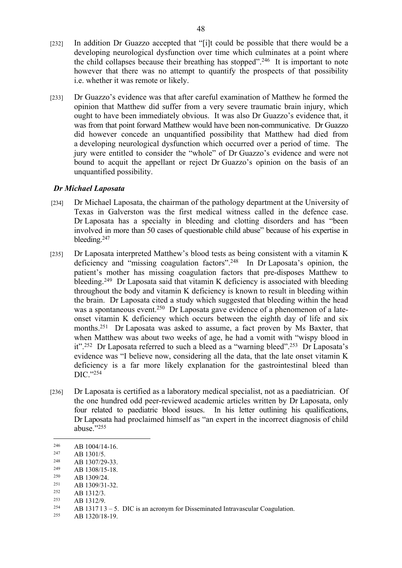- [232] In addition Dr Guazzo accepted that "[i]t could be possible that there would be a developing neurological dysfunction over time which culminates at a point where the child collapses because their breathing has stopped".<sup>246</sup> It is important to note however that there was no attempt to quantify the prospects of that possibility i.e. whether it was remote or likely.
- [233] Dr Guazzo's evidence was that after careful examination of Matthew he formed the opinion that Matthew did suffer from a very severe traumatic brain injury, which ought to have been immediately obvious. It was also Dr Guazzo's evidence that, it was from that point forward Matthew would have been non-communicative. Dr Guazzo did however concede an unquantified possibility that Matthew had died from a developing neurological dysfunction which occurred over a period of time. The jury were entitled to consider the "whole" of Dr Guazzo's evidence and were not bound to acquit the appellant or reject Dr Guazzo's opinion on the basis of an unquantified possibility.

# *Dr Michael Laposata*

- [234] Dr Michael Laposata, the chairman of the pathology department at the University of Texas in Galverston was the first medical witness called in the defence case. Dr Laposata has a specialty in bleeding and clotting disorders and has "been involved in more than 50 cases of questionable child abuse" because of his expertise in bleeding.<sup>247</sup>
- [235] Dr Laposata interpreted Matthew's blood tests as being consistent with a vitamin K deficiency and "missing coagulation factors".<sup>248</sup> In Dr Laposata's opinion, the patient's mother has missing coagulation factors that pre-disposes Matthew to bleeding.<sup>249</sup> Dr Laposata said that vitamin K deficiency is associated with bleeding throughout the body and vitamin K deficiency is known to result in bleeding within the brain. Dr Laposata cited a study which suggested that bleeding within the head was a spontaneous event.<sup>250</sup> Dr Laposata gave evidence of a phenomenon of a lateonset vitamin K deficiency which occurs between the eighth day of life and six months.<sup>251</sup> Dr Laposata was asked to assume, a fact proven by Ms Baxter, that when Matthew was about two weeks of age, he had a vomit with "wispy blood in it".<sup>252</sup> Dr Laposata referred to such a bleed as a "warning bleed".<sup>253</sup> Dr Laposata's evidence was "I believe now, considering all the data, that the late onset vitamin K deficiency is a far more likely explanation for the gastrointestinal bleed than DIC."<sup>254</sup>
- [236] Dr Laposata is certified as a laboratory medical specialist, not as a paediatrician. Of the one hundred odd peer-reviewed academic articles written by Dr Laposata, only four related to paediatric blood issues. In his letter outlining his qualifications, Dr Laposata had proclaimed himself as "an expert in the incorrect diagnosis of child abuse."<sup>255</sup>

 $\frac{247}{248}$  AB 1301/5.

- <sup>249</sup> AB 1308/15-18.<br><sup>250</sup> AB 1300/24
- <sup>250</sup> AB 1309/24.<br><sup>251</sup> AB 1300/21.
- $\frac{251}{252}$  AB 1309/31-32.
- $\begin{array}{cc}\n 252 \\
 253 \\
 \end{array}$  AB 1312/3.
- $\begin{array}{r} 253 \\ 254 \end{array}$  AB 1312/9.
- 254 AB 1317 l 3 5. DIC is an acronym for Disseminated Intravascular Coagulation.<br> $\Delta B$  1320/18-19
- AB 1320/18-19.

<sup>&</sup>lt;sup>246</sup> AB 1004/14-16.<br><sup>247</sup> AB 1301/5

<sup>&</sup>lt;sup>248</sup> AB 1307/29-33.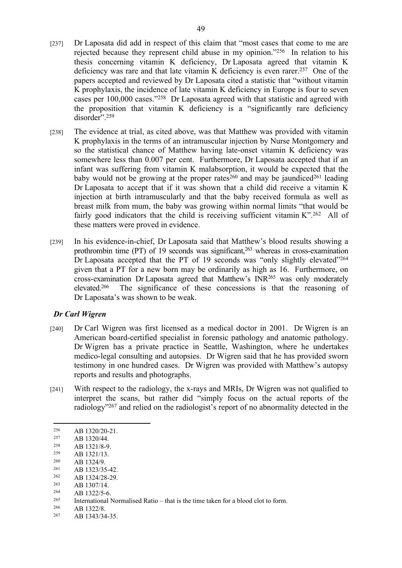- [237] Dr Laposata did add in respect of this claim that "most cases that come to me are rejected because they represent child abuse in my opinion."<sup>256</sup> In relation to his thesis concerning vitamin K deficiency, Dr Laposata agreed that vitamin K deficiency was rare and that late vitamin K deficiency is even rarer.<sup>257</sup> One of the papers accepted and reviewed by Dr Laposata cited a statistic that "without vitamin K prophylaxis, the incidence of late vitamin K deficiency in Europe is four to seven cases per 100,000 cases."<sup>258</sup> Dr Laposata agreed with that statistic and agreed with the proposition that vitamin K deficiency is a "significantly rare deficiency disorder".<sup>259</sup>
- [238] The evidence at trial, as cited above, was that Matthew was provided with vitamin K prophylaxis in the terms of an intramuscular injection by Nurse Montgomery and so the statistical chance of Matthew having late-onset vitamin K deficiency was somewhere less than 0.007 per cent. Furthermore, Dr Laposata accepted that if an infant was suffering from vitamin K malabsorption, it would be expected that the baby would not be growing at the proper rates<sup>260</sup> and may be jaundiced<sup>261</sup> leading Dr Laposata to accept that if it was shown that a child did receive a vitamin K injection at birth intramuscularly and that the baby received formula as well as breast milk from mum, the baby was growing within normal limits "that would be fairly good indicators that the child is receiving sufficient vitamin K".<sup>262</sup> All of these matters were proved in evidence.
- [239] In his evidence-in-chief, Dr Laposata said that Matthew's blood results showing a prothrombin time  $(PT)$  of 19 seconds was significant,<sup>263</sup> whereas in cross-examination Dr Laposata accepted that the PT of 19 seconds was "only slightly elevated"<sup>264</sup> given that a PT for a new born may be ordinarily as high as 16. Furthermore, on cross-examination Dr Laposata agreed that Matthew's INR<sup>265</sup> was only moderately elevated.<sup>266</sup> The significance of these concessions is that the reasoning of Dr Laposata's was shown to be weak.

# *Dr Carl Wigren*

- [240] Dr Carl Wigren was first licensed as a medical doctor in 2001. Dr Wigren is an American board-certified specialist in forensic pathology and anatomic pathology. Dr Wigren has a private practice in Seattle, Washington, where he undertakes medico-legal consulting and autopsies. Dr Wigren said that he has provided sworn testimony in one hundred cases. Dr Wigren was provided with Matthew's autopsy reports and results and photographs.
- [241] With respect to the radiology, the x-rays and MRIs, Dr Wigren was not qualified to interpret the scans, but rather did "simply focus on the actual reports of the radiology"<sup>267</sup> and relied on the radiologist's report of no abnormality detected in the

- <sup>260</sup> AB 1324/9.
- 
- $261$  AB 1323/35-42.<br> $262$  AB 1324/28-29
- $\frac{262}{263}$  AB 1324/28-29.
- $\frac{263}{264}$  AB 1307/14.
- $264$  AB 1322/5-6.<br> $265$  International N

AB 1322/8.

 $\frac{256}{257}$  AB 1320/20-21.

 $\frac{257}{258}$  AB 1320/44.

 $\frac{258}{259}$  AB 1321/8-9. AB 1321/13.

<sup>&</sup>lt;sup>265</sup> International Normalised Ratio – that is the time taken for a blood clot to form.<br><sup>266</sup> A B 1222/8

<sup>267</sup> AB 1343/34-35.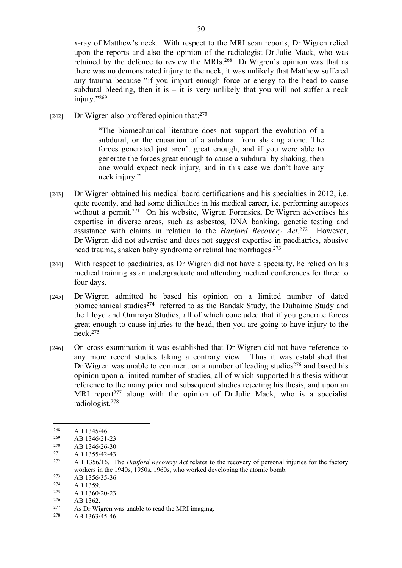x-ray of Matthew's neck. With respect to the MRI scan reports, Dr Wigren relied upon the reports and also the opinion of the radiologist Dr Julie Mack, who was retained by the defence to review the MRIs.<sup>268</sup> Dr Wigren's opinion was that as there was no demonstrated injury to the neck, it was unlikely that Matthew suffered any trauma because "if you impart enough force or energy to the head to cause subdural bleeding, then it is  $-$  it is very unlikely that you will not suffer a neck injury."<sup>269</sup>

[242] Dr Wigren also proffered opinion that: $270$ 

"The biomechanical literature does not support the evolution of a subdural, or the causation of a subdural from shaking alone. The forces generated just aren't great enough, and if you were able to generate the forces great enough to cause a subdural by shaking, then one would expect neck injury, and in this case we don't have any neck injury."

- [243] Dr Wigren obtained his medical board certifications and his specialties in 2012, i.e. quite recently, and had some difficulties in his medical career, i.e. performing autopsies without a permit.<sup>271</sup> On his website, Wigren Forensics, Dr Wigren advertises his expertise in diverse areas, such as asbestos, DNA banking, genetic testing and assistance with claims in relation to the *Hanford Recovery Act*. However, Dr Wigren did not advertise and does not suggest expertise in paediatrics, abusive head trauma, shaken baby syndrome or retinal haemorrhages.<sup>273</sup>
- [244] With respect to paediatrics, as Dr Wigren did not have a specialty, he relied on his medical training as an undergraduate and attending medical conferences for three to four days.
- [245] Dr Wigren admitted he based his opinion on a limited number of dated biomechanical studies<sup>274</sup> referred to as the Bandak Study, the Duhaime Study and the Lloyd and Ommaya Studies, all of which concluded that if you generate forces great enough to cause injuries to the head, then you are going to have injury to the neck.<sup>275</sup>
- [246] On cross-examination it was established that Dr Wigren did not have reference to any more recent studies taking a contrary view. Thus it was established that Dr Wigren was unable to comment on a number of leading studies<sup>276</sup> and based his opinion upon a limited number of studies, all of which supported his thesis without reference to the many prior and subsequent studies rejecting his thesis, and upon an MRI report<sup> $277$ </sup> along with the opinion of Dr Julie Mack, who is a specialist radiologist.<sup>278</sup>

 $\frac{273}{274}$  AB 1356/35-36.

 $^{276}$  AB 1362.

278 AB 1363/45-46.

 $\frac{268}{269}$  AB 1345/46.

 $^{269}$  AB 1346/21-23.

 $\frac{270}{271}$  AB 1346/26-30.

 $\frac{271}{272}$  AB 1355/42-43.

AB 1356/16. The *Hanford Recovery Act* relates to the recovery of personal injuries for the factory workers in the 1940s, 1950s, 1960s, who worked developing the atomic bomb.

 $^{274}$  AB 1359.

 $\frac{275}{276}$  AB 1360/20-23.

As Dr Wigren was unable to read the MRI imaging.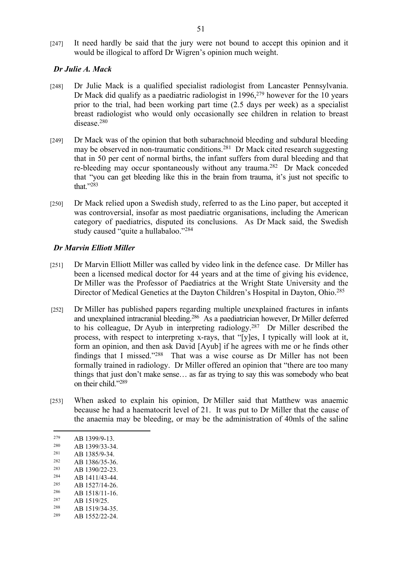[247] It need hardly be said that the jury were not bound to accept this opinion and it would be illogical to afford Dr Wigren's opinion much weight.

#### *Dr Julie A. Mack*

- [248] Dr Julie Mack is a qualified specialist radiologist from Lancaster Pennsylvania. Dr Mack did qualify as a paediatric radiologist in 1996,<sup>279</sup> however for the 10 years prior to the trial, had been working part time (2.5 days per week) as a specialist breast radiologist who would only occasionally see children in relation to breast disease<sup>280</sup>
- [249] Dr Mack was of the opinion that both subarachnoid bleeding and subdural bleeding may be observed in non-traumatic conditions.<sup>281</sup> Dr Mack cited research suggesting that in 50 per cent of normal births, the infant suffers from dural bleeding and that re-bleeding may occur spontaneously without any trauma.<sup>282</sup> Dr Mack conceded that "you can get bleeding like this in the brain from trauma, it's just not specific to that."<sup>283</sup>
- [250] Dr Mack relied upon a Swedish study, referred to as the Lino paper, but accepted it was controversial, insofar as most paediatric organisations, including the American category of paediatrics, disputed its conclusions. As Dr Mack said, the Swedish study caused "quite a hullabaloo."<sup>284</sup>

# *Dr Marvin Elliott Miller*

- [251] Dr Marvin Elliott Miller was called by video link in the defence case. Dr Miller has been a licensed medical doctor for 44 years and at the time of giving his evidence, Dr Miller was the Professor of Paediatrics at the Wright State University and the Director of Medical Genetics at the Dayton Children's Hospital in Dayton, Ohio.<sup>285</sup>
- [252] Dr Miller has published papers regarding multiple unexplained fractures in infants and unexplained intracranial bleeding.<sup>286</sup> As a paediatrician however, Dr Miller deferred to his colleague, Dr Ayub in interpreting radiology.<sup>287</sup> Dr Miller described the process, with respect to interpreting x-rays, that "[y]es, I typically will look at it, form an opinion, and then ask David [Ayub] if he agrees with me or he finds other findings that I missed."<sup>288</sup> That was a wise course as Dr Miller has not been formally trained in radiology. Dr Miller offered an opinion that "there are too many things that just don't make sense… as far as trying to say this was somebody who beat on their child."<sup>289</sup>
- [253] When asked to explain his opinion, Dr Miller said that Matthew was anaemic because he had a haematocrit level of 21. It was put to Dr Miller that the cause of the anaemia may be bleeding, or may be the administration of 40mls of the saline

- $280$  AB 1399/33-34.<br>  $281$  AB 1395/0.34.
- $\frac{281}{282}$  AB 1385/9-34.
- $\frac{282}{283}$  AB 1386/35-36.
- $\frac{283}{284}$  AB 1390/22-23.
- $284$  AB 1411/43-44.<br>  $285$  AB 1527/14.26 AB 1527/14-26.
- 
- $\frac{286}{287}$  AB 1518/11-16.
- $\frac{287}{288}$  AB 1519/25. AB 1519/34-35.
- 289 AB 1552/22-24.

 $^{279}$  AB 1399/9-13.<br>  $^{280}$  AB 1200/22.24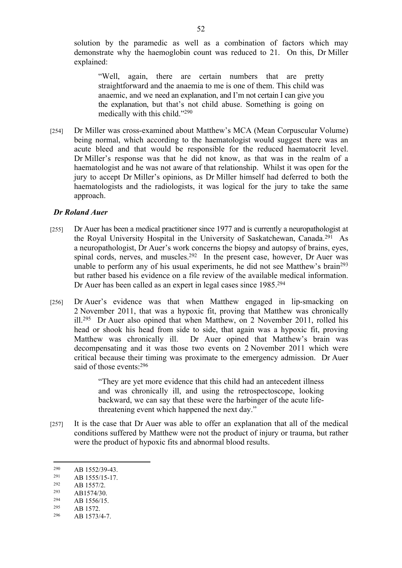solution by the paramedic as well as a combination of factors which may demonstrate why the haemoglobin count was reduced to 21. On this, Dr Miller explained:

"Well, again, there are certain numbers that are pretty straightforward and the anaemia to me is one of them. This child was anaemic, and we need an explanation, and I'm not certain I can give you the explanation, but that's not child abuse. Something is going on medically with this child."<sup>290</sup>

[254] Dr Miller was cross-examined about Matthew's MCA (Mean Corpuscular Volume) being normal, which according to the haematologist would suggest there was an acute bleed and that would be responsible for the reduced haematocrit level. Dr Miller's response was that he did not know, as that was in the realm of a haematologist and he was not aware of that relationship. Whilst it was open for the jury to accept Dr Miller's opinions, as Dr Miller himself had deferred to both the haematologists and the radiologists, it was logical for the jury to take the same approach.

## *Dr Roland Auer*

- [255] Dr Auer has been a medical practitioner since 1977 and is currently a neuropathologist at the Royal University Hospital in the University of Saskatchewan, Canada.<sup>291</sup> As a neuropathologist, Dr Auer's work concerns the biopsy and autopsy of brains, eyes, spinal cords, nerves, and muscles.<sup>292</sup> In the present case, however, Dr Auer was unable to perform any of his usual experiments, he did not see Matthew's brain<sup>293</sup> but rather based his evidence on a file review of the available medical information. Dr Auer has been called as an expert in legal cases since 1985.<sup>294</sup>
- [256] Dr Auer's evidence was that when Matthew engaged in lip-smacking on 2 November 2011, that was a hypoxic fit, proving that Matthew was chronically  $\mu$ <sup>295</sup> Dr Auer also opined that when Matthew, on 2 November 2011, rolled his head or shook his head from side to side, that again was a hypoxic fit, proving Matthew was chronically ill. Dr Auer opined that Matthew's brain was decompensating and it was those two events on 2 November 2011 which were critical because their timing was proximate to the emergency admission. Dr Auer said of those events: 296

"They are yet more evidence that this child had an antecedent illness and was chronically ill, and using the retrospectoscope, looking backward, we can say that these were the harbinger of the acute lifethreatening event which happened the next day."

[257] It is the case that Dr Auer was able to offer an explanation that all of the medical conditions suffered by Matthew were not the product of injury or trauma, but rather were the product of hypoxic fits and abnormal blood results.

- $\frac{293}{294}$  AB1574/30.
- $\frac{294}{295}$  AB 1556/15.

 $290$  AB 1552/39-43.<br>  $291$  AB 1555/15-17

<sup>&</sup>lt;sup>291</sup> AB 1555/15-17.<br><sup>292</sup> AB 1557/2

 $\frac{292}{293}$  AB 1557/2.

AB 1572.

<sup>296</sup> AB 1573/4-7.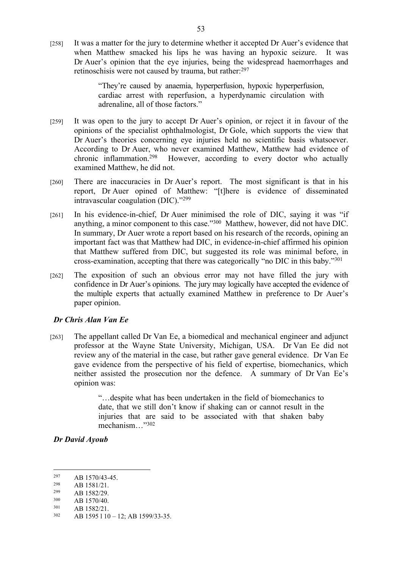[258] It was a matter for the jury to determine whether it accepted Dr Auer's evidence that when Matthew smacked his lips he was having an hypoxic seizure. It was Dr Auer's opinion that the eye injuries, being the widespread haemorrhages and retinoschisis were not caused by trauma, but rather:<sup>297</sup>

> "They're caused by anaemia, hyperperfusion, hypoxic hyperperfusion, cardiac arrest with reperfusion, a hyperdynamic circulation with adrenaline, all of those factors."

- [259] It was open to the jury to accept Dr Auer's opinion, or reject it in favour of the opinions of the specialist ophthalmologist, Dr Gole, which supports the view that Dr Auer's theories concerning eye injuries held no scientific basis whatsoever. According to Dr Auer, who never examined Matthew, Matthew had evidence of chronic inflammation.<sup>298</sup> However, according to every doctor who actually examined Matthew, he did not.
- [260] There are inaccuracies in Dr Auer's report. The most significant is that in his report, Dr Auer opined of Matthew: "[t]here is evidence of disseminated intravascular coagulation (DIC)."<sup>299</sup>
- [261] In his evidence-in-chief, Dr Auer minimised the role of DIC, saying it was "if anything, a minor component to this case."<sup>300</sup> Matthew, however, did not have DIC. In summary, Dr Auer wrote a report based on his research of the records, opining an important fact was that Matthew had DIC, in evidence-in-chief affirmed his opinion that Matthew suffered from DIC, but suggested its role was minimal before, in cross-examination, accepting that there was categorically "no DIC in this baby."<sup>301</sup>
- [262] The exposition of such an obvious error may not have filled the jury with confidence in Dr Auer's opinions. The jury may logically have accepted the evidence of the multiple experts that actually examined Matthew in preference to Dr Auer's paper opinion.

# *Dr Chris Alan Van Ee*

[263] The appellant called Dr Van Ee, a biomedical and mechanical engineer and adjunct professor at the Wayne State University, Michigan, USA. Dr Van Ee did not review any of the material in the case, but rather gave general evidence. Dr Van Ee gave evidence from the perspective of his field of expertise, biomechanics, which neither assisted the prosecution nor the defence. A summary of Dr Van Ee's opinion was:

> "…despite what has been undertaken in the field of biomechanics to date, that we still don't know if shaking can or cannot result in the injuries that are said to be associated with that shaken baby mechanism…"<sup>302</sup>

*Dr David Ayoub*

<sup>&</sup>lt;sup>297</sup> AB 1570/43-45.

 $\frac{298}{299}$  AB 1581/21.

 $\frac{299}{300}$  AB 1582/29.

 $300$  AB 1570/40.

 $301$  AB 1582/21.

AB 1595 l 10 – 12; AB 1599/33-35.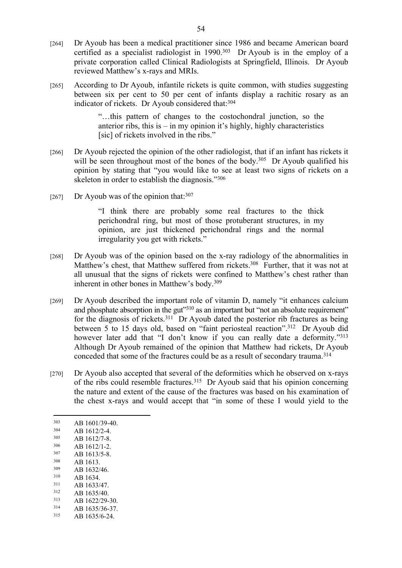- [264] Dr Ayoub has been a medical practitioner since 1986 and became American board certified as a specialist radiologist in 1990.<sup>303</sup> Dr Ayoub is in the employ of a private corporation called Clinical Radiologists at Springfield, Illinois. Dr Ayoub reviewed Matthew's x-rays and MRIs.
- [265] According to Dr Ayoub, infantile rickets is quite common, with studies suggesting between six per cent to 50 per cent of infants display a rachitic rosary as an indicator of rickets. Dr Ayoub considered that: 304

"…this pattern of changes to the costochondral junction, so the anterior ribs, this is – in my opinion it's highly, highly characteristics [sic] of rickets involved in the ribs."

- [266] Dr Ayoub rejected the opinion of the other radiologist, that if an infant has rickets it will be seen throughout most of the bones of the body.<sup>305</sup> Dr Ayoub qualified his opinion by stating that "you would like to see at least two signs of rickets on a skeleton in order to establish the diagnosis."<sup>306</sup>
- [267] Dr Ayoub was of the opinion that: $307$

"I think there are probably some real fractures to the thick perichondral ring, but most of those protuberant structures, in my opinion, are just thickened perichondral rings and the normal irregularity you get with rickets."

- [268] Dr Ayoub was of the opinion based on the x-ray radiology of the abnormalities in Matthew's chest, that Matthew suffered from rickets.<sup>308</sup> Further, that it was not at all unusual that the signs of rickets were confined to Matthew's chest rather than inherent in other bones in Matthew's body.<sup>309</sup>
- [269] Dr Ayoub described the important role of vitamin D, namely "it enhances calcium and phosphate absorption in the gut"<sup>310</sup> as an important but "not an absolute requirement" for the diagnosis of rickets.<sup>311</sup> Dr Ayoub dated the posterior rib fractures as being between 5 to 15 days old, based on "faint periosteal reaction".<sup>312</sup> Dr Ayoub did however later add that "I don't know if you can really date a deformity."<sup>313</sup> Although Dr Ayoub remained of the opinion that Matthew had rickets, Dr Ayoub conceded that some of the fractures could be as a result of secondary trauma.<sup>314</sup>
- [270] Dr Ayoub also accepted that several of the deformities which he observed on x-rays of the ribs could resemble fractures.<sup>315</sup> Dr Ayoub said that his opinion concerning the nature and extent of the cause of the fractures was based on his examination of the chest x-rays and would accept that "in some of these I would yield to the
- $303$  AB 1601/39-40.
- $\frac{304}{305}$  AB 1612/2-4.
- $\frac{305}{306}$  AB 1612/7-8.
- $\frac{306}{307}$  AB 1612/1-2. AB 1613/5-8.
- <sup>308</sup> AB 1613.
- 
- $\frac{309}{310}$  AB 1632/46.
- $310$  AB 1634.<br> $311$  AB 1633/  $311$  AB 1633/47.<br> $312$  AB 1635/40
- $312$  AB 1635/40.
- $\frac{313}{314}$  AB 1622/29-30.
- AB 1635/36-37.
- 315 AB 1635/6-24.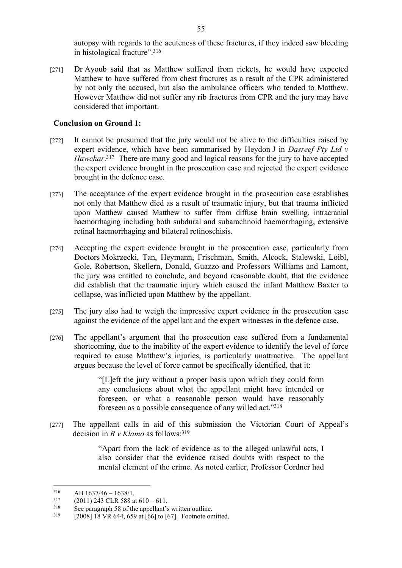autopsy with regards to the acuteness of these fractures, if they indeed saw bleeding in histological fracture".<sup>316</sup>

[271] Dr Ayoub said that as Matthew suffered from rickets, he would have expected Matthew to have suffered from chest fractures as a result of the CPR administered by not only the accused, but also the ambulance officers who tended to Matthew. However Matthew did not suffer any rib fractures from CPR and the jury may have considered that important.

#### **Conclusion on Ground 1:**

- [272] It cannot be presumed that the jury would not be alive to the difficulties raised by expert evidence, which have been summarised by Heydon J in *Dasreef Pty Ltd v*  Hawchar.<sup>317</sup> There are many good and logical reasons for the jury to have accepted the expert evidence brought in the prosecution case and rejected the expert evidence brought in the defence case.
- [273] The acceptance of the expert evidence brought in the prosecution case establishes not only that Matthew died as a result of traumatic injury, but that trauma inflicted upon Matthew caused Matthew to suffer from diffuse brain swelling, intracranial haemorrhaging including both subdural and subarachnoid haemorrhaging, extensive retinal haemorrhaging and bilateral retinoschisis.
- [274] Accepting the expert evidence brought in the prosecution case, particularly from Doctors Mokrzecki, Tan, Heymann, Frischman, Smith, Alcock, Stalewski, Loibl, Gole, Robertson, Skellern, Donald, Guazzo and Professors Williams and Lamont, the jury was entitled to conclude, and beyond reasonable doubt, that the evidence did establish that the traumatic injury which caused the infant Matthew Baxter to collapse, was inflicted upon Matthew by the appellant.
- [275] The jury also had to weigh the impressive expert evidence in the prosecution case against the evidence of the appellant and the expert witnesses in the defence case.
- [276] The appellant's argument that the prosecution case suffered from a fundamental shortcoming, due to the inability of the expert evidence to identify the level of force required to cause Matthew's injuries, is particularly unattractive. The appellant argues because the level of force cannot be specifically identified, that it:

"[L]eft the jury without a proper basis upon which they could form any conclusions about what the appellant might have intended or foreseen, or what a reasonable person would have reasonably foreseen as a possible consequence of any willed act."<sup>318</sup>

[277] The appellant calls in aid of this submission the Victorian Court of Appeal's decision in *R v Klamo* as follows:<sup>319</sup>

> "Apart from the lack of evidence as to the alleged unlawful acts, I also consider that the evidence raised doubts with respect to the mental element of the crime. As noted earlier, Professor Cordner had

 $316$  AB  $1637/46 - 1638/1$ .<br> $317$  (2011) 243 CI R 588 a

 $^{317}$  (2011) 243 CLR 588 at 610 – 611.<br><sup>318</sup> See paragraph 58 of the appellant's

<sup>&</sup>lt;sup>318</sup> See paragraph 58 of the appellant's written outline.<br> $\frac{319}{2}$   $\frac{5000118 \text{ YD}644.650 \text{ at } 561 \text{ to } 5571}$  Feetnate and

<sup>[2008] 18</sup> VR 644, 659 at [66] to [67]. Footnote omitted.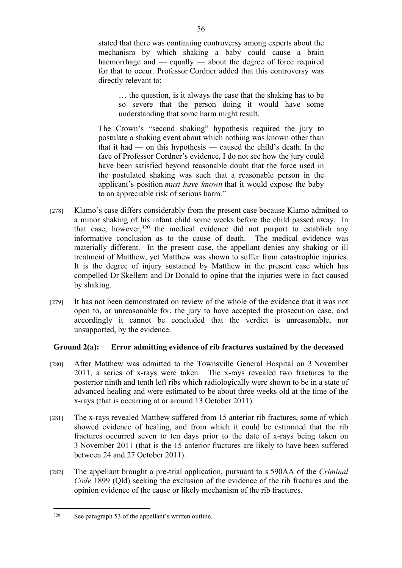stated that there was continuing controversy among experts about the mechanism by which shaking a baby could cause a brain haemorrhage and — equally — about the degree of force required for that to occur. Professor Cordner added that this controversy was directly relevant to:

… the question, is it always the case that the shaking has to be so severe that the person doing it would have some understanding that some harm might result.

The Crown's "second shaking" hypothesis required the jury to postulate a shaking event about which nothing was known other than that it had — on this hypothesis — caused the child's death. In the face of Professor Cordner's evidence, I do not see how the jury could have been satisfied beyond reasonable doubt that the force used in the postulated shaking was such that a reasonable person in the applicant's position *must have known* that it would expose the baby to an appreciable risk of serious harm."

- [278] Klamo's case differs considerably from the present case because Klamo admitted to a minor shaking of his infant child some weeks before the child passed away. In that case, however,<sup>320</sup> the medical evidence did not purport to establish any informative conclusion as to the cause of death. The medical evidence was materially different. In the present case, the appellant denies any shaking or ill treatment of Matthew, yet Matthew was shown to suffer from catastrophic injuries. It is the degree of injury sustained by Matthew in the present case which has compelled Dr Skellern and Dr Donald to opine that the injuries were in fact caused by shaking.
- [279] It has not been demonstrated on review of the whole of the evidence that it was not open to, or unreasonable for, the jury to have accepted the prosecution case, and accordingly it cannot be concluded that the verdict is unreasonable, nor unsupported, by the evidence.

# **Ground 2(a): Error admitting evidence of rib fractures sustained by the deceased**

- [280] After Matthew was admitted to the Townsville General Hospital on 3 November 2011, a series of x-rays were taken. The x-rays revealed two fractures to the posterior ninth and tenth left ribs which radiologically were shown to be in a state of advanced healing and were estimated to be about three weeks old at the time of the x-rays (that is occurring at or around 13 October 2011).
- [281] The x-rays revealed Matthew suffered from 15 anterior rib fractures, some of which showed evidence of healing, and from which it could be estimated that the rib fractures occurred seven to ten days prior to the date of x-rays being taken on 3 November 2011 (that is the 15 anterior fractures are likely to have been suffered between 24 and 27 October 2011).
- [282] The appellant brought a pre-trial application, pursuant to s 590AA of the *Criminal Code* 1899 (Qld) seeking the exclusion of the evidence of the rib fractures and the opinion evidence of the cause or likely mechanism of the rib fractures.

<sup>320</sup> See paragraph 53 of the appellant's written outline.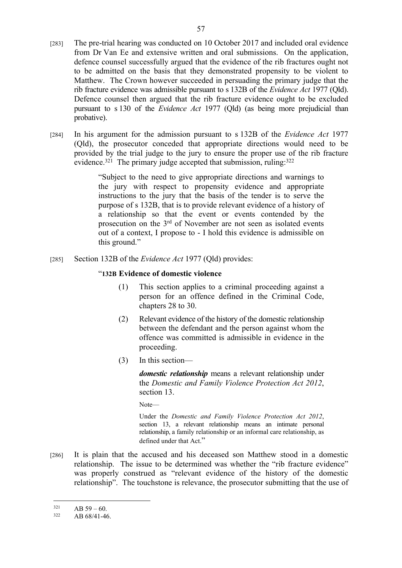- [283] The pre-trial hearing was conducted on 10 October 2017 and included oral evidence from Dr Van Ee and extensive written and oral submissions. On the application, defence counsel successfully argued that the evidence of the rib fractures ought not to be admitted on the basis that they demonstrated propensity to be violent to Matthew. The Crown however succeeded in persuading the primary judge that the rib fracture evidence was admissible pursuant to s 132B of the *Evidence Act* 1977 (Qld). Defence counsel then argued that the rib fracture evidence ought to be excluded pursuant to s 130 of the *Evidence Act* 1977 (Qld) (as being more prejudicial than probative).
- [284] In his argument for the admission pursuant to s 132B of the *Evidence Act* 1977 (Qld), the prosecutor conceded that appropriate directions would need to be provided by the trial judge to the jury to ensure the proper use of the rib fracture evidence.<sup>321</sup> The primary judge accepted that submission, ruling: $322$

"Subject to the need to give appropriate directions and warnings to the jury with respect to propensity evidence and appropriate instructions to the jury that the basis of the tender is to serve the purpose of s 132B, that is to provide relevant evidence of a history of a relationship so that the event or events contended by the prosecution on the 3rd of November are not seen as isolated events out of a context, I propose to - I hold this evidence is admissible on this ground."

[285] Section 132B of the *Evidence Act* 1977 (Qld) provides:

#### "**132B Evidence of domestic violence**

- (1) This section applies to a criminal proceeding against a person for an offence defined in the Criminal Code, chapters 28 to 30.
- (2) Relevant evidence of the history of the domestic relationship between the defendant and the person against whom the offence was committed is admissible in evidence in the proceeding.
- (3) In this section—

*domestic relationship* means a relevant relationship under the *Domestic and Family Violence Protection Act 2012*, section 13.

Note—

Under the *Domestic and Family Violence Protection Act 2012*, section 13, a relevant relationship means an intimate personal relationship, a family relationship or an informal care relationship, as defined under that Act."

[286] It is plain that the accused and his deceased son Matthew stood in a domestic relationship. The issue to be determined was whether the "rib fracture evidence" was properly construed as "relevant evidence of the history of the domestic relationship". The touchstone is relevance, the prosecutor submitting that the use of

 $\overline{AB}$  59 – 60.<br>322 **AB** 69/41.46

AB 68/41-46.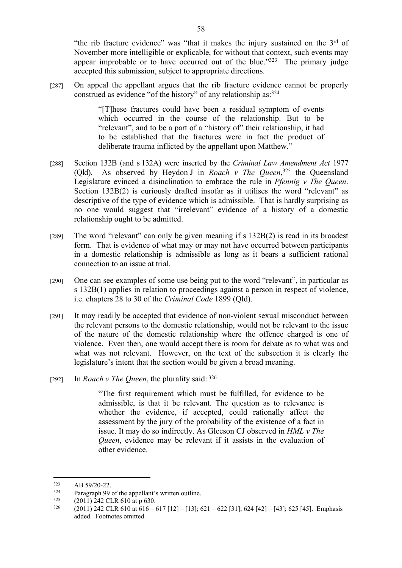"the rib fracture evidence" was "that it makes the injury sustained on the 3rd of November more intelligible or explicable, for without that context, such events may appear improbable or to have occurred out of the blue."<sup>323</sup> The primary judge accepted this submission, subject to appropriate directions.

[287] On appeal the appellant argues that the rib fracture evidence cannot be properly construed as evidence "of the history" of any relationship as:<sup>324</sup>

> "[T]hese fractures could have been a residual symptom of events which occurred in the course of the relationship. But to be "relevant", and to be a part of a "history of" their relationship, it had to be established that the fractures were in fact the product of deliberate trauma inflicted by the appellant upon Matthew."

- [288] Section 132B (and s 132A) were inserted by the *Criminal Law Amendment Act* 1977 (Qld). As observed by Heydon J in *Roach v The Queen*, <sup>325</sup> the Queensland Legislature evinced a disinclination to embrace the rule in *Pfennig v The Queen*. Section 132B(2) is curiously drafted insofar as it utilises the word "relevant" as descriptive of the type of evidence which is admissible. That is hardly surprising as no one would suggest that "irrelevant" evidence of a history of a domestic relationship ought to be admitted.
- [289] The word "relevant" can only be given meaning if s 132B(2) is read in its broadest form. That is evidence of what may or may not have occurred between participants in a domestic relationship is admissible as long as it bears a sufficient rational connection to an issue at trial.
- [290] One can see examples of some use being put to the word "relevant", in particular as s 132B(1) applies in relation to proceedings against a person in respect of violence, i.e. chapters 28 to 30 of the *Criminal Code* 1899 (Qld).
- [291] It may readily be accepted that evidence of non-violent sexual misconduct between the relevant persons to the domestic relationship, would not be relevant to the issue of the nature of the domestic relationship where the offence charged is one of violence. Even then, one would accept there is room for debate as to what was and what was not relevant. However, on the text of the subsection it is clearly the legislature's intent that the section would be given a broad meaning.
- [292] In *Roach v The Queen*, the plurality said:  $326$

"The first requirement which must be fulfilled, for evidence to be admissible, is that it be relevant. The question as to relevance is whether the evidence, if accepted, could rationally affect the assessment by the jury of the probability of the existence of a fact in issue. It may do so indirectly. As Gleeson CJ observed in *HML v The Queen*, evidence may be relevant if it assists in the evaluation of other evidence.

 $323$  AB 59/20-22.

<sup>&</sup>lt;sup>324</sup> Paragraph 99 of the appellant's written outline.<br><sup>325</sup> (2011) 242 CI B 610 of p 630.

 $^{325}$  (2011) 242 CLR 610 at p 630.<br> $^{326}$  (2011) 242 CLB 610 at 616

<sup>326</sup> (2011) 242 CLR 610 at 616 – 617 [12] – [13]; 621 – 622 [31]; 624 [42] – [43]; 625 [45]. Emphasis added. Footnotes omitted.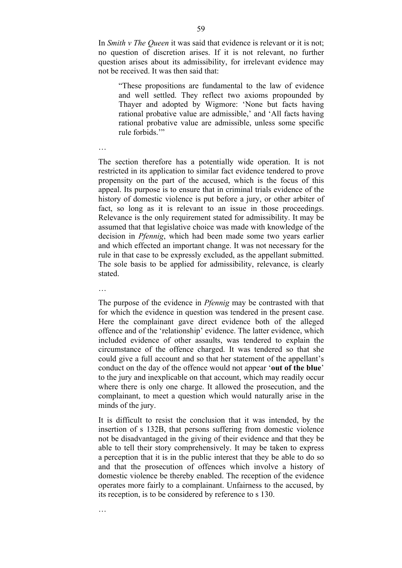In *Smith v The Queen* it was said that evidence is relevant or it is not; no question of discretion arises. If it is not relevant, no further question arises about its admissibility, for irrelevant evidence may not be received. It was then said that:

"These propositions are fundamental to the law of evidence and well settled. They reflect two axioms propounded by Thayer and adopted by Wigmore: 'None but facts having rational probative value are admissible,' and 'All facts having rational probative value are admissible, unless some specific rule forbids.'"

The section therefore has a potentially wide operation. It is not restricted in its application to similar fact evidence tendered to prove propensity on the part of the accused, which is the focus of this appeal. Its purpose is to ensure that in criminal trials evidence of the history of domestic violence is put before a jury, or other arbiter of fact, so long as it is relevant to an issue in those proceedings. Relevance is the only requirement stated for admissibility. It may be assumed that that legislative choice was made with knowledge of the decision in *Pfennig*, which had been made some two years earlier and which effected an important change. It was not necessary for the rule in that case to be expressly excluded, as the appellant submitted. The sole basis to be applied for admissibility, relevance, is clearly stated.

The purpose of the evidence in *Pfennig* may be contrasted with that for which the evidence in question was tendered in the present case. Here the complainant gave direct evidence both of the alleged offence and of the 'relationship' evidence. The latter evidence, which included evidence of other assaults, was tendered to explain the circumstance of the offence charged. It was tendered so that she could give a full account and so that her statement of the appellant's conduct on the day of the offence would not appear '**out of the blue**' to the jury and inexplicable on that account, which may readily occur where there is only one charge. It allowed the prosecution, and the complainant, to meet a question which would naturally arise in the minds of the jury.

It is difficult to resist the conclusion that it was intended, by the insertion of s 132B, that persons suffering from domestic violence not be disadvantaged in the giving of their evidence and that they be able to tell their story comprehensively. It may be taken to express a perception that it is in the public interest that they be able to do so and that the prosecution of offences which involve a history of domestic violence be thereby enabled. The reception of the evidence operates more fairly to a complainant. Unfairness to the accused, by its reception, is to be considered by reference to s 130.

…

…

…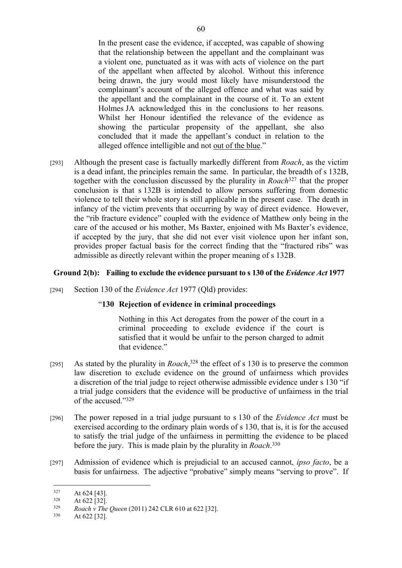In the present case the evidence, if accepted, was capable of showing that the relationship between the appellant and the complainant was a violent one, punctuated as it was with acts of violence on the part of the appellant when affected by alcohol. Without this inference being drawn, the jury would most likely have misunderstood the complainant's account of the alleged offence and what was said by the appellant and the complainant in the course of it. To an extent Holmes JA acknowledged this in the conclusions to her reasons. Whilst her Honour identified the relevance of the evidence as showing the particular propensity of the appellant, she also concluded that it made the appellant's conduct in relation to the alleged offence intelligible and not out of the blue."

[293] Although the present case is factually markedly different from *Roach*, as the victim is a dead infant, the principles remain the same. In particular, the breadth of s 132B, together with the conclusion discussed by the plurality in *Roach*<sup>327</sup> that the proper conclusion is that s 132B is intended to allow persons suffering from domestic violence to tell their whole story is still applicable in the present case. The death in infancy of the victim prevents that occurring by way of direct evidence. However, the "rib fracture evidence" coupled with the evidence of Matthew only being in the care of the accused or his mother, Ms Baxter, enjoined with Ms Baxter's evidence, if accepted by the jury, that she did not ever visit violence upon her infant son, provides proper factual basis for the correct finding that the "fractured ribs" was admissible as directly relevant within the proper meaning of s 132B.

# **Ground 2(b): Failing to exclude the evidence pursuant to s 130 of the** *Evidence Act* **1977**

[294] Section 130 of the *Evidence Act* 1977 (Qld) provides:

# "**130 Rejection of evidence in criminal proceedings**

Nothing in this Act derogates from the power of the court in a criminal proceeding to exclude evidence if the court is satisfied that it would be unfair to the person charged to admit that evidence."

- [295] As stated by the plurality in *Roach*<sup>328</sup>, the effect of s 130 is to preserve the common law discretion to exclude evidence on the ground of unfairness which provides a discretion of the trial judge to reject otherwise admissible evidence under s 130 "if a trial judge considers that the evidence will be productive of unfairness in the trial of the accused."<sup>329</sup>
- [296] The power reposed in a trial judge pursuant to s 130 of the *Evidence Act* must be exercised according to the ordinary plain words of s 130, that is, it is for the accused to satisfy the trial judge of the unfairness in permitting the evidence to be placed before the jury. This is made plain by the plurality in *Roach*. 330
- [297] Admission of evidence which is prejudicial to an accused cannot, *ipso facto*, be a basis for unfairness. The adjective "probative" simply means "serving to prove". If

 $327$  At 624 [43].

 $\frac{328}{329}$  At 622 [32].

<sup>329</sup> *Roach v The Queen* (2011) 242 CLR 610 at 622 [32].

<sup>330</sup> At 622 [32].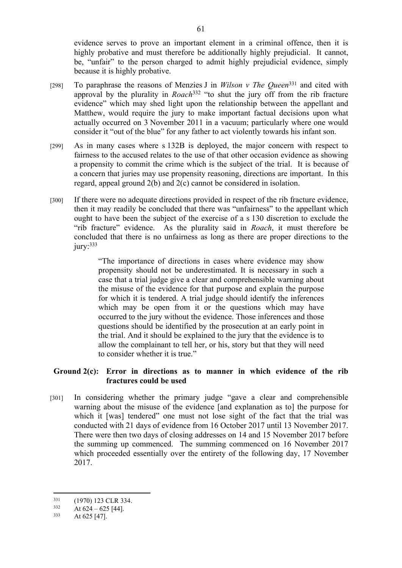evidence serves to prove an important element in a criminal offence, then it is highly probative and must therefore be additionally highly prejudicial. It cannot, be, "unfair" to the person charged to admit highly prejudicial evidence, simply because it is highly probative.

- [298] To paraphrase the reasons of Menzies J in *Wilson v The Queen*<sup>331</sup> and cited with approval by the plurality in *Roach*<sup>332</sup> "to shut the jury off from the rib fracture evidence" which may shed light upon the relationship between the appellant and Matthew, would require the jury to make important factual decisions upon what actually occurred on 3 November 2011 in a vacuum; particularly where one would consider it "out of the blue" for any father to act violently towards his infant son.
- [299] As in many cases where s 132B is deployed, the major concern with respect to fairness to the accused relates to the use of that other occasion evidence as showing a propensity to commit the crime which is the subject of the trial. It is because of a concern that juries may use propensity reasoning, directions are important. In this regard, appeal ground 2(b) and 2(c) cannot be considered in isolation.
- [300] If there were no adequate directions provided in respect of the rib fracture evidence, then it may readily be concluded that there was "unfairness" to the appellant which ought to have been the subject of the exercise of a s 130 discretion to exclude the "rib fracture" evidence. As the plurality said in *Roach*, it must therefore be concluded that there is no unfairness as long as there are proper directions to the  $jury:$ <sup>333</sup>

"The importance of directions in cases where evidence may show propensity should not be underestimated. It is necessary in such a case that a trial judge give a clear and comprehensible warning about the misuse of the evidence for that purpose and explain the purpose for which it is tendered. A trial judge should identify the inferences which may be open from it or the questions which may have occurred to the jury without the evidence. Those inferences and those questions should be identified by the prosecution at an early point in the trial. And it should be explained to the jury that the evidence is to allow the complainant to tell her, or his, story but that they will need to consider whether it is true."

# **Ground 2(c): Error in directions as to manner in which evidence of the rib fractures could be used**

[301] In considering whether the primary judge "gave a clear and comprehensible warning about the misuse of the evidence [and explanation as to] the purpose for which it [was] tendered" one must not lose sight of the fact that the trial was conducted with 21 days of evidence from 16 October 2017 until 13 November 2017. There were then two days of closing addresses on 14 and 15 November 2017 before the summing up commenced. The summing commenced on 16 November 2017 which proceeded essentially over the entirety of the following day, 17 November 2017.

 $^{331}$  (1970) 123 CLR 334.<br> $^{332}$  At 624 – 625 [44]

 $332$  At 624 – 625 [44].<br>  $333$  At 625 [47]

At 625 [47].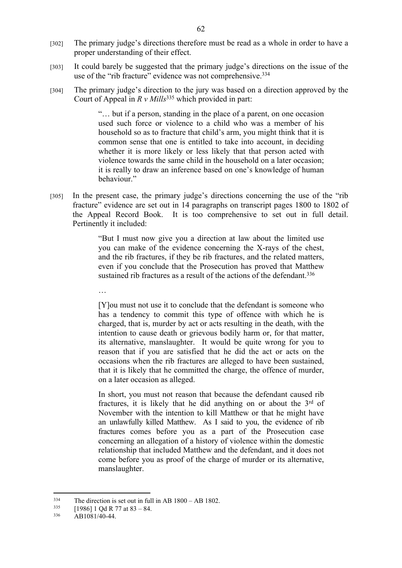- [302] The primary judge's directions therefore must be read as a whole in order to have a proper understanding of their effect.
- [303] It could barely be suggested that the primary judge's directions on the issue of the use of the "rib fracture" evidence was not comprehensive.<sup>334</sup>
- [304] The primary judge's direction to the jury was based on a direction approved by the Court of Appeal in *R v Mills*<sup>335</sup> which provided in part:

"… but if a person, standing in the place of a parent, on one occasion used such force or violence to a child who was a member of his household so as to fracture that child's arm, you might think that it is common sense that one is entitled to take into account, in deciding whether it is more likely or less likely that that person acted with violence towards the same child in the household on a later occasion; it is really to draw an inference based on one's knowledge of human behaviour."

[305] In the present case, the primary judge's directions concerning the use of the "rib fracture" evidence are set out in 14 paragraphs on transcript pages 1800 to 1802 of the Appeal Record Book. It is too comprehensive to set out in full detail. Pertinently it included:

> "But I must now give you a direction at law about the limited use you can make of the evidence concerning the X-rays of the chest, and the rib fractures, if they be rib fractures, and the related matters, even if you conclude that the Prosecution has proved that Matthew sustained rib fractures as a result of the actions of the defendant.<sup>336</sup>

> [Y]ou must not use it to conclude that the defendant is someone who has a tendency to commit this type of offence with which he is charged, that is, murder by act or acts resulting in the death, with the intention to cause death or grievous bodily harm or, for that matter, its alternative, manslaughter. It would be quite wrong for you to reason that if you are satisfied that he did the act or acts on the occasions when the rib fractures are alleged to have been sustained, that it is likely that he committed the charge, the offence of murder, on a later occasion as alleged.

> In short, you must not reason that because the defendant caused rib fractures, it is likely that he did anything on or about the 3rd of November with the intention to kill Matthew or that he might have an unlawfully killed Matthew. As I said to you, the evidence of rib fractures comes before you as a part of the Prosecution case concerning an allegation of a history of violence within the domestic relationship that included Matthew and the defendant, and it does not come before you as proof of the charge of murder or its alternative, manslaughter.

…

 $^{334}$  The direction is set out in full in AB 1800 – AB 1802.<br> $^{335}$  [10861 1 Od B 77 of 83] 84

 $[1986]$  1 Od R 77 at 83 – 84.

<sup>336</sup> AB1081/40-44.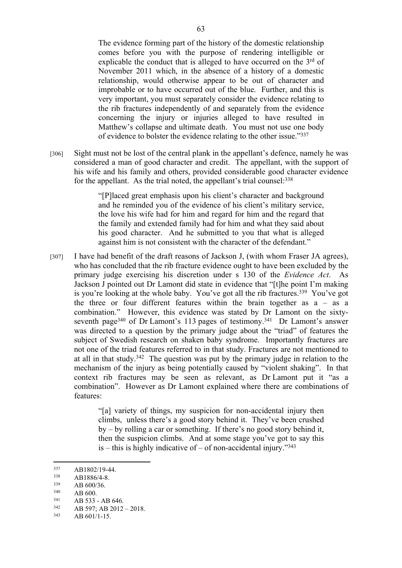The evidence forming part of the history of the domestic relationship comes before you with the purpose of rendering intelligible or explicable the conduct that is alleged to have occurred on the  $3<sup>rd</sup>$  of November 2011 which, in the absence of a history of a domestic relationship, would otherwise appear to be out of character and improbable or to have occurred out of the blue. Further, and this is very important, you must separately consider the evidence relating to the rib fractures independently of and separately from the evidence concerning the injury or injuries alleged to have resulted in Matthew's collapse and ultimate death. You must not use one body of evidence to bolster the evidence relating to the other issue."<sup>337</sup>

[306] Sight must not be lost of the central plank in the appellant's defence, namely he was considered a man of good character and credit. The appellant, with the support of his wife and his family and others, provided considerable good character evidence for the appellant. As the trial noted, the appellant's trial counsel: 338

> "[P]laced great emphasis upon his client's character and background and he reminded you of the evidence of his client's military service, the love his wife had for him and regard for him and the regard that the family and extended family had for him and what they said about his good character. And he submitted to you that what is alleged against him is not consistent with the character of the defendant."

[307] I have had benefit of the draft reasons of Jackson J, (with whom Fraser JA agrees), who has concluded that the rib fracture evidence ought to have been excluded by the primary judge exercising his discretion under s 130 of the *Evidence Act*. As Jackson J pointed out Dr Lamont did state in evidence that "[t]he point I'm making is you're looking at the whole baby. You've got all the rib fractures.<sup>339</sup> You've got the three or four different features within the brain together as  $a - as a$ combination." However, this evidence was stated by Dr Lamont on the sixtyseventh page<sup>340</sup> of Dr Lamont's 113 pages of testimony.<sup>341</sup> Dr Lamont's answer was directed to a question by the primary judge about the "triad" of features the subject of Swedish research on shaken baby syndrome. Importantly fractures are not one of the triad features referred to in that study. Fractures are not mentioned to at all in that study.<sup>342</sup> The question was put by the primary judge in relation to the mechanism of the injury as being potentially caused by "violent shaking". In that context rib fractures may be seen as relevant, as Dr Lamont put it "as a combination". However as Dr Lamont explained where there are combinations of features:

> "[a] variety of things, my suspicion for non-accidental injury then climbs, unless there's a good story behind it. They've been crushed by – by rolling a car or something. If there's no good story behind it, then the suspicion climbs. And at some stage you've got to say this is – this is highly indicative of – of non-accidental injury." $343$

- $\frac{339}{340}$  AB 600/36.
- $340$  AB 600.<br> $341$  AB 522

AB 601/1-15.

 $337$  AB1802/19-44.

 $338$  AB1886/4-8.

 $341$  AB 533 - AB 646.<br> $342$  AB 507: AB 2012.

 $342$  AB 597; AB 2012 – 2018.<br> $343$  AB 601/1-15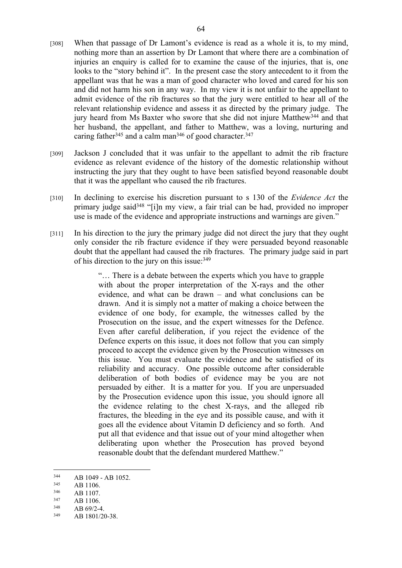- [308] When that passage of Dr Lamont's evidence is read as a whole it is, to my mind, nothing more than an assertion by Dr Lamont that where there are a combination of injuries an enquiry is called for to examine the cause of the injuries, that is, one looks to the "story behind it". In the present case the story antecedent to it from the appellant was that he was a man of good character who loved and cared for his son and did not harm his son in any way. In my view it is not unfair to the appellant to admit evidence of the rib fractures so that the jury were entitled to hear all of the relevant relationship evidence and assess it as directed by the primary judge. The jury heard from Ms Baxter who swore that she did not injure Matthew<sup>344</sup> and that her husband, the appellant, and father to Matthew, was a loving, nurturing and caring father<sup>345</sup> and a calm man<sup>346</sup> of good character.<sup>347</sup>
- [309] Jackson J concluded that it was unfair to the appellant to admit the rib fracture evidence as relevant evidence of the history of the domestic relationship without instructing the jury that they ought to have been satisfied beyond reasonable doubt that it was the appellant who caused the rib fractures.
- [310] In declining to exercise his discretion pursuant to s 130 of the *Evidence Act* the primary judge said<sup>348</sup> "[i]n my view, a fair trial can be had, provided no improper use is made of the evidence and appropriate instructions and warnings are given."
- [311] In his direction to the jury the primary judge did not direct the jury that they ought only consider the rib fracture evidence if they were persuaded beyond reasonable doubt that the appellant had caused the rib fractures. The primary judge said in part of his direction to the jury on this issue:<sup>349</sup>

"… There is a debate between the experts which you have to grapple with about the proper interpretation of the X-rays and the other evidence, and what can be drawn – and what conclusions can be drawn. And it is simply not a matter of making a choice between the evidence of one body, for example, the witnesses called by the Prosecution on the issue, and the expert witnesses for the Defence. Even after careful deliberation, if you reject the evidence of the Defence experts on this issue, it does not follow that you can simply proceed to accept the evidence given by the Prosecution witnesses on this issue. You must evaluate the evidence and be satisfied of its reliability and accuracy. One possible outcome after considerable deliberation of both bodies of evidence may be you are not persuaded by either. It is a matter for you. If you are unpersuaded by the Prosecution evidence upon this issue, you should ignore all the evidence relating to the chest X-rays, and the alleged rib fractures, the bleeding in the eye and its possible cause, and with it goes all the evidence about Vitamin D deficiency and so forth. And put all that evidence and that issue out of your mind altogether when deliberating upon whether the Prosecution has proved beyond reasonable doubt that the defendant murdered Matthew."

 $344$  AB 1049 - AB 1052.

 $345$  AB 1106.<br> $346$  AB 1107

 $346$  AB 1107.<br> $347$  AB 1106

 $347$  AB 1106.<br> $348$  AB 60/2.4

AB 69/2-4.

<sup>349</sup> AB 1801/20-38.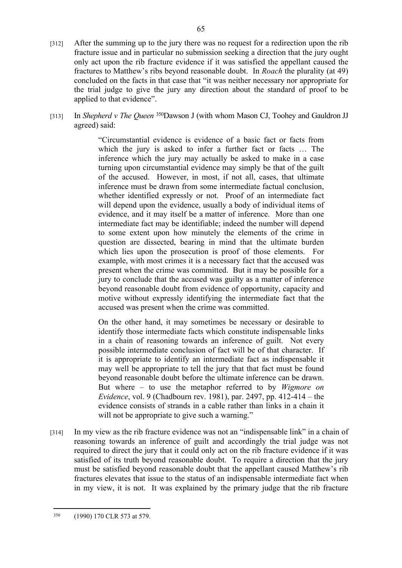- [312] After the summing up to the jury there was no request for a redirection upon the rib fracture issue and in particular no submission seeking a direction that the jury ought only act upon the rib fracture evidence if it was satisfied the appellant caused the fractures to Matthew's ribs beyond reasonable doubt. In *Roach* the plurality (at 49) concluded on the facts in that case that "it was neither necessary nor appropriate for the trial judge to give the jury any direction about the standard of proof to be applied to that evidence".
- [313] In *Shepherd v The Queen* <sup>350</sup>Dawson J (with whom Mason CJ, Toohey and Gauldron JJ agreed) said:

"Circumstantial evidence is evidence of a basic fact or facts from which the jury is asked to infer a further fact or facts ... The inference which the jury may actually be asked to make in a case turning upon circumstantial evidence may simply be that of the guilt of the accused. However, in most, if not all, cases, that ultimate inference must be drawn from some intermediate factual conclusion, whether identified expressly or not. Proof of an intermediate fact will depend upon the evidence, usually a body of individual items of evidence, and it may itself be a matter of inference. More than one intermediate fact may be identifiable; indeed the number will depend to some extent upon how minutely the elements of the crime in question are dissected, bearing in mind that the ultimate burden which lies upon the prosecution is proof of those elements. For example, with most crimes it is a necessary fact that the accused was present when the crime was committed. But it may be possible for a jury to conclude that the accused was guilty as a matter of inference beyond reasonable doubt from evidence of opportunity, capacity and motive without expressly identifying the intermediate fact that the accused was present when the crime was committed.

On the other hand, it may sometimes be necessary or desirable to identify those intermediate facts which constitute indispensable links in a chain of reasoning towards an inference of guilt. Not every possible intermediate conclusion of fact will be of that character. If it is appropriate to identify an intermediate fact as indispensable it may well be appropriate to tell the jury that that fact must be found beyond reasonable doubt before the ultimate inference can be drawn. But where – to use the metaphor referred to by *Wigmore on Evidence*, vol. 9 (Chadbourn rev. 1981), par. 2497, pp. 412-414 – the evidence consists of strands in a cable rather than links in a chain it will not be appropriate to give such a warning."

[314] In my view as the rib fracture evidence was not an "indispensable link" in a chain of reasoning towards an inference of guilt and accordingly the trial judge was not required to direct the jury that it could only act on the rib fracture evidence if it was satisfied of its truth beyond reasonable doubt. To require a direction that the jury must be satisfied beyond reasonable doubt that the appellant caused Matthew's rib fractures elevates that issue to the status of an indispensable intermediate fact when in my view, it is not. It was explained by the primary judge that the rib fracture

<sup>350</sup> (1990) 170 CLR 573 at 579.